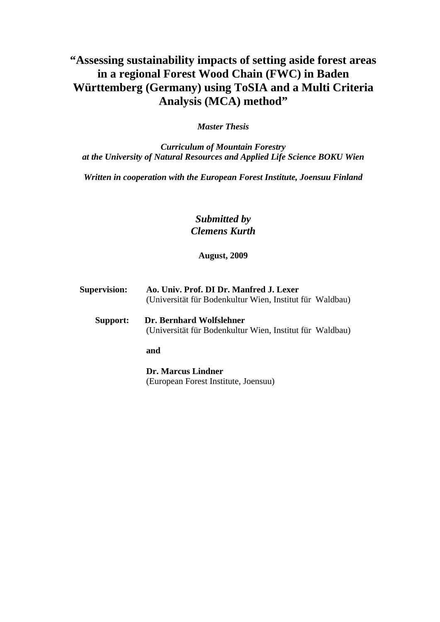## **"Assessing sustainability impacts of setting aside forest areas in a regional Forest Wood Chain (FWC) in Baden Württemberg (Germany) using ToSIA and a Multi Criteria Analysis (MCA) method"**

*Master Thesis* 

*Curriculum of Mountain Forestry at the University of Natural Resources and Applied Life Science BOKU Wien* 

*Written in cooperation with the European Forest Institute, Joensuu Finland* 

## *Submitted by Clemens Kurth*

**August, 2009** 

| <b>Supervision:</b> | Ao. Univ. Prof. DI Dr. Manfred J. Lexer<br>(Universität für Bodenkultur Wien, Institut für Waldbau) |
|---------------------|-----------------------------------------------------------------------------------------------------|
| Support:            | Dr. Bernhard Wolfslehner<br>(Universität für Bodenkultur Wien, Institut für Waldbau)                |
|                     | and                                                                                                 |
|                     | Dr. Marcus Lindner                                                                                  |

(European Forest Institute, Joensuu)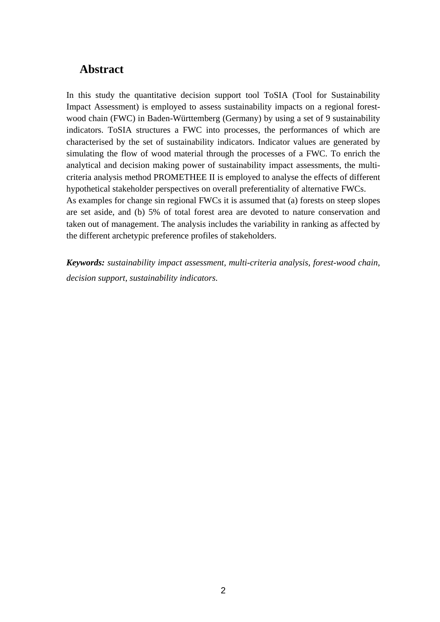## **Abstract**

In this study the quantitative decision support tool ToSIA (Tool for Sustainability Impact Assessment) is employed to assess sustainability impacts on a regional forestwood chain (FWC) in Baden-Württemberg (Germany) by using a set of 9 sustainability indicators. ToSIA structures a FWC into processes, the performances of which are characterised by the set of sustainability indicators. Indicator values are generated by simulating the flow of wood material through the processes of a FWC. To enrich the analytical and decision making power of sustainability impact assessments, the multicriteria analysis method PROMETHEE II is employed to analyse the effects of different hypothetical stakeholder perspectives on overall preferentiality of alternative FWCs. As examples for change sin regional FWCs it is assumed that (a) forests on steep slopes are set aside, and (b) 5% of total forest area are devoted to nature conservation and taken out of management. The analysis includes the variability in ranking as affected by the different archetypic preference profiles of stakeholders.

*Keywords: sustainability impact assessment, multi-criteria analysis, forest-wood chain, decision support, sustainability indicators.*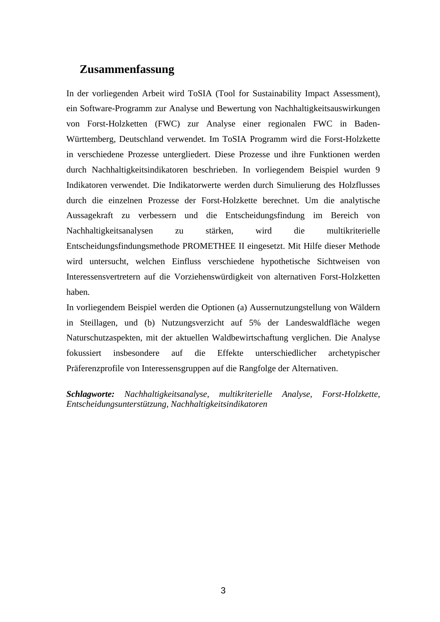## **Zusammenfassung**

In der vorliegenden Arbeit wird ToSIA (Tool for Sustainability Impact Assessment), ein Software-Programm zur Analyse und Bewertung von Nachhaltigkeitsauswirkungen von Forst-Holzketten (FWC) zur Analyse einer regionalen FWC in Baden-Württemberg, Deutschland verwendet. Im ToSIA Programm wird die Forst-Holzkette in verschiedene Prozesse untergliedert. Diese Prozesse und ihre Funktionen werden durch Nachhaltigkeitsindikatoren beschrieben. In vorliegendem Beispiel wurden 9 Indikatoren verwendet. Die Indikatorwerte werden durch Simulierung des Holzflusses durch die einzelnen Prozesse der Forst-Holzkette berechnet. Um die analytische Aussagekraft zu verbessern und die Entscheidungsfindung im Bereich von Nachhaltigkeitsanalysen zu stärken, wird die multikriterielle Entscheidungsfindungsmethode PROMETHEE II eingesetzt. Mit Hilfe dieser Methode wird untersucht, welchen Einfluss verschiedene hypothetische Sichtweisen von Interessensvertretern auf die Vorziehenswürdigkeit von alternativen Forst-Holzketten haben.

In vorliegendem Beispiel werden die Optionen (a) Aussernutzungstellung von Wäldern in Steillagen, und (b) Nutzungsverzicht auf 5% der Landeswaldfläche wegen Naturschutzaspekten, mit der aktuellen Waldbewirtschaftung verglichen. Die Analyse fokussiert insbesondere auf die Effekte unterschiedlicher archetypischer Präferenzprofile von Interessensgruppen auf die Rangfolge der Alternativen.

*Schlagworte: Nachhaltigkeitsanalyse, multikriterielle Analyse, Forst-Holzkette, Entscheidungsunterstützung, Nachhaltigkeitsindikatoren*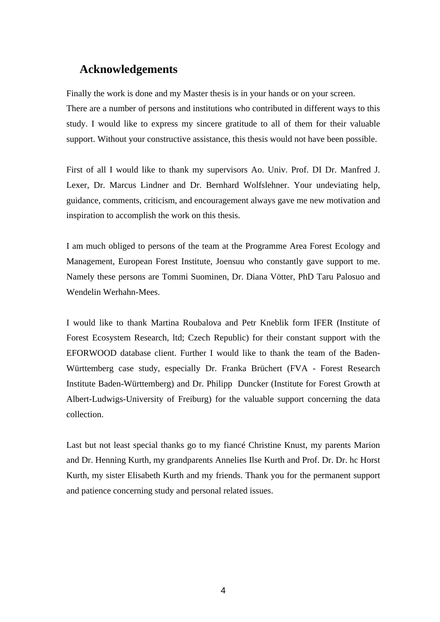## **Acknowledgements**

Finally the work is done and my Master thesis is in your hands or on your screen. There are a number of persons and institutions who contributed in different ways to this study. I would like to express my sincere gratitude to all of them for their valuable support. Without your constructive assistance, this thesis would not have been possible.

First of all I would like to thank my supervisors Ao. Univ. Prof. DI Dr. Manfred J. Lexer, Dr. Marcus Lindner and Dr. Bernhard Wolfslehner. Your undeviating help, guidance, comments, criticism, and encouragement always gave me new motivation and inspiration to accomplish the work on this thesis.

I am much obliged to persons of the team at the Programme Area Forest Ecology and Management, European Forest Institute, Joensuu who constantly gave support to me. Namely these persons are Tommi Suominen, Dr. Diana Vötter, PhD Taru Palosuo and Wendelin Werhahn-Mees.

I would like to thank Martina Roubalova and Petr Kneblik form IFER (Institute of Forest Ecosystem Research, ltd; Czech Republic) for their constant support with the EFORWOOD database client. Further I would like to thank the team of the Baden-Württemberg case study, especially Dr. Franka Brüchert (FVA - Forest Research Institute Baden-Württemberg) and Dr. Philipp Duncker (Institute for Forest Growth at Albert-Ludwigs-University of Freiburg) for the valuable support concerning the data collection.

Last but not least special thanks go to my fiancé Christine Knust, my parents Marion and Dr. Henning Kurth, my grandparents Annelies Ilse Kurth and Prof. Dr. Dr. hc Horst Kurth, my sister Elisabeth Kurth and my friends. Thank you for the permanent support and patience concerning study and personal related issues.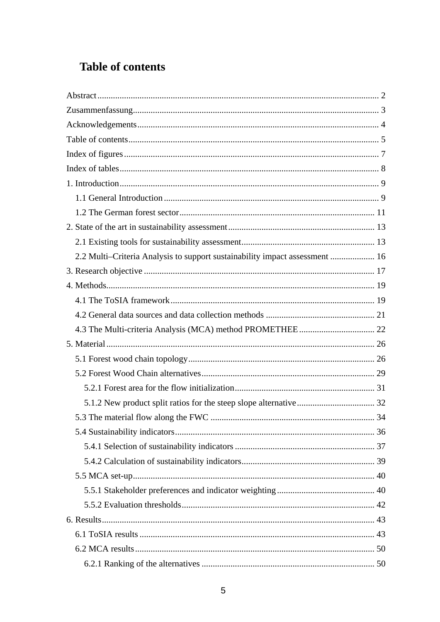# **Table of contents**

| 2.2 Multi-Criteria Analysis to support sustainability impact assessment  16 |  |
|-----------------------------------------------------------------------------|--|
|                                                                             |  |
|                                                                             |  |
|                                                                             |  |
|                                                                             |  |
|                                                                             |  |
|                                                                             |  |
|                                                                             |  |
|                                                                             |  |
|                                                                             |  |
|                                                                             |  |
|                                                                             |  |
|                                                                             |  |
|                                                                             |  |
|                                                                             |  |
|                                                                             |  |
|                                                                             |  |
|                                                                             |  |
|                                                                             |  |
|                                                                             |  |
|                                                                             |  |
|                                                                             |  |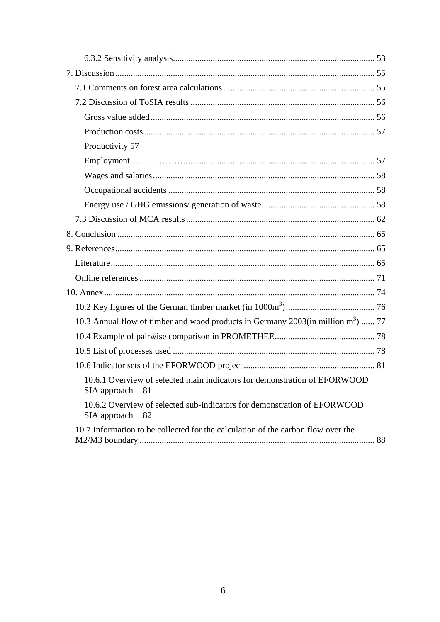| Productivity 57                                                                                  |
|--------------------------------------------------------------------------------------------------|
|                                                                                                  |
|                                                                                                  |
|                                                                                                  |
|                                                                                                  |
|                                                                                                  |
|                                                                                                  |
|                                                                                                  |
|                                                                                                  |
|                                                                                                  |
|                                                                                                  |
|                                                                                                  |
| 10.3 Annual flow of timber and wood products in Germany 2003(in million m <sup>3</sup> )  77     |
|                                                                                                  |
|                                                                                                  |
|                                                                                                  |
| 10.6.1 Overview of selected main indicators for demonstration of EFORWOOD<br>SIA approach 81     |
| 10.6.2 Overview of selected sub-indicators for demonstration of EFORWOOD<br>SIA approach<br>- 82 |
| 10.7 Information to be collected for the calculation of the carbon flow over the                 |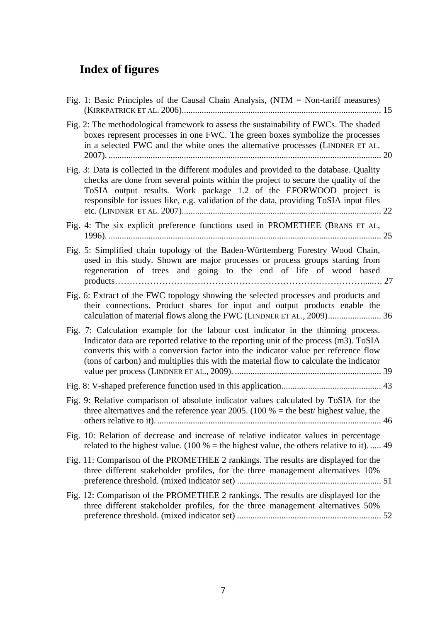# **Index of figures**

| Fig. 1: Basic Principles of the Causal Chain Analysis, $(NTM = Non-tariff$ measures)                                                                                                                                                                                                                                                                        |
|-------------------------------------------------------------------------------------------------------------------------------------------------------------------------------------------------------------------------------------------------------------------------------------------------------------------------------------------------------------|
| Fig. 2: The methodological framework to assess the sustainability of FWCs. The shaded<br>boxes represent processes in one FWC. The green boxes symbolize the processes<br>in a selected FWC and the white ones the alternative processes (LINDNER ET AL.                                                                                                    |
| Fig. 3: Data is collected in the different modules and provided to the database. Quality<br>checks are done from several points within the project to secure the quality of the<br>ToSIA output results. Work package 1.2 of the EFORWOOD project is<br>responsible for issues like, e.g. validation of the data, providing ToSIA input files               |
| Fig. 4: The six explicit preference functions used in PROMETHEE (BRANS ET AL,                                                                                                                                                                                                                                                                               |
| Fig. 5: Simplified chain topology of the Baden-Württemberg Forestry Wood Chain,<br>used in this study. Shown are major processes or process groups starting from<br>regeneration of trees and going to the end of life of wood based                                                                                                                        |
| Fig. 6: Extract of the FWC topology showing the selected processes and products and<br>their connections. Product shares for input and output products enable the                                                                                                                                                                                           |
| Fig. 7: Calculation example for the labour cost indicator in the thinning process.<br>Indicator data are reported relative to the reporting unit of the process (m3). ToSIA<br>converts this with a conversion factor into the indicator value per reference flow<br>(tons of carbon) and multiplies this with the material flow to calculate the indicator |
|                                                                                                                                                                                                                                                                                                                                                             |
| Fig. 9: Relative comparison of absolute indicator values calculated by ToSIA for the<br>three alternatives and the reference year 2005. (100 % = the best/highest value, the                                                                                                                                                                                |
| Fig. 10: Relation of decrease and increase of relative indicator values in percentage<br>related to the highest value. (100 % = the highest value, the others relative to it).  49                                                                                                                                                                          |
| Fig. 11: Comparison of the PROMETHEE 2 rankings. The results are displayed for the<br>three different stakeholder profiles, for the three management alternatives 10%                                                                                                                                                                                       |
| Fig. 12: Comparison of the PROMETHEE 2 rankings. The results are displayed for the<br>three different stakeholder profiles, for the three management alternatives 50%                                                                                                                                                                                       |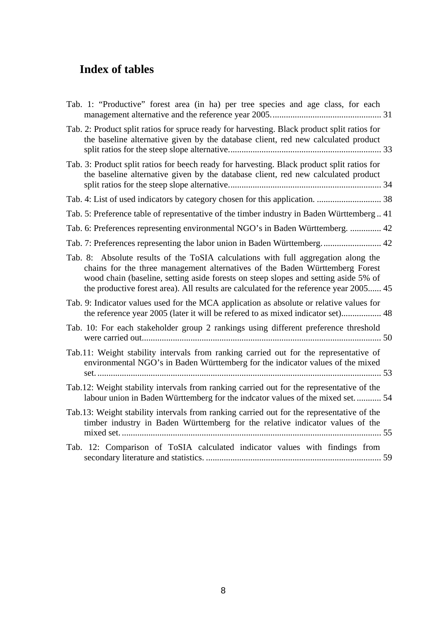## **Index of tables**

| Tab. 1: "Productive" forest area (in ha) per tree species and age class, for each                                                                                                                                                                                                                                                                   |  |
|-----------------------------------------------------------------------------------------------------------------------------------------------------------------------------------------------------------------------------------------------------------------------------------------------------------------------------------------------------|--|
| Tab. 2: Product split ratios for spruce ready for harvesting. Black product split ratios for<br>the baseline alternative given by the database client, red new calculated product                                                                                                                                                                   |  |
| Tab. 3: Product split ratios for beech ready for harvesting. Black product split ratios for<br>the baseline alternative given by the database client, red new calculated product                                                                                                                                                                    |  |
|                                                                                                                                                                                                                                                                                                                                                     |  |
| Tab. 5: Preference table of representative of the timber industry in Baden Württemberg 41                                                                                                                                                                                                                                                           |  |
| Tab. 6: Preferences representing environmental NGO's in Baden Württemberg.  42                                                                                                                                                                                                                                                                      |  |
| Tab. 7: Preferences representing the labor union in Baden Württemberg 42                                                                                                                                                                                                                                                                            |  |
| Tab. 8: Absolute results of the ToSIA calculations with full aggregation along the<br>chains for the three management alternatives of the Baden Württemberg Forest<br>wood chain (baseline, setting aside forests on steep slopes and setting aside 5% of<br>the productive forest area). All results are calculated for the reference year 2005 45 |  |
| Tab. 9: Indicator values used for the MCA application as absolute or relative values for<br>the reference year 2005 (later it will be refered to as mixed indicator set) 48                                                                                                                                                                         |  |
| Tab. 10: For each stakeholder group 2 rankings using different preference threshold                                                                                                                                                                                                                                                                 |  |
| Tab.11: Weight stability intervals from ranking carried out for the representative of<br>environmental NGO's in Baden Württemberg for the indicator values of the mixed                                                                                                                                                                             |  |
| Tab.12: Weight stability intervals from ranking carried out for the representative of the<br>labour union in Baden Württemberg for the indcator values of the mixed set 54                                                                                                                                                                          |  |
| Tab.13: Weight stability intervals from ranking carried out for the representative of the<br>timber industry in Baden Württemberg for the relative indicator values of the                                                                                                                                                                          |  |
| Tab. 12: Comparison of ToSIA calculated indicator values with findings from                                                                                                                                                                                                                                                                         |  |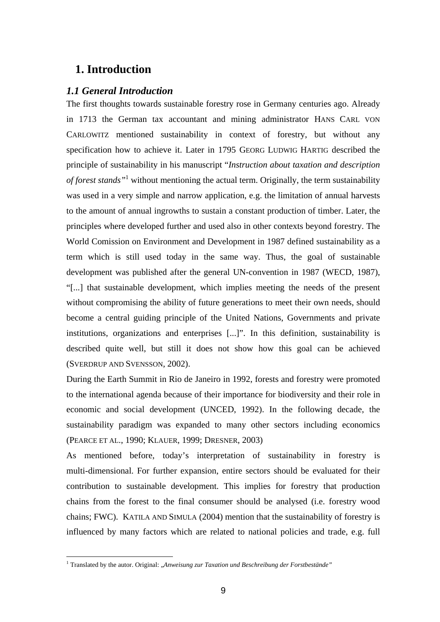## **1. Introduction**

#### *1.1 General Introduction*

The first thoughts towards sustainable forestry rose in Germany centuries ago. Already in 1713 the German tax accountant and mining administrator HANS CARL VON CARLOWITZ mentioned sustainability in context of forestry, but without any specification how to achieve it. Later in 1795 GEORG LUDWIG HARTIG described the principle of sustainability in his manuscript "*Instruction about taxation and description of forest stands"*<sup>1</sup> without mentioning the actual term. Originally, the term sustainability was used in a very simple and narrow application, e.g. the limitation of annual harvests to the amount of annual ingrowths to sustain a constant production of timber. Later, the principles where developed further and used also in other contexts beyond forestry. The World Comission on Environment and Development in 1987 defined sustainability as a term which is still used today in the same way. Thus, the goal of sustainable development was published after the general UN-convention in 1987 (WECD, 1987), "[...] that sustainable development, which implies meeting the needs of the present without compromising the ability of future generations to meet their own needs, should become a central guiding principle of the United Nations, Governments and private institutions, organizations and enterprises [...]". In this definition, sustainability is described quite well, but still it does not show how this goal can be achieved (SVERDRUP AND SVENSSON, 2002).

During the Earth Summit in Rio de Janeiro in 1992, forests and forestry were promoted to the international agenda because of their importance for biodiversity and their role in economic and social development (UNCED, 1992). In the following decade, the sustainability paradigm was expanded to many other sectors including economics (PEARCE ET AL., 1990; KLAUER, 1999; DRESNER, 2003)

As mentioned before, today's interpretation of sustainability in forestry is multi-dimensional. For further expansion, entire sectors should be evaluated for their contribution to sustainable development. This implies for forestry that production chains from the forest to the final consumer should be analysed (i.e. forestry wood chains; FWC). KATILA AND SIMULA (2004) mention that the sustainability of forestry is influenced by many factors which are related to national policies and trade, e.g. full

 1 Translated by the autor. Original: "*Anweisung zur Taxation und Beschreibung der Forstbestände"*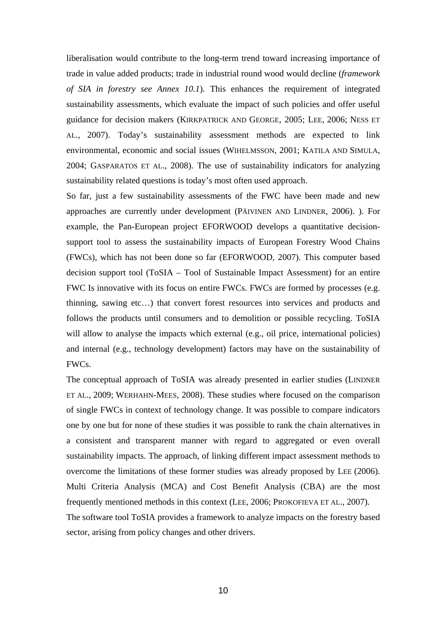liberalisation would contribute to the long-term trend toward increasing importance of trade in value added products; trade in industrial round wood would decline (*framework of SIA in forestry see Annex 10.1*). This enhances the requirement of integrated sustainability assessments, which evaluate the impact of such policies and offer useful guidance for decision makers (KIRKPATRICK AND GEORGE, 2005; LEE, 2006; NESS ET AL., 2007). Today's sustainability assessment methods are expected to link environmental, economic and social issues (WIHELMSSON, 2001; KATILA AND SIMULA, 2004; GASPARATOS ET AL., 2008). The use of sustainability indicators for analyzing sustainability related questions is today's most often used approach.

So far, just a few sustainability assessments of the FWC have been made and new approaches are currently under development (PÄIVINEN AND LINDNER, 2006). ). For example, the Pan-European project EFORWOOD develops a quantitative decisionsupport tool to assess the sustainability impacts of European Forestry Wood Chains (FWCs), which has not been done so far (EFORWOOD, 2007). This computer based decision support tool (ToSIA – Tool of Sustainable Impact Assessment) for an entire FWC Is innovative with its focus on entire FWCs. FWCs are formed by processes (e.g. thinning, sawing etc…) that convert forest resources into services and products and follows the products until consumers and to demolition or possible recycling. ToSIA will allow to analyse the impacts which external (e.g., oil price, international policies) and internal (e.g., technology development) factors may have on the sustainability of FWCs.

The conceptual approach of ToSIA was already presented in earlier studies (LINDNER ET AL., 2009; WERHAHN-MEES, 2008). These studies where focused on the comparison of single FWCs in context of technology change. It was possible to compare indicators one by one but for none of these studies it was possible to rank the chain alternatives in a consistent and transparent manner with regard to aggregated or even overall sustainability impacts. The approach, of linking different impact assessment methods to overcome the limitations of these former studies was already proposed by LEE (2006). Multi Criteria Analysis (MCA) and Cost Benefit Analysis (CBA) are the most frequently mentioned methods in this context (LEE, 2006; PROKOFIEVA ET AL., 2007). The software tool ToSIA provides a framework to analyze impacts on the forestry based sector, arising from policy changes and other drivers.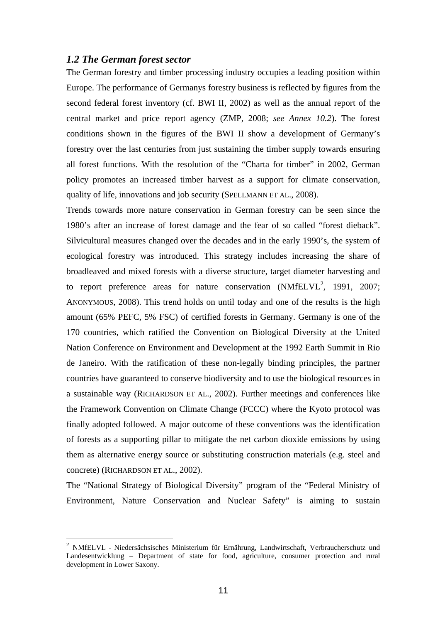#### *1.2 The German forest sector*

l

The German forestry and timber processing industry occupies a leading position within Europe. The performance of Germanys forestry business is reflected by figures from the second federal forest inventory (cf. BWI II, 2002) as well as the annual report of the central market and price report agency (ZMP, 2008; *see Annex 10.2*). The forest conditions shown in the figures of the BWI II show a development of Germany's forestry over the last centuries from just sustaining the timber supply towards ensuring all forest functions. With the resolution of the "Charta for timber" in 2002, German policy promotes an increased timber harvest as a support for climate conservation, quality of life, innovations and job security (SPELLMANN ET AL., 2008).

Trends towards more nature conservation in German forestry can be seen since the 1980's after an increase of forest damage and the fear of so called "forest dieback". Silvicultural measures changed over the decades and in the early 1990's, the system of ecological forestry was introduced. This strategy includes increasing the share of broadleaved and mixed forests with a diverse structure, target diameter harvesting and to report preference areas for nature conservation (NMfELVL<sup>2</sup>, 1991, 2007; ANONYMOUS, 2008). This trend holds on until today and one of the results is the high amount (65% PEFC, 5% FSC) of certified forests in Germany. Germany is one of the 170 countries, which ratified the Convention on Biological Diversity at the United Nation Conference on Environment and Development at the 1992 Earth Summit in Rio de Janeiro. With the ratification of these non-legally binding principles, the partner countries have guaranteed to conserve biodiversity and to use the biological resources in a sustainable way (RICHARDSON ET AL., 2002). Further meetings and conferences like the Framework Convention on Climate Change (FCCC) where the Kyoto protocol was finally adopted followed. A major outcome of these conventions was the identification of forests as a supporting pillar to mitigate the net carbon dioxide emissions by using them as alternative energy source or substituting construction materials (e.g. steel and concrete) (RICHARDSON ET AL., 2002).

The "National Strategy of Biological Diversity" program of the "Federal Ministry of Environment, Nature Conservation and Nuclear Safety" is aiming to sustain

<sup>&</sup>lt;sup>2</sup> NMfELVL - Niedersächsisches Ministerium für Ernährung, Landwirtschaft, Verbraucherschutz und Landesentwicklung – Department of state for food, agriculture, consumer protection and rural development in Lower Saxony.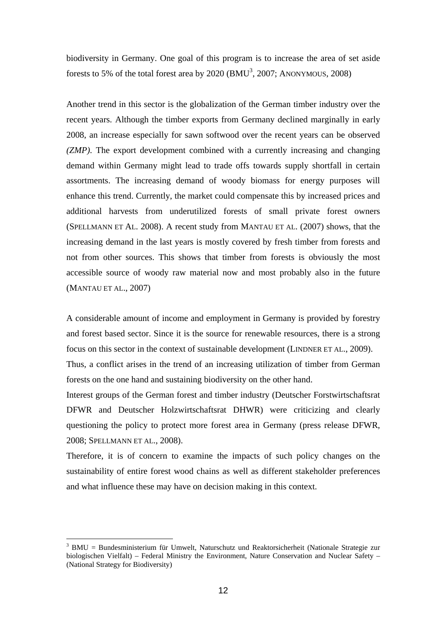biodiversity in Germany. One goal of this program is to increase the area of set aside forests to 5% of the total forest area by 2020  $(BMU^3, 2007; ANONYMOUS, 2008)$ 

Another trend in this sector is the globalization of the German timber industry over the recent years. Although the timber exports from Germany declined marginally in early 2008, an increase especially for sawn softwood over the recent years can be observed *(ZMP)*. The export development combined with a currently increasing and changing demand within Germany might lead to trade offs towards supply shortfall in certain assortments. The increasing demand of woody biomass for energy purposes will enhance this trend. Currently, the market could compensate this by increased prices and additional harvests from underutilized forests of small private forest owners (SPELLMANN ET AL. 2008). A recent study from MANTAU ET AL. (2007) shows, that the increasing demand in the last years is mostly covered by fresh timber from forests and not from other sources. This shows that timber from forests is obviously the most accessible source of woody raw material now and most probably also in the future (MANTAU ET AL., 2007)

A considerable amount of income and employment in Germany is provided by forestry and forest based sector. Since it is the source for renewable resources, there is a strong focus on this sector in the context of sustainable development (LINDNER ET AL., 2009).

Thus, a conflict arises in the trend of an increasing utilization of timber from German forests on the one hand and sustaining biodiversity on the other hand.

Interest groups of the German forest and timber industry (Deutscher Forstwirtschaftsrat DFWR and Deutscher Holzwirtschaftsrat DHWR) were criticizing and clearly questioning the policy to protect more forest area in Germany (press release DFWR, 2008; SPELLMANN ET AL., 2008).

Therefore, it is of concern to examine the impacts of such policy changes on the sustainability of entire forest wood chains as well as different stakeholder preferences and what influence these may have on decision making in this context.

l

 $3$  BMU = Bundesministerium für Umwelt, Naturschutz und Reaktorsicherheit (Nationale Strategie zur biologischen Vielfalt) – Federal Ministry the Environment, Nature Conservation and Nuclear Safety – (National Strategy for Biodiversity)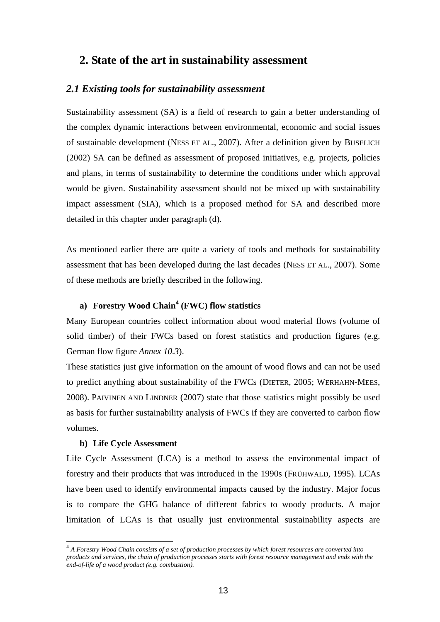## **2. State of the art in sustainability assessment**

#### *2.1 Existing tools for sustainability assessment*

Sustainability assessment (SA) is a field of research to gain a better understanding of the complex dynamic interactions between environmental, economic and social issues of sustainable development (NESS ET AL., 2007). After a definition given by BUSELICH (2002) SA can be defined as assessment of proposed initiatives, e.g. projects, policies and plans, in terms of sustainability to determine the conditions under which approval would be given. Sustainability assessment should not be mixed up with sustainability impact assessment (SIA), which is a proposed method for SA and described more detailed in this chapter under paragraph (d).

As mentioned earlier there are quite a variety of tools and methods for sustainability assessment that has been developed during the last decades (NESS ET AL., 2007). Some of these methods are briefly described in the following.

## **a) Forestry Wood Chain<sup>4</sup> (FWC) flow statistics**

Many European countries collect information about wood material flows (volume of solid timber) of their FWCs based on forest statistics and production figures (e.g. German flow figure *Annex 10.3*).

These statistics just give information on the amount of wood flows and can not be used to predict anything about sustainability of the FWCs (DIETER, 2005; WERHAHN-MEES, 2008). PAIVINEN AND LINDNER (2007) state that those statistics might possibly be used as basis for further sustainability analysis of FWCs if they are converted to carbon flow volumes.

#### **b) Life Cycle Assessment**

 $\overline{a}$ 

Life Cycle Assessment (LCA) is a method to assess the environmental impact of forestry and their products that was introduced in the 1990s (FRÜHWALD, 1995). LCAs have been used to identify environmental impacts caused by the industry. Major focus is to compare the GHG balance of different fabrics to woody products. A major limitation of LCAs is that usually just environmental sustainability aspects are

<sup>4</sup> *A Forestry Wood Chain consists of a set of production processes by which forest resources are converted into products and services, the chain of production processes starts with forest resource management and ends with the end-of-life of a wood product (e.g. combustion).*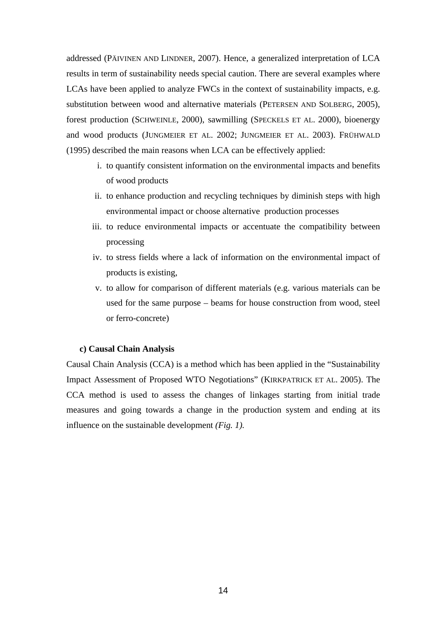addressed (PÄIVINEN AND LINDNER, 2007). Hence, a generalized interpretation of LCA results in term of sustainability needs special caution. There are several examples where LCAs have been applied to analyze FWCs in the context of sustainability impacts, e.g. substitution between wood and alternative materials (PETERSEN AND SOLBERG, 2005), forest production (SCHWEINLE, 2000), sawmilling (SPECKELS ET AL. 2000), bioenergy and wood products (JUNGMEIER ET AL. 2002; JUNGMEIER ET AL. 2003). FRÜHWALD (1995) described the main reasons when LCA can be effectively applied:

- i. to quantify consistent information on the environmental impacts and benefits of wood products
- ii. to enhance production and recycling techniques by diminish steps with high environmental impact or choose alternative production processes
- iii. to reduce environmental impacts or accentuate the compatibility between processing
- iv. to stress fields where a lack of information on the environmental impact of products is existing,
- v. to allow for comparison of different materials (e.g. various materials can be used for the same purpose – beams for house construction from wood, steel or ferro-concrete)

#### **c) Causal Chain Analysis**

Causal Chain Analysis (CCA) is a method which has been applied in the "Sustainability Impact Assessment of Proposed WTO Negotiations" (KIRKPATRICK ET AL. 2005). The CCA method is used to assess the changes of linkages starting from initial trade measures and going towards a change in the production system and ending at its influence on the sustainable development *(Fig. 1).*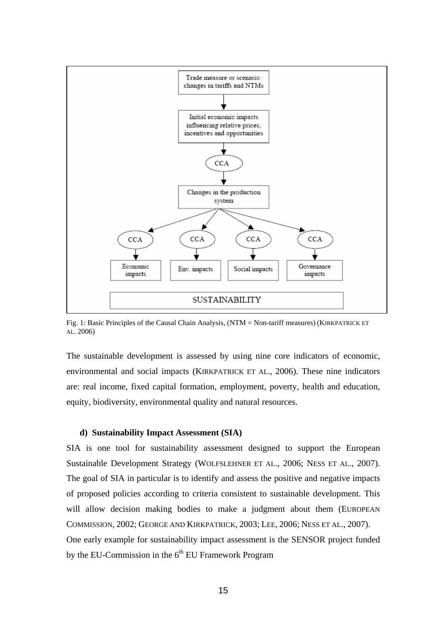

Fig. 1: Basic Principles of the Causal Chain Analysis, (NTM = Non-tariff measures) (KIRKPATRICK ET AL. 2006)

The sustainable development is assessed by using nine core indicators of economic, environmental and social impacts (KIRKPATRICK ET AL., 2006). These nine indicators are: real income, fixed capital formation, employment, poverty, health and education, equity, biodiversity, environmental quality and natural resources.

#### **d) Sustainability Impact Assessment (SIA)**

SIA is one tool for sustainability assessment designed to support the European Sustainable Development Strategy (WOLFSLEHNER ET AL., 2006; NESS ET AL., 2007). The goal of SIA in particular is to identify and assess the positive and negative impacts of proposed policies according to criteria consistent to sustainable development. This will allow decision making bodies to make a judgment about them (EUROPEAN COMMISSION, 2002; GEORGE AND KIRKPATRICK, 2003; LEE, 2006; NESS ET AL., 2007). One early example for sustainability impact assessment is the SENSOR project funded by the EU-Commission in the  $6<sup>th</sup>$  EU Framework Program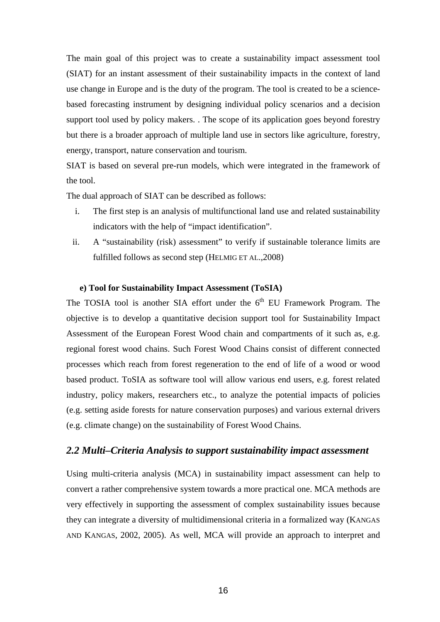The main goal of this project was to create a sustainability impact assessment tool (SIAT) for an instant assessment of their sustainability impacts in the context of land use change in Europe and is the duty of the program. The tool is created to be a sciencebased forecasting instrument by designing individual policy scenarios and a decision support tool used by policy makers. . The scope of its application goes beyond forestry but there is a broader approach of multiple land use in sectors like agriculture, forestry, energy, transport, nature conservation and tourism.

SIAT is based on several pre-run models, which were integrated in the framework of the tool.

The dual approach of SIAT can be described as follows:

- i. The first step is an analysis of multifunctional land use and related sustainability indicators with the help of "impact identification".
- ii. A "sustainability (risk) assessment" to verify if sustainable tolerance limits are fulfilled follows as second step (HELMIG ET AL.,2008)

#### **e) Tool for Sustainability Impact Assessment (ToSIA)**

The TOSIA tool is another SIA effort under the  $6<sup>th</sup>$  EU Framework Program. The objective is to develop a quantitative decision support tool for Sustainability Impact Assessment of the European Forest Wood chain and compartments of it such as, e.g. regional forest wood chains. Such Forest Wood Chains consist of different connected processes which reach from forest regeneration to the end of life of a wood or wood based product. ToSIA as software tool will allow various end users, e.g. forest related industry, policy makers, researchers etc., to analyze the potential impacts of policies (e.g. setting aside forests for nature conservation purposes) and various external drivers (e.g. climate change) on the sustainability of Forest Wood Chains.

#### *2.2 Multi–Criteria Analysis to support sustainability impact assessment*

Using multi-criteria analysis (MCA) in sustainability impact assessment can help to convert a rather comprehensive system towards a more practical one. MCA methods are very effectively in supporting the assessment of complex sustainability issues because they can integrate a diversity of multidimensional criteria in a formalized way (KANGAS AND KANGAS, 2002, 2005). As well, MCA will provide an approach to interpret and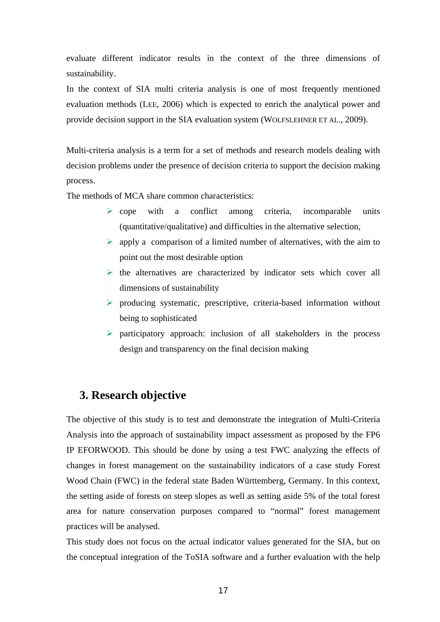evaluate different indicator results in the context of the three dimensions of sustainability.

In the context of SIA multi criteria analysis is one of most frequently mentioned evaluation methods (LEE, 2006) which is expected to enrich the analytical power and provide decision support in the SIA evaluation system (WOLFSLEHNER ET AL., 2009).

Multi-criteria analysis is a term for a set of methods and research models dealing with decision problems under the presence of decision criteria to support the decision making process.

The methods of MCA share common characteristics:

- $\triangleright$  cope with a conflict among criteria, incomparable units (quantitative/qualitative) and difficulties in the alternative selection,
- $\triangleright$  apply a comparison of a limited number of alternatives, with the aim to point out the most desirable option
- $\triangleright$  the alternatives are characterized by indicator sets which cover all dimensions of sustainability
- ¾ producing systematic, prescriptive, criteria-based information without being to sophisticated
- $\triangleright$  participatory approach: inclusion of all stakeholders in the process design and transparency on the final decision making

## **3. Research objective**

The objective of this study is to test and demonstrate the integration of Multi-Criteria Analysis into the approach of sustainability impact assessment as proposed by the FP6 IP EFORWOOD. This should be done by using a test FWC analyzing the effects of changes in forest management on the sustainability indicators of a case study Forest Wood Chain (FWC) in the federal state Baden Württemberg, Germany. In this context, the setting aside of forests on steep slopes as well as setting aside 5% of the total forest area for nature conservation purposes compared to "normal" forest management practices will be analysed.

This study does not focus on the actual indicator values generated for the SIA, but on the conceptual integration of the ToSIA software and a further evaluation with the help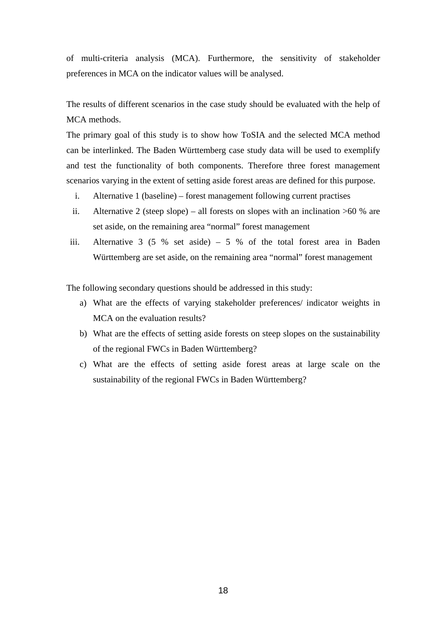of multi-criteria analysis (MCA). Furthermore, the sensitivity of stakeholder preferences in MCA on the indicator values will be analysed.

The results of different scenarios in the case study should be evaluated with the help of MCA methods.

The primary goal of this study is to show how ToSIA and the selected MCA method can be interlinked. The Baden Württemberg case study data will be used to exemplify and test the functionality of both components. Therefore three forest management scenarios varying in the extent of setting aside forest areas are defined for this purpose.

- i. Alternative 1 (baseline) forest management following current practises
- ii. Alternative 2 (steep slope) all forests on slopes with an inclination  $>60$  % are set aside, on the remaining area "normal" forest management
- iii. Alternative 3 (5 % set aside)  $-5$  % of the total forest area in Baden Württemberg are set aside, on the remaining area "normal" forest management

The following secondary questions should be addressed in this study:

- a) What are the effects of varying stakeholder preferences/ indicator weights in MCA on the evaluation results?
- b) What are the effects of setting aside forests on steep slopes on the sustainability of the regional FWCs in Baden Württemberg?
- c) What are the effects of setting aside forest areas at large scale on the sustainability of the regional FWCs in Baden Württemberg?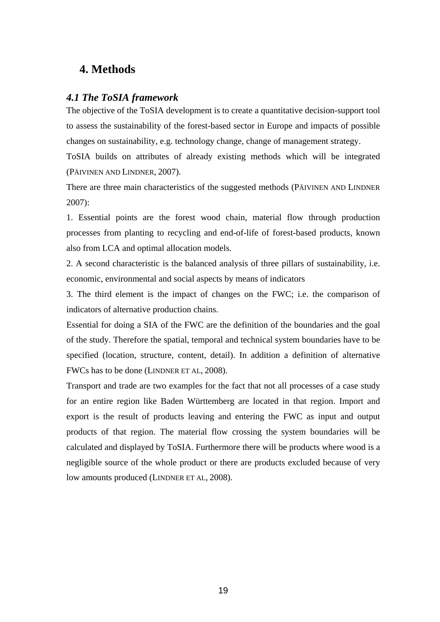## **4. Methods**

#### *4.1 The ToSIA framework*

The objective of the ToSIA development is to create a quantitative decision-support tool to assess the sustainability of the forest-based sector in Europe and impacts of possible changes on sustainability, e.g. technology change, change of management strategy.

ToSIA builds on attributes of already existing methods which will be integrated (PÄIVINEN AND LINDNER, 2007).

There are three main characteristics of the suggested methods (PÄIVINEN AND LINDNER 2007):

1. Essential points are the forest wood chain, material flow through production processes from planting to recycling and end-of-life of forest-based products, known also from LCA and optimal allocation models.

2. A second characteristic is the balanced analysis of three pillars of sustainability, i.e. economic, environmental and social aspects by means of indicators

3. The third element is the impact of changes on the FWC; i.e. the comparison of indicators of alternative production chains.

Essential for doing a SIA of the FWC are the definition of the boundaries and the goal of the study. Therefore the spatial, temporal and technical system boundaries have to be specified (location, structure, content, detail). In addition a definition of alternative FWCs has to be done (LINDNER ET AL, 2008).

Transport and trade are two examples for the fact that not all processes of a case study for an entire region like Baden Württemberg are located in that region. Import and export is the result of products leaving and entering the FWC as input and output products of that region. The material flow crossing the system boundaries will be calculated and displayed by ToSIA. Furthermore there will be products where wood is a negligible source of the whole product or there are products excluded because of very low amounts produced (LINDNER ET AL, 2008).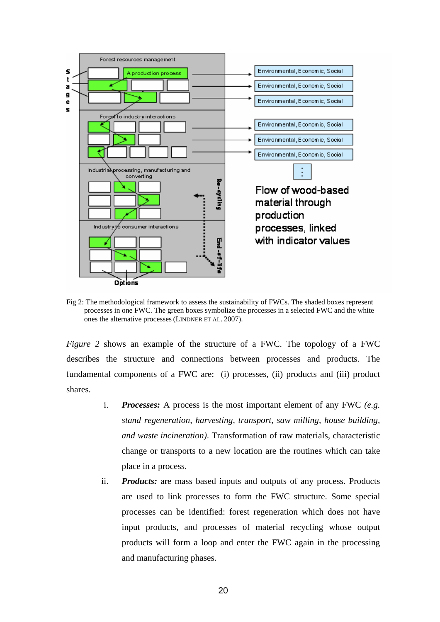

Fig 2: The methodological framework to assess the sustainability of FWCs. The shaded boxes represent processes in one FWC. The green boxes symbolize the processes in a selected FWC and the white ones the alternative processes(LINDNER ET AL. 2007).

*Figure 2* shows an example of the structure of a FWC. The topology of a FWC describes the structure and connections between processes and products. The fundamental components of a FWC are: (i) processes, (ii) products and (iii) product shares.

- i. *Processes:* A process is the most important element of any FWC *(e.g. stand regeneration, harvesting, transport, saw milling, house building, and waste incineration)*. Transformation of raw materials, characteristic change or transports to a new location are the routines which can take place in a process.
- ii. *Products:* are mass based inputs and outputs of any process. Products are used to link processes to form the FWC structure. Some special processes can be identified: forest regeneration which does not have input products, and processes of material recycling whose output products will form a loop and enter the FWC again in the processing and manufacturing phases.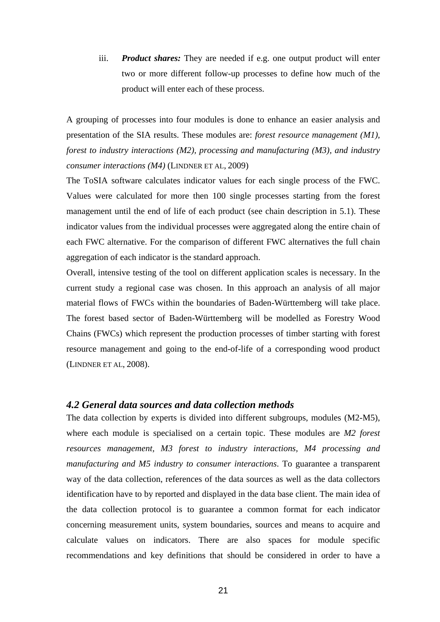iii. *Product shares:* They are needed if e.g. one output product will enter two or more different follow-up processes to define how much of the product will enter each of these process.

A grouping of processes into four modules is done to enhance an easier analysis and presentation of the SIA results. These modules are: *forest resource management (M1), forest to industry interactions (M2), processing and manufacturing (M3), and industry consumer interactions (M4)* (LINDNER ET AL, 2009)

The ToSIA software calculates indicator values for each single process of the FWC. Values were calculated for more then 100 single processes starting from the forest management until the end of life of each product (see chain description in 5.1). These indicator values from the individual processes were aggregated along the entire chain of each FWC alternative. For the comparison of different FWC alternatives the full chain aggregation of each indicator is the standard approach.

Overall, intensive testing of the tool on different application scales is necessary. In the current study a regional case was chosen. In this approach an analysis of all major material flows of FWCs within the boundaries of Baden-Württemberg will take place. The forest based sector of Baden-Württemberg will be modelled as Forestry Wood Chains (FWCs) which represent the production processes of timber starting with forest resource management and going to the end-of-life of a corresponding wood product (LINDNER ET AL, 2008).

#### *4.2 General data sources and data collection methods*

The data collection by experts is divided into different subgroups, modules (M2-M5), where each module is specialised on a certain topic. These modules are *M2 forest resources management, M3 forest to industry interactions, M4 processing and manufacturing and M5 industry to consumer interactions*. To guarantee a transparent way of the data collection, references of the data sources as well as the data collectors identification have to by reported and displayed in the data base client. The main idea of the data collection protocol is to guarantee a common format for each indicator concerning measurement units, system boundaries, sources and means to acquire and calculate values on indicators. There are also spaces for module specific recommendations and key definitions that should be considered in order to have a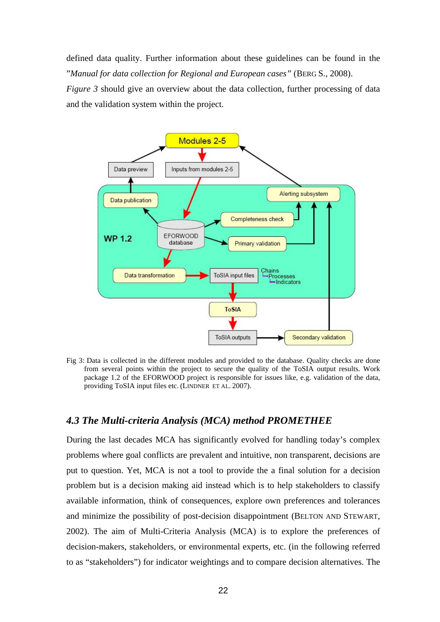defined data quality. Further information about these guidelines can be found in the "*Manual for data collection for Regional and European cases"* (BERG S., 2008).

*Figure 3* should give an overview about the data collection, further processing of data and the validation system within the project.



Fig 3: Data is collected in the different modules and provided to the database. Quality checks are done from several points within the project to secure the quality of the ToSIA output results. Work package 1.2 of the EFORWOOD project is responsible for issues like, e.g. validation of the data, providing ToSIA input files etc. (LINDNER ET AL. 2007).

#### *4.3 The Multi-criteria Analysis (MCA) method PROMETHEE*

During the last decades MCA has significantly evolved for handling today's complex problems where goal conflicts are prevalent and intuitive, non transparent, decisions are put to question. Yet, MCA is not a tool to provide the a final solution for a decision problem but is a decision making aid instead which is to help stakeholders to classify available information, think of consequences, explore own preferences and tolerances and minimize the possibility of post-decision disappointment (BELTON AND STEWART, 2002). The aim of Multi-Criteria Analysis (MCA) is to explore the preferences of decision-makers, stakeholders, or environmental experts, etc. (in the following referred to as "stakeholders") for indicator weightings and to compare decision alternatives. The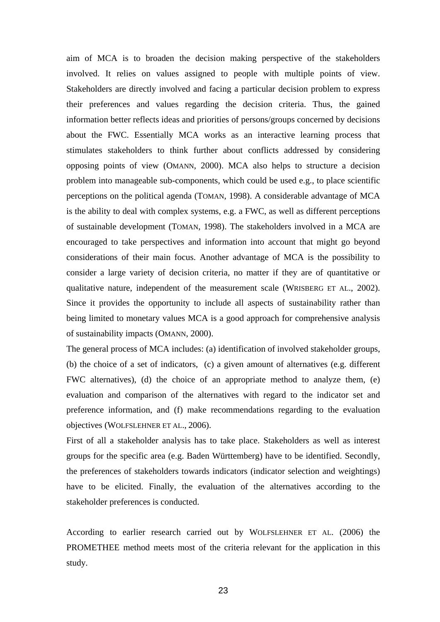aim of MCA is to broaden the decision making perspective of the stakeholders involved. It relies on values assigned to people with multiple points of view. Stakeholders are directly involved and facing a particular decision problem to express their preferences and values regarding the decision criteria. Thus, the gained information better reflects ideas and priorities of persons/groups concerned by decisions about the FWC. Essentially MCA works as an interactive learning process that stimulates stakeholders to think further about conflicts addressed by considering opposing points of view (OMANN, 2000). MCA also helps to structure a decision problem into manageable sub-components, which could be used e.g., to place scientific perceptions on the political agenda (TOMAN, 1998). A considerable advantage of MCA is the ability to deal with complex systems, e.g. a FWC, as well as different perceptions of sustainable development (TOMAN, 1998). The stakeholders involved in a MCA are encouraged to take perspectives and information into account that might go beyond considerations of their main focus. Another advantage of MCA is the possibility to consider a large variety of decision criteria, no matter if they are of quantitative or qualitative nature, independent of the measurement scale (WRISBERG ET AL., 2002). Since it provides the opportunity to include all aspects of sustainability rather than being limited to monetary values MCA is a good approach for comprehensive analysis of sustainability impacts (OMANN, 2000).

The general process of MCA includes: (a) identification of involved stakeholder groups, (b) the choice of a set of indicators, (c) a given amount of alternatives (e.g. different FWC alternatives), (d) the choice of an appropriate method to analyze them, (e) evaluation and comparison of the alternatives with regard to the indicator set and preference information, and (f) make recommendations regarding to the evaluation objectives (WOLFSLEHNER ET AL., 2006).

First of all a stakeholder analysis has to take place. Stakeholders as well as interest groups for the specific area (e.g. Baden Württemberg) have to be identified. Secondly, the preferences of stakeholders towards indicators (indicator selection and weightings) have to be elicited. Finally, the evaluation of the alternatives according to the stakeholder preferences is conducted.

According to earlier research carried out by WOLFSLEHNER ET AL. (2006) the PROMETHEE method meets most of the criteria relevant for the application in this study.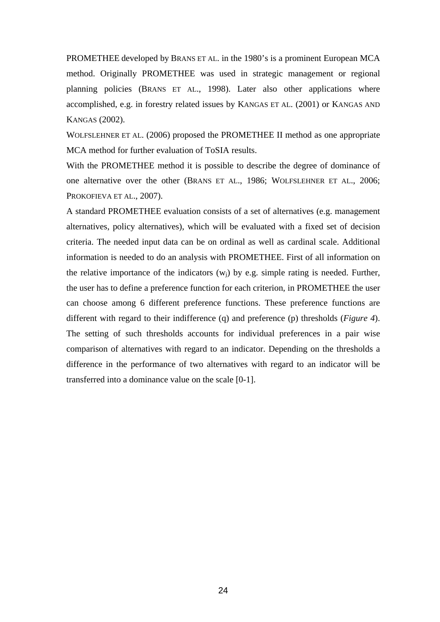PROMETHEE developed by BRANS ET AL. in the 1980's is a prominent European MCA method. Originally PROMETHEE was used in strategic management or regional planning policies (BRANS ET AL., 1998). Later also other applications where accomplished, e.g. in forestry related issues by KANGAS ET AL. (2001) or KANGAS AND KANGAS (2002).

WOLFSLEHNER ET AL. (2006) proposed the PROMETHEE II method as one appropriate MCA method for further evaluation of ToSIA results.

With the PROMETHEE method it is possible to describe the degree of dominance of one alternative over the other (BRANS ET AL., 1986; WOLFSLEHNER ET AL., 2006; PROKOFIEVA ET AL., 2007).

A standard PROMETHEE evaluation consists of a set of alternatives (e.g. management alternatives, policy alternatives), which will be evaluated with a fixed set of decision criteria. The needed input data can be on ordinal as well as cardinal scale. Additional information is needed to do an analysis with PROMETHEE. First of all information on the relative importance of the indicators  $(w_i)$  by e.g. simple rating is needed. Further, the user has to define a preference function for each criterion, in PROMETHEE the user can choose among 6 different preference functions. These preference functions are different with regard to their indifference (q) and preference (p) thresholds (*Figure 4*). The setting of such thresholds accounts for individual preferences in a pair wise comparison of alternatives with regard to an indicator. Depending on the thresholds a difference in the performance of two alternatives with regard to an indicator will be transferred into a dominance value on the scale [0-1].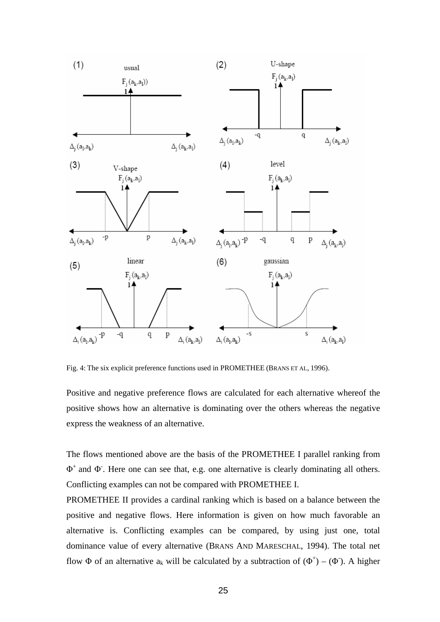

Fig. 4: The six explicit preference functions used in PROMETHEE (BRANS ET AL, 1996).

Positive and negative preference flows are calculated for each alternative whereof the positive shows how an alternative is dominating over the others whereas the negative express the weakness of an alternative.

The flows mentioned above are the basis of the PROMETHEE I parallel ranking from  $\Phi^+$  and  $\Phi^-$ . Here one can see that, e.g. one alternative is clearly dominating all others. Conflicting examples can not be compared with PROMETHEE I.

PROMETHEE II provides a cardinal ranking which is based on a balance between the positive and negative flows. Here information is given on how much favorable an alternative is. Conflicting examples can be compared, by using just one, total dominance value of every alternative (BRANS AND MARESCHAL, 1994). The total net flow  $\Phi$  of an alternative  $a_k$  will be calculated by a subtraction of  $(\Phi^+) - (\Phi)$ . A higher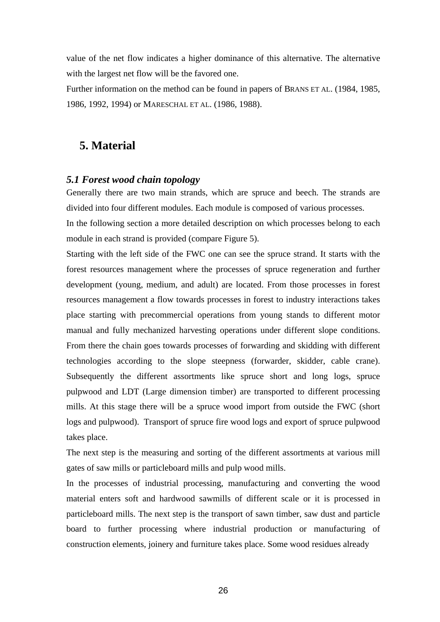value of the net flow indicates a higher dominance of this alternative. The alternative with the largest net flow will be the favored one.

Further information on the method can be found in papers of BRANS ET AL. (1984, 1985, 1986, 1992, 1994) or MARESCHAL ET AL. (1986, 1988).

## **5. Material**

#### *5.1 Forest wood chain topology*

Generally there are two main strands, which are spruce and beech. The strands are divided into four different modules. Each module is composed of various processes.

In the following section a more detailed description on which processes belong to each module in each strand is provided (compare Figure 5).

Starting with the left side of the FWC one can see the spruce strand. It starts with the forest resources management where the processes of spruce regeneration and further development (young, medium, and adult) are located. From those processes in forest resources management a flow towards processes in forest to industry interactions takes place starting with precommercial operations from young stands to different motor manual and fully mechanized harvesting operations under different slope conditions. From there the chain goes towards processes of forwarding and skidding with different technologies according to the slope steepness (forwarder, skidder, cable crane). Subsequently the different assortments like spruce short and long logs, spruce pulpwood and LDT (Large dimension timber) are transported to different processing mills. At this stage there will be a spruce wood import from outside the FWC (short logs and pulpwood). Transport of spruce fire wood logs and export of spruce pulpwood takes place.

The next step is the measuring and sorting of the different assortments at various mill gates of saw mills or particleboard mills and pulp wood mills.

In the processes of industrial processing, manufacturing and converting the wood material enters soft and hardwood sawmills of different scale or it is processed in particleboard mills. The next step is the transport of sawn timber, saw dust and particle board to further processing where industrial production or manufacturing of construction elements, joinery and furniture takes place. Some wood residues already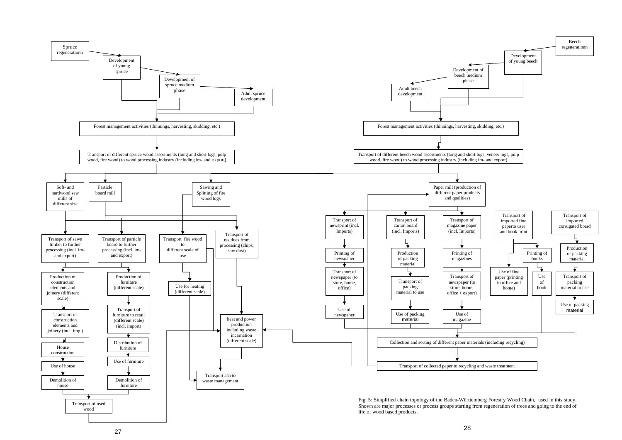

<sup>27</sup>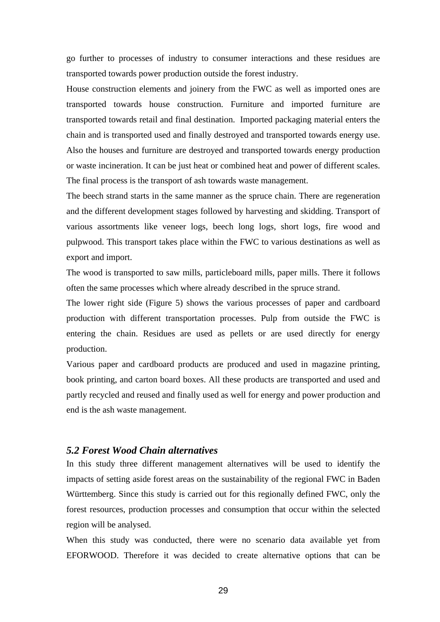go further to processes of industry to consumer interactions and these residues are transported towards power production outside the forest industry.

House construction elements and joinery from the FWC as well as imported ones are transported towards house construction. Furniture and imported furniture are transported towards retail and final destination. Imported packaging material enters the chain and is transported used and finally destroyed and transported towards energy use. Also the houses and furniture are destroyed and transported towards energy production or waste incineration. It can be just heat or combined heat and power of different scales. The final process is the transport of ash towards waste management.

The beech strand starts in the same manner as the spruce chain. There are regeneration and the different development stages followed by harvesting and skidding. Transport of various assortments like veneer logs, beech long logs, short logs, fire wood and pulpwood. This transport takes place within the FWC to various destinations as well as export and import.

The wood is transported to saw mills, particleboard mills, paper mills. There it follows often the same processes which where already described in the spruce strand.

The lower right side (Figure 5) shows the various processes of paper and cardboard production with different transportation processes. Pulp from outside the FWC is entering the chain. Residues are used as pellets or are used directly for energy production.

Various paper and cardboard products are produced and used in magazine printing, book printing, and carton board boxes. All these products are transported and used and partly recycled and reused and finally used as well for energy and power production and end is the ash waste management.

#### *5.2 Forest Wood Chain alternatives*

In this study three different management alternatives will be used to identify the impacts of setting aside forest areas on the sustainability of the regional FWC in Baden Württemberg. Since this study is carried out for this regionally defined FWC, only the forest resources, production processes and consumption that occur within the selected region will be analysed.

When this study was conducted, there were no scenario data available yet from EFORWOOD. Therefore it was decided to create alternative options that can be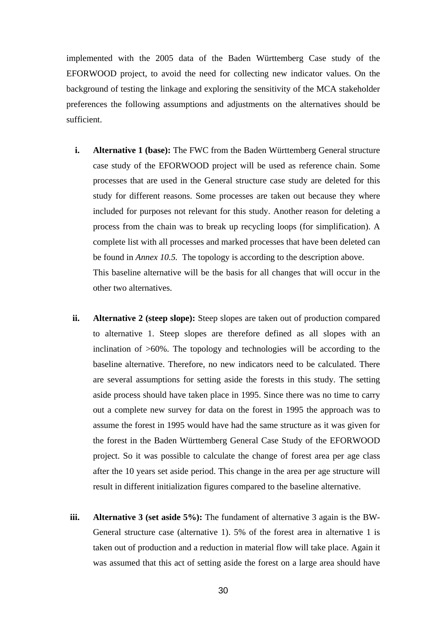implemented with the 2005 data of the Baden Württemberg Case study of the EFORWOOD project, to avoid the need for collecting new indicator values. On the background of testing the linkage and exploring the sensitivity of the MCA stakeholder preferences the following assumptions and adjustments on the alternatives should be sufficient.

- **i. Alternative 1 (base):** The FWC from the Baden Württemberg General structure case study of the EFORWOOD project will be used as reference chain. Some processes that are used in the General structure case study are deleted for this study for different reasons. Some processes are taken out because they where included for purposes not relevant for this study. Another reason for deleting a process from the chain was to break up recycling loops (for simplification). A complete list with all processes and marked processes that have been deleted can be found in *Annex 10.5.* The topology is according to the description above. This baseline alternative will be the basis for all changes that will occur in the other two alternatives.
- **ii. Alternative 2 (steep slope):** Steep slopes are taken out of production compared to alternative 1. Steep slopes are therefore defined as all slopes with an inclination of >60%. The topology and technologies will be according to the baseline alternative. Therefore, no new indicators need to be calculated. There are several assumptions for setting aside the forests in this study. The setting aside process should have taken place in 1995. Since there was no time to carry out a complete new survey for data on the forest in 1995 the approach was to assume the forest in 1995 would have had the same structure as it was given for the forest in the Baden Württemberg General Case Study of the EFORWOOD project. So it was possible to calculate the change of forest area per age class after the 10 years set aside period. This change in the area per age structure will result in different initialization figures compared to the baseline alternative.
- **iii. Alternative 3 (set aside 5%):** The fundament of alternative 3 again is the BW-General structure case (alternative 1). 5% of the forest area in alternative 1 is taken out of production and a reduction in material flow will take place. Again it was assumed that this act of setting aside the forest on a large area should have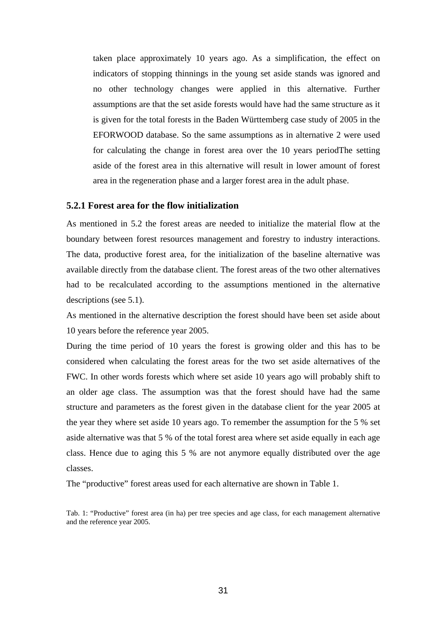taken place approximately 10 years ago. As a simplification, the effect on indicators of stopping thinnings in the young set aside stands was ignored and no other technology changes were applied in this alternative. Further assumptions are that the set aside forests would have had the same structure as it is given for the total forests in the Baden Württemberg case study of 2005 in the EFORWOOD database. So the same assumptions as in alternative 2 were used for calculating the change in forest area over the 10 years periodThe setting aside of the forest area in this alternative will result in lower amount of forest area in the regeneration phase and a larger forest area in the adult phase.

#### **5.2.1 Forest area for the flow initialization**

As mentioned in 5.2 the forest areas are needed to initialize the material flow at the boundary between forest resources management and forestry to industry interactions. The data, productive forest area, for the initialization of the baseline alternative was available directly from the database client. The forest areas of the two other alternatives had to be recalculated according to the assumptions mentioned in the alternative descriptions (see 5.1).

As mentioned in the alternative description the forest should have been set aside about 10 years before the reference year 2005.

During the time period of 10 years the forest is growing older and this has to be considered when calculating the forest areas for the two set aside alternatives of the FWC. In other words forests which where set aside 10 years ago will probably shift to an older age class. The assumption was that the forest should have had the same structure and parameters as the forest given in the database client for the year 2005 at the year they where set aside 10 years ago. To remember the assumption for the 5 % set aside alternative was that 5 % of the total forest area where set aside equally in each age class. Hence due to aging this 5 % are not anymore equally distributed over the age classes.

The "productive" forest areas used for each alternative are shown in Table 1.

Tab. 1: "Productive" forest area (in ha) per tree species and age class, for each management alternative and the reference year 2005.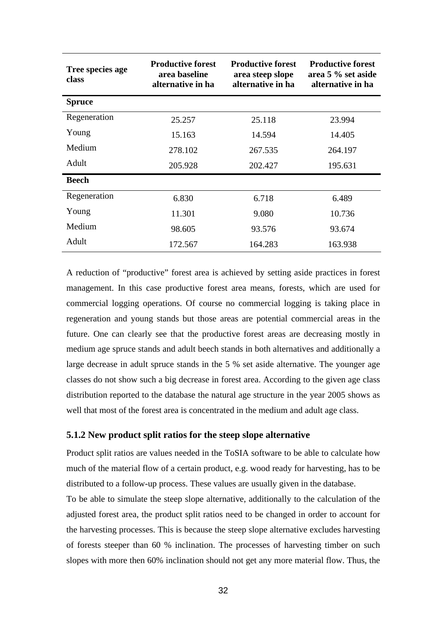| Tree species age<br>class | <b>Productive forest</b><br>area baseline<br>alternative in ha | <b>Productive forest</b><br>area steep slope<br>alternative in ha | <b>Productive forest</b><br>area 5 % set aside<br>alternative in ha |  |
|---------------------------|----------------------------------------------------------------|-------------------------------------------------------------------|---------------------------------------------------------------------|--|
| <b>Spruce</b>             |                                                                |                                                                   |                                                                     |  |
| Regeneration              | 25.257                                                         | 25.118                                                            | 23.994                                                              |  |
| Young                     | 15.163                                                         | 14.594                                                            | 14.405                                                              |  |
| Medium                    | 278.102                                                        | 267.535                                                           | 264.197                                                             |  |
| Adult                     | 205.928                                                        | 202.427                                                           | 195.631                                                             |  |
| <b>Beech</b>              |                                                                |                                                                   |                                                                     |  |
| Regeneration              | 6.830                                                          | 6.718                                                             | 6.489                                                               |  |
| Young                     | 11.301                                                         | 9.080                                                             | 10.736                                                              |  |
| Medium                    | 98.605                                                         | 93.576                                                            | 93.674                                                              |  |
| Adult                     | 172.567                                                        | 164.283                                                           | 163.938                                                             |  |

A reduction of "productive" forest area is achieved by setting aside practices in forest management. In this case productive forest area means, forests, which are used for commercial logging operations. Of course no commercial logging is taking place in regeneration and young stands but those areas are potential commercial areas in the future. One can clearly see that the productive forest areas are decreasing mostly in medium age spruce stands and adult beech stands in both alternatives and additionally a large decrease in adult spruce stands in the 5 % set aside alternative. The younger age classes do not show such a big decrease in forest area. According to the given age class distribution reported to the database the natural age structure in the year 2005 shows as well that most of the forest area is concentrated in the medium and adult age class.

#### **5.1.2 New product split ratios for the steep slope alternative**

Product split ratios are values needed in the ToSIA software to be able to calculate how much of the material flow of a certain product, e.g. wood ready for harvesting, has to be distributed to a follow-up process. These values are usually given in the database.

To be able to simulate the steep slope alternative, additionally to the calculation of the adjusted forest area, the product split ratios need to be changed in order to account for the harvesting processes. This is because the steep slope alternative excludes harvesting of forests steeper than 60 % inclination. The processes of harvesting timber on such slopes with more then 60% inclination should not get any more material flow. Thus, the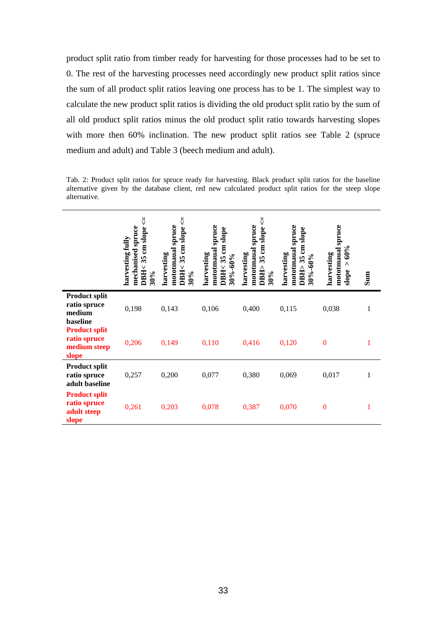product split ratio from timber ready for harvesting for those processes had to be set to 0. The rest of the harvesting processes need accordingly new product split ratios since the sum of all product split ratios leaving one process has to be 1. The simplest way to calculate the new product split ratios is dividing the old product split ratio by the sum of all old product split ratios minus the old product split ratio towards harvesting slopes with more then 60% inclination. The new product split ratios see Table 2 (spruce medium and adult) and Table 3 (beech medium and adult).

Tab. 2: Product split ratios for spruce ready for harvesting. Black product split ratios for the baseline alternative given by the database client, red new calculated product split ratios for the steep slope alternative.

|                                                               | ₩<br>mechanised spruce<br>35 cm slope<br>harvesting fully<br><b>DBH&lt;</b><br>30% | ₩<br>spruce<br>cm slope<br>mototmaual<br>harvesting<br>35<br>DBH<<br>30% | spruce<br>slope<br>$\epsilon$ m<br>mototmaual<br>harvesting<br>$30\% - 60\%$<br>35<br><b>DBH&lt;</b> | ₩<br>spruce<br>cm slope<br>mototmaual<br>harvesting<br>35<br><b>OBH&gt;</b><br>30% | mototmaual spruce<br>slope<br>$DBH > 35$ cm<br>harvesting<br>$30\% - 60\%$ | mototmaual spruce<br>60%<br>harvesting<br>Λ<br>slope | Sum |
|---------------------------------------------------------------|------------------------------------------------------------------------------------|--------------------------------------------------------------------------|------------------------------------------------------------------------------------------------------|------------------------------------------------------------------------------------|----------------------------------------------------------------------------|------------------------------------------------------|-----|
| <b>Product split</b><br>ratio spruce<br>medium<br>baseline    | 0,198                                                                              | 0,143                                                                    | 0,106                                                                                                | 0,400                                                                              | 0,115                                                                      | 0,038                                                | 1   |
| <b>Product split</b><br>ratio spruce<br>medium steep<br>slope | 0,206                                                                              | 0,149                                                                    | 0,110                                                                                                | 0,416                                                                              | 0,120                                                                      | $\mathbf{0}$                                         |     |
| <b>Product split</b><br>ratio spruce<br>adult baseline        | 0,257                                                                              | 0,200                                                                    | 0,077                                                                                                | 0,380                                                                              | 0,069                                                                      | 0,017                                                | 1   |
| <b>Product split</b><br>ratio spruce<br>adult steep<br>slope  | 0,261                                                                              | 0,203                                                                    | 0,078                                                                                                | 0,387                                                                              | 0,070                                                                      | $\mathbf{0}$                                         |     |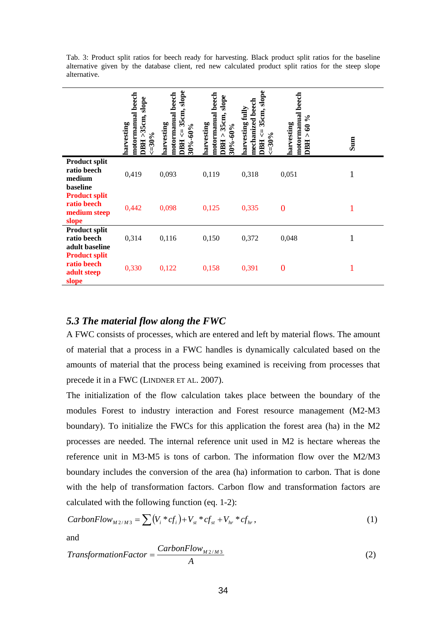Tab. 3: Product split ratios for beech ready for harvesting. Black product split ratios for the baseline alternative given by the database client, red new calculated product split ratios for the steep slope alternative.

|                                                              | motormanual beech<br>slope<br>5cm,<br>harvesting<br>న<br>$=30%$<br>DBH | slope<br>motormanual beech<br>5cm,<br>harvesting<br>ొ<br>30%-60%<br>DBH | motormanual beech<br>slope<br>35cm,<br>harvesting<br>30%-60%<br>DBH | 35cm, slope<br>mechanized beech<br>harvesting fully<br>ll<br>V<br>$= 30\%$<br>DBH. | beech<br>motormanual<br>$\%$<br>harvesting<br>$\mathbf{\hat{e}}$<br>DBH | Sum |
|--------------------------------------------------------------|------------------------------------------------------------------------|-------------------------------------------------------------------------|---------------------------------------------------------------------|------------------------------------------------------------------------------------|-------------------------------------------------------------------------|-----|
| <b>Product split</b><br>ratio beech<br>medium<br>baseline    | 0,419                                                                  | 0,093                                                                   | 0,119                                                               | 0,318                                                                              | 0,051                                                                   | 1   |
| <b>Product split</b><br>ratio beech<br>medium steep<br>slope | 0,442                                                                  | 0,098                                                                   | 0,125                                                               | 0,335                                                                              | $\boldsymbol{0}$                                                        | 1   |
| <b>Product split</b><br>ratio beech<br>adult baseline        | 0,314                                                                  | 0,116                                                                   | 0,150                                                               | 0,372                                                                              | 0,048                                                                   | 1   |
| <b>Product split</b><br>ratio beech<br>adult steep<br>slope  | 0,330                                                                  | 0,122                                                                   | 0,158                                                               | 0,391                                                                              | $\mathbf{0}$                                                            | 1   |

## *5.3 The material flow along the FWC*

A FWC consists of processes, which are entered and left by material flows. The amount of material that a process in a FWC handles is dynamically calculated based on the amounts of material that the process being examined is receiving from processes that precede it in a FWC (LINDNER ET AL. 2007).

The initialization of the flow calculation takes place between the boundary of the modules Forest to industry interaction and Forest resource management (M2-M3 boundary). To initialize the FWCs for this application the forest area (ha) in the M2 processes are needed. The internal reference unit used in M2 is hectare whereas the reference unit in M3-M5 is tons of carbon. The information flow over the M2/M3 boundary includes the conversion of the area (ha) information to carbon. That is done with the help of transformation factors. Carbon flow and transformation factors are calculated with the following function (eq. 1-2):

$$
CarbonFlow_{M2/M3} = \sum (V_i * cf_i) + V_{st} * cf_{st} + V_{hr} * cf_{hr},
$$
\n(1)

and

$$
TransformationFactor = \frac{CarbonFlow_{M2/M3}}{A}
$$
 (2)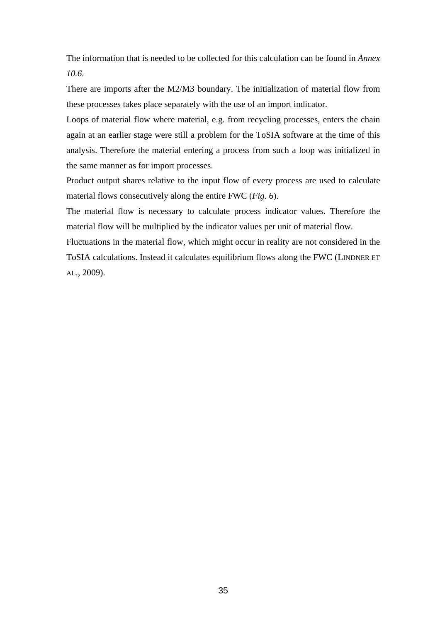The information that is needed to be collected for this calculation can be found in *Annex 10.6.* 

There are imports after the M2/M3 boundary. The initialization of material flow from these processes takes place separately with the use of an import indicator.

Loops of material flow where material, e.g. from recycling processes, enters the chain again at an earlier stage were still a problem for the ToSIA software at the time of this analysis. Therefore the material entering a process from such a loop was initialized in the same manner as for import processes.

Product output shares relative to the input flow of every process are used to calculate material flows consecutively along the entire FWC (*Fig. 6*).

The material flow is necessary to calculate process indicator values. Therefore the material flow will be multiplied by the indicator values per unit of material flow.

Fluctuations in the material flow, which might occur in reality are not considered in the ToSIA calculations. Instead it calculates equilibrium flows along the FWC (LINDNER ET AL., 2009).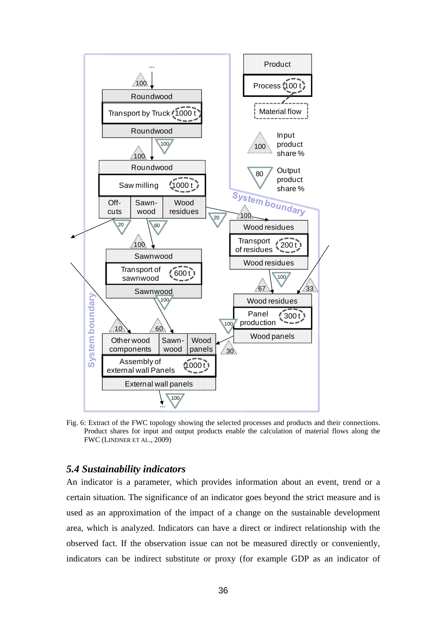

Fig. 6: Extract of the FWC topology showing the selected processes and products and their connections. Product shares for input and output products enable the calculation of material flows along the FWC (LINDNER ET AL., 2009)

#### *5.4 Sustainability indicators*

An indicator is a parameter, which provides information about an event, trend or a certain situation. The significance of an indicator goes beyond the strict measure and is used as an approximation of the impact of a change on the sustainable development area, which is analyzed. Indicators can have a direct or indirect relationship with the observed fact. If the observation issue can not be measured directly or conveniently, indicators can be indirect substitute or proxy (for example GDP as an indicator of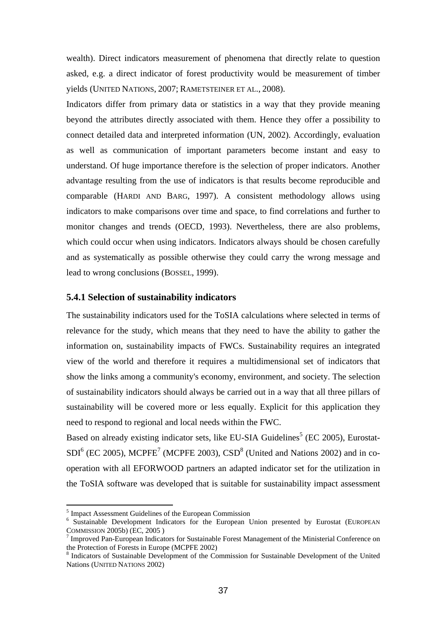wealth). Direct indicators measurement of phenomena that directly relate to question asked, e.g. a direct indicator of forest productivity would be measurement of timber yields (UNITED NATIONS, 2007; RAMETSTEINER ET AL., 2008).

Indicators differ from primary data or statistics in a way that they provide meaning beyond the attributes directly associated with them. Hence they offer a possibility to connect detailed data and interpreted information (UN, 2002). Accordingly, evaluation as well as communication of important parameters become instant and easy to understand. Of huge importance therefore is the selection of proper indicators. Another advantage resulting from the use of indicators is that results become reproducible and comparable (HARDI AND BARG, 1997). A consistent methodology allows using indicators to make comparisons over time and space, to find correlations and further to monitor changes and trends (OECD, 1993). Nevertheless, there are also problems, which could occur when using indicators. Indicators always should be chosen carefully and as systematically as possible otherwise they could carry the wrong message and lead to wrong conclusions (BOSSEL, 1999).

#### **5.4.1 Selection of sustainability indicators**

The sustainability indicators used for the ToSIA calculations where selected in terms of relevance for the study, which means that they need to have the ability to gather the information on, sustainability impacts of FWCs. Sustainability requires an integrated view of the world and therefore it requires a multidimensional set of indicators that show the links among a community's economy, environment, and society. The selection of sustainability indicators should always be carried out in a way that all three pillars of sustainability will be covered more or less equally. Explicit for this application they need to respond to regional and local needs within the FWC.

Based on already existing indicator sets, like EU-SIA Guidelines<sup>5</sup> (EC 2005), Eurostat- $SDI<sup>6</sup>$  (EC 2005), MCPFE<sup>7</sup> (MCPFE 2003),  $CSD<sup>8</sup>$  (United and Nations 2002) and in cooperation with all EFORWOOD partners an adapted indicator set for the utilization in the ToSIA software was developed that is suitable for sustainability impact assessment

l

<sup>&</sup>lt;sup>5</sup> Impact Assessment Guidelines of the European Commission

<sup>&</sup>lt;sup>6</sup> Sustainable Development Indicators for the European Union presented by Eurostat (EUROPEAN COMMISSION 2005b) (EC, 2005)

 $<sup>7</sup>$  Improved Pan-European Indicators for Sustainable Forest Management of the Ministerial Conference on</sup> the Protection of Forests in Europe (MCPFE 2002)

<sup>&</sup>lt;sup>8</sup> Indicators of Sustainable Development of the Commission for Sustainable Development of the United Nations (UNITED NATIONS 2002)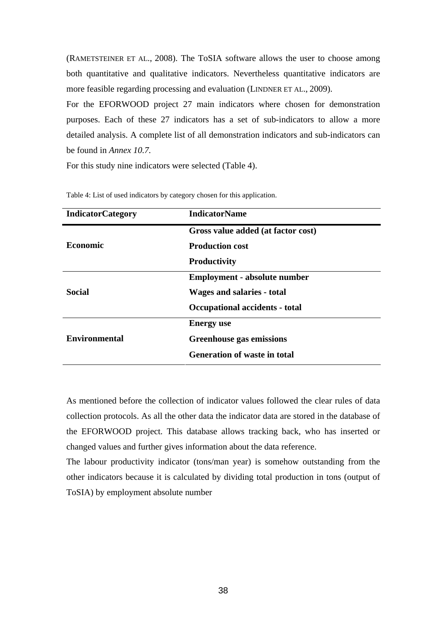(RAMETSTEINER ET AL., 2008). The ToSIA software allows the user to choose among both quantitative and qualitative indicators. Nevertheless quantitative indicators are more feasible regarding processing and evaluation (LINDNER ET AL., 2009).

For the EFORWOOD project 27 main indicators where chosen for demonstration purposes. Each of these 27 indicators has a set of sub-indicators to allow a more detailed analysis. A complete list of all demonstration indicators and sub-indicators can be found in *Annex 10.7.* 

For this study nine indicators were selected (Table 4).

| <b>IndicatorCategory</b> | <b>IndicatorName</b>                  |
|--------------------------|---------------------------------------|
|                          | Gross value added (at factor cost)    |
| <b>Economic</b>          | <b>Production cost</b>                |
|                          | <b>Productivity</b>                   |
|                          | <b>Employment - absolute number</b>   |
| <b>Social</b>            | Wages and salaries - total            |
|                          | <b>Occupational accidents - total</b> |
|                          | <b>Energy</b> use                     |
| <b>Environmental</b>     | <b>Greenhouse gas emissions</b>       |
|                          | <b>Generation of waste in total</b>   |

Table 4: List of used indicators by category chosen for this application.

As mentioned before the collection of indicator values followed the clear rules of data collection protocols. As all the other data the indicator data are stored in the database of the EFORWOOD project. This database allows tracking back, who has inserted or changed values and further gives information about the data reference.

The labour productivity indicator (tons/man year) is somehow outstanding from the other indicators because it is calculated by dividing total production in tons (output of ToSIA) by employment absolute number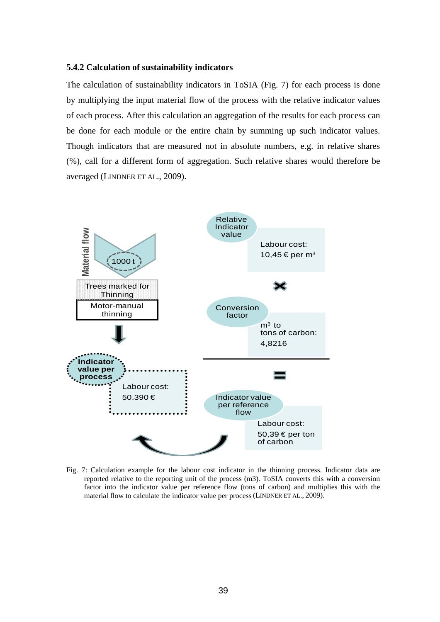#### **5.4.2 Calculation of sustainability indicators**

The calculation of sustainability indicators in ToSIA (Fig. 7) for each process is done by multiplying the input material flow of the process with the relative indicator values of each process. After this calculation an aggregation of the results for each process can be done for each module or the entire chain by summing up such indicator values. Though indicators that are measured not in absolute numbers, e.g. in relative shares (%), call for a different form of aggregation. Such relative shares would therefore be averaged (LINDNER ET AL., 2009).



Fig. 7: Calculation example for the labour cost indicator in the thinning process. Indicator data are reported relative to the reporting unit of the process (m3). ToSIA converts this with a conversion factor into the indicator value per reference flow (tons of carbon) and multiplies this with the material flow to calculate the indicator value per process(LINDNER ET AL., 2009).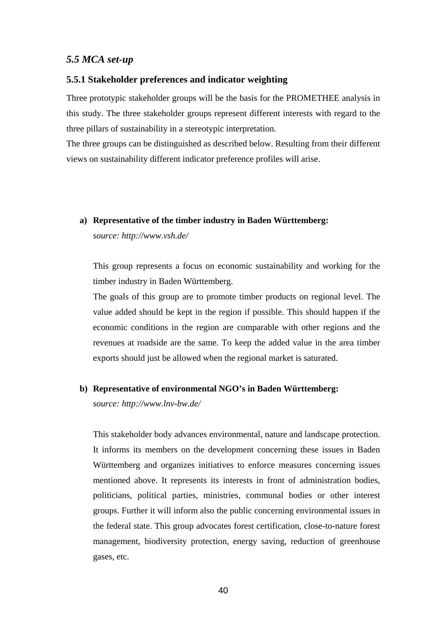## *5.5 MCA set-up*

## **5.5.1 Stakeholder preferences and indicator weighting**

Three prototypic stakeholder groups will be the basis for the PROMETHEE analysis in this study. The three stakeholder groups represent different interests with regard to the three pillars of sustainability in a stereotypic interpretation.

The three groups can be distinguished as described below. Resulting from their different views on sustainability different indicator preference profiles will arise.

#### **a) Representative of the timber industry in Baden Württemberg:**

*source: http://www.vsh.de/* 

This group represents a focus on economic sustainability and working for the timber industry in Baden Württemberg.

The goals of this group are to promote timber products on regional level. The value added should be kept in the region if possible. This should happen if the economic conditions in the region are comparable with other regions and the revenues at roadside are the same. To keep the added value in the area timber exports should just be allowed when the regional market is saturated.

#### **b) Representative of environmental NGO's in Baden Württemberg:**

*source: http://www.lnv-bw.de/* 

This stakeholder body advances environmental, nature and landscape protection. It informs its members on the development concerning these issues in Baden Württemberg and organizes initiatives to enforce measures concerning issues mentioned above. It represents its interests in front of administration bodies, politicians, political parties, ministries, communal bodies or other interest groups. Further it will inform also the public concerning environmental issues in the federal state. This group advocates forest certification, close-to-nature forest management, biodiversity protection, energy saving, reduction of greenhouse gases, etc.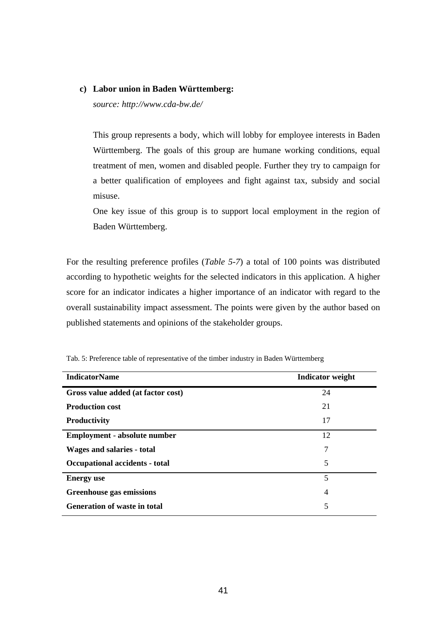#### **c) Labor union in Baden Württemberg:**

*source: http://www.cda-bw.de/* 

This group represents a body, which will lobby for employee interests in Baden Württemberg. The goals of this group are humane working conditions, equal treatment of men, women and disabled people. Further they try to campaign for a better qualification of employees and fight against tax, subsidy and social misuse.

One key issue of this group is to support local employment in the region of Baden Württemberg.

For the resulting preference profiles (*Table 5-7*) a total of 100 points was distributed according to hypothetic weights for the selected indicators in this application. A higher score for an indicator indicates a higher importance of an indicator with regard to the overall sustainability impact assessment. The points were given by the author based on published statements and opinions of the stakeholder groups.

| <b>IndicatorName</b>                | <b>Indicator</b> weight |
|-------------------------------------|-------------------------|
| Gross value added (at factor cost)  | 24                      |
| <b>Production cost</b>              | 21                      |
| <b>Productivity</b>                 | 17                      |
| <b>Employment - absolute number</b> | 12                      |
| Wages and salaries - total          | 7                       |
| Occupational accidents - total      | 5                       |
| <b>Energy</b> use                   | 5                       |
| <b>Greenhouse gas emissions</b>     | 4                       |
| <b>Generation of waste in total</b> | 5                       |

Tab. 5: Preference table of representative of the timber industry in Baden Württemberg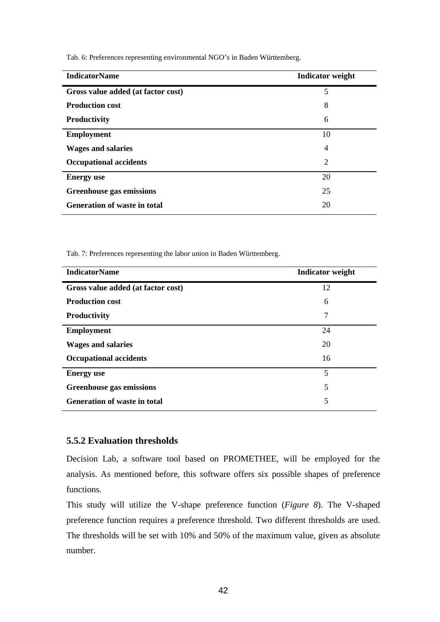| <b>IndicatorName</b>                | <b>Indicator</b> weight |
|-------------------------------------|-------------------------|
| Gross value added (at factor cost)  | 5                       |
| <b>Production cost</b>              | 8                       |
| <b>Productivity</b>                 | 6                       |
| <b>Employment</b>                   | 10                      |
| <b>Wages and salaries</b>           | $\overline{4}$          |
| <b>Occupational accidents</b>       | 2                       |
| <b>Energy</b> use                   | 20                      |
| <b>Greenhouse gas emissions</b>     | 25                      |
| <b>Generation of waste in total</b> | 20                      |

Tab. 6: Preferences representing environmental NGO's in Baden Württemberg.

Tab. 7: Preferences representing the labor union in Baden Württemberg.

| <b>IndicatorName</b>                | <b>Indicator</b> weight |
|-------------------------------------|-------------------------|
| Gross value added (at factor cost)  | 12                      |
| <b>Production cost</b>              | 6                       |
| <b>Productivity</b>                 | 7                       |
| <b>Employment</b>                   | 24                      |
| <b>Wages and salaries</b>           | 20                      |
| <b>Occupational accidents</b>       | 16                      |
| <b>Energy</b> use                   | 5                       |
| <b>Greenhouse gas emissions</b>     | 5                       |
| <b>Generation of waste in total</b> | 5                       |

## **5.5.2 Evaluation thresholds**

Decision Lab, a software tool based on PROMETHEE, will be employed for the analysis. As mentioned before, this software offers six possible shapes of preference functions*.*

This study will utilize the V-shape preference function (*Figure 8*). The V-shaped preference function requires a preference threshold. Two different thresholds are used. The thresholds will be set with 10% and 50% of the maximum value, given as absolute number.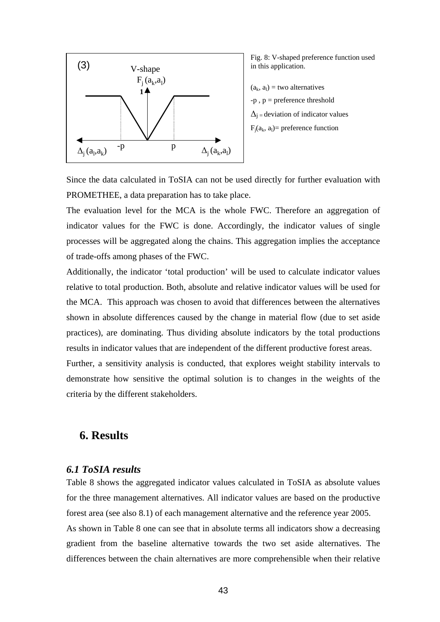

Fig. 8: V-shaped preference function used in this application.

 $(a_k, a_l)$  = two alternatives -p , p = preference threshold  $\Delta_i$  – deviation of indicator values  $F_i(a_k, a_l)$ = preference function

Since the data calculated in ToSIA can not be used directly for further evaluation with PROMETHEE, a data preparation has to take place.

The evaluation level for the MCA is the whole FWC. Therefore an aggregation of indicator values for the FWC is done. Accordingly, the indicator values of single processes will be aggregated along the chains. This aggregation implies the acceptance of trade-offs among phases of the FWC.

Additionally, the indicator 'total production' will be used to calculate indicator values relative to total production. Both, absolute and relative indicator values will be used for the MCA. This approach was chosen to avoid that differences between the alternatives shown in absolute differences caused by the change in material flow (due to set aside practices), are dominating. Thus dividing absolute indicators by the total productions results in indicator values that are independent of the different productive forest areas. Further, a sensitivity analysis is conducted, that explores weight stability intervals to demonstrate how sensitive the optimal solution is to changes in the weights of the criteria by the different stakeholders.

# **6. Results**

## *6.1 ToSIA results*

Table 8 shows the aggregated indicator values calculated in ToSIA as absolute values for the three management alternatives. All indicator values are based on the productive forest area (see also 8.1) of each management alternative and the reference year 2005. As shown in Table 8 one can see that in absolute terms all indicators show a decreasing gradient from the baseline alternative towards the two set aside alternatives. The differences between the chain alternatives are more comprehensible when their relative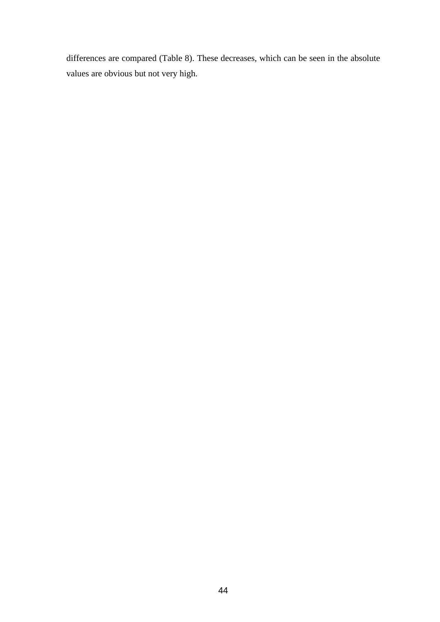differences are compared (Table 8). These decreases, which can be seen in the absolute values are obvious but not very high.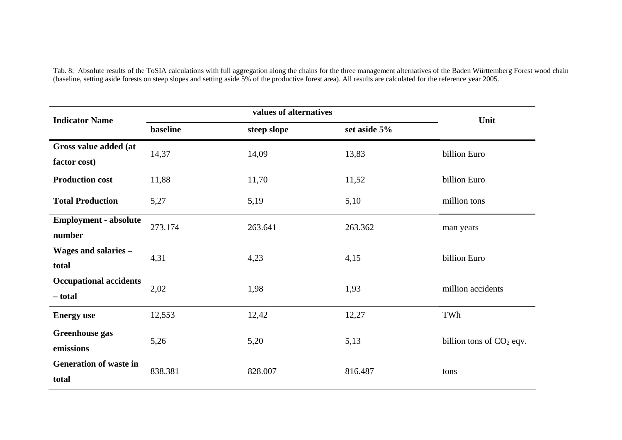Tab. 8: Absolute results of the ToSIA calculations with full aggregation along the chains for the three management alternatives of the Baden Württemberg Forest wood chain (baseline, setting aside forests on steep slopes and setting aside 5% of the productive forest area). All results are calculated for the reference year 2005.

| <b>Indicator Name</b>         | values of alternatives |             |              | Unit                       |
|-------------------------------|------------------------|-------------|--------------|----------------------------|
|                               | baseline               | steep slope | set aside 5% |                            |
| Gross value added (at         | 14,37                  | 14,09       | 13,83        | billion Euro               |
| factor cost)                  |                        |             |              |                            |
| <b>Production cost</b>        | 11,88                  | 11,70       | 11,52        | billion Euro               |
| <b>Total Production</b>       | 5,27                   | 5,19        | 5,10         | million tons               |
| <b>Employment - absolute</b>  | 273.174                | 263.641     | 263.362      | man years                  |
| number                        |                        |             |              |                            |
| <b>Wages and salaries -</b>   | 4,31                   | 4,23        | 4,15         | billion Euro               |
| total                         |                        |             |              |                            |
| <b>Occupational accidents</b> | 2,02                   | 1,98        | 1,93         | million accidents          |
| - total                       |                        |             |              |                            |
| <b>Energy</b> use             | 12,553                 | 12,42       | 12,27        | TWh                        |
| <b>Greenhouse gas</b>         | 5,26                   | 5,20        | 5,13         | billion tons of $CO2$ eqv. |
| emissions                     |                        |             |              |                            |
| <b>Generation of waste in</b> | 838.381                | 828.007     | 816.487      | tons                       |
| total                         |                        |             |              |                            |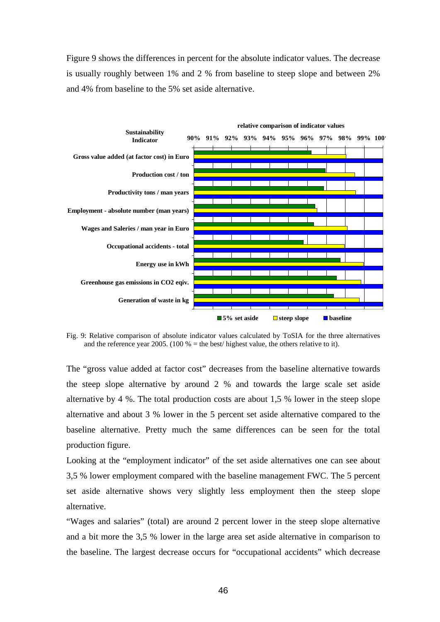Figure 9 shows the differences in percent for the absolute indicator values. The decrease is usually roughly between 1% and 2 % from baseline to steep slope and between 2% and 4% from baseline to the 5% set aside alternative.



Fig. 9: Relative comparison of absolute indicator values calculated by ToSIA for the three alternatives and the reference year 2005. (100  $%$  = the best/ highest value, the others relative to it).

The "gross value added at factor cost" decreases from the baseline alternative towards the steep slope alternative by around 2 % and towards the large scale set aside alternative by 4 %. The total production costs are about 1,5 % lower in the steep slope alternative and about 3 % lower in the 5 percent set aside alternative compared to the baseline alternative. Pretty much the same differences can be seen for the total production figure.

Looking at the "employment indicator" of the set aside alternatives one can see about 3,5 % lower employment compared with the baseline management FWC. The 5 percent set aside alternative shows very slightly less employment then the steep slope alternative.

"Wages and salaries" (total) are around 2 percent lower in the steep slope alternative and a bit more the 3,5 % lower in the large area set aside alternative in comparison to the baseline. The largest decrease occurs for "occupational accidents" which decrease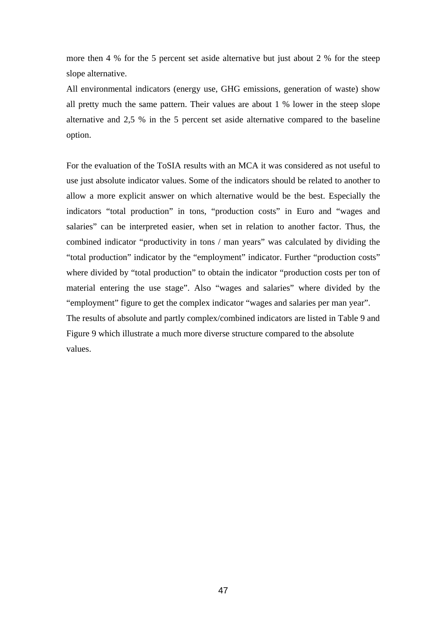more then 4 % for the 5 percent set aside alternative but just about 2 % for the steep slope alternative.

All environmental indicators (energy use, GHG emissions, generation of waste) show all pretty much the same pattern. Their values are about 1 % lower in the steep slope alternative and 2,5 % in the 5 percent set aside alternative compared to the baseline option.

For the evaluation of the ToSIA results with an MCA it was considered as not useful to use just absolute indicator values. Some of the indicators should be related to another to allow a more explicit answer on which alternative would be the best. Especially the indicators "total production" in tons, "production costs" in Euro and "wages and salaries" can be interpreted easier, when set in relation to another factor. Thus, the combined indicator "productivity in tons / man years" was calculated by dividing the "total production" indicator by the "employment" indicator. Further "production costs" where divided by "total production" to obtain the indicator "production costs per ton of material entering the use stage". Also "wages and salaries" where divided by the "employment" figure to get the complex indicator "wages and salaries per man year". The results of absolute and partly complex/combined indicators are listed in Table 9 and Figure 9 which illustrate a much more diverse structure compared to the absolute values.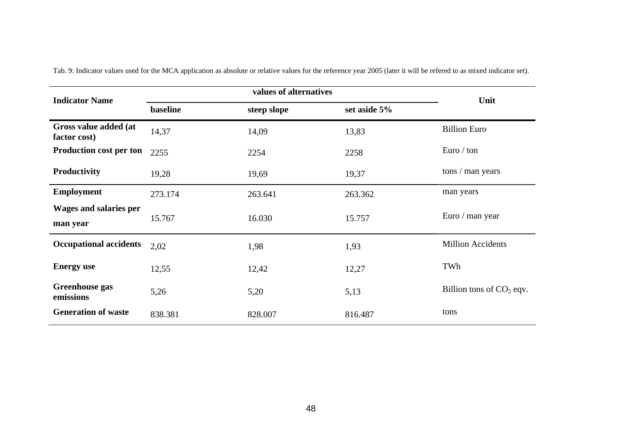| <b>Indicator Name</b>                     | values of alternatives |             |              | Unit                       |
|-------------------------------------------|------------------------|-------------|--------------|----------------------------|
|                                           | baseline               | steep slope | set aside 5% |                            |
| Gross value added (at<br>factor cost)     | 14,37                  | 14,09       | 13,83        | <b>Billion Euro</b>        |
| Production cost per ton                   | 2255                   | 2254        | 2258         | Euro / ton                 |
| Productivity                              | 19,28                  | 19,69       | 19,37        | tons / man years           |
| <b>Employment</b>                         | 273.174                | 263.641     | 263.362      | man years                  |
| <b>Wages and salaries per</b><br>man year | 15.767                 | 16.030      | 15.757       | Euro / man year            |
| <b>Occupational accidents</b>             | 2,02                   | 1,98        | 1,93         | <b>Million Accidents</b>   |
| <b>Energy</b> use                         | 12,55                  | 12,42       | 12,27        | TWh                        |
| <b>Greenhouse gas</b><br>emissions        | 5,26                   | 5,20        | 5,13         | Billion tons of $CO2$ eqv. |
| <b>Generation of waste</b>                | 838.381                | 828.007     | 816.487      | tons                       |

Tab. 9: Indicator values used for the MCA application as absolute or relative values for the reference year 2005 (later it will be refered to as mixed indicator set).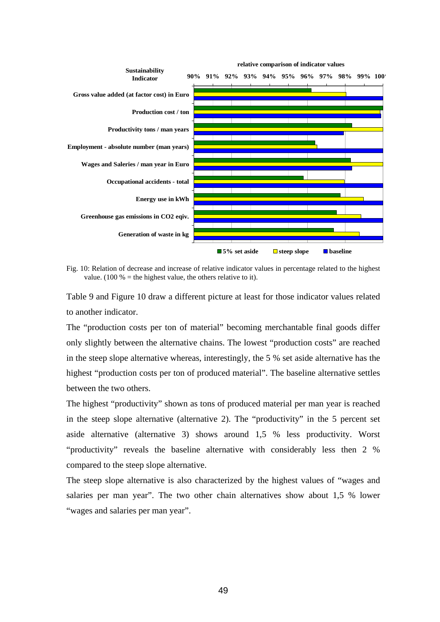

Fig. 10: Relation of decrease and increase of relative indicator values in percentage related to the highest value. (100  $%$  = the highest value, the others relative to it).

Table 9 and Figure 10 draw a different picture at least for those indicator values related to another indicator.

The "production costs per ton of material" becoming merchantable final goods differ only slightly between the alternative chains. The lowest "production costs" are reached in the steep slope alternative whereas, interestingly, the 5 % set aside alternative has the highest "production costs per ton of produced material". The baseline alternative settles between the two others.

The highest "productivity" shown as tons of produced material per man year is reached in the steep slope alternative (alternative 2). The "productivity" in the 5 percent set aside alternative (alternative 3) shows around 1,5 % less productivity. Worst "productivity" reveals the baseline alternative with considerably less then 2 % compared to the steep slope alternative.

The steep slope alternative is also characterized by the highest values of "wages and salaries per man year". The two other chain alternatives show about 1,5 % lower "wages and salaries per man year".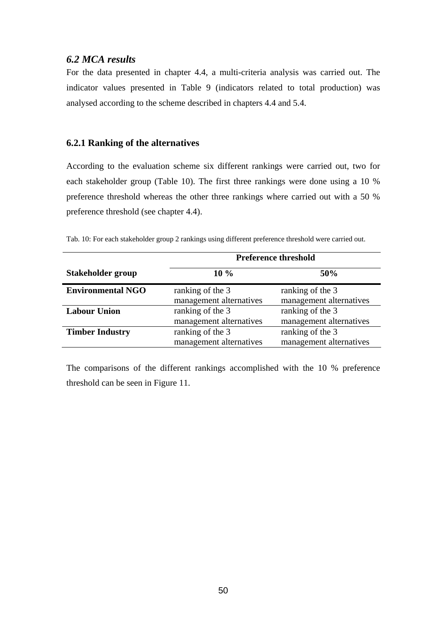## *6.2 MCA results*

For the data presented in chapter 4.4, a multi-criteria analysis was carried out. The indicator values presented in Table 9 (indicators related to total production) was analysed according to the scheme described in chapters 4.4 and 5.4.

## **6.2.1 Ranking of the alternatives**

According to the evaluation scheme six different rankings were carried out, two for each stakeholder group (Table 10). The first three rankings were done using a 10 % preference threshold whereas the other three rankings where carried out with a 50 % preference threshold (see chapter 4.4).

Tab. 10: For each stakeholder group 2 rankings using different preference threshold were carried out.

|                          | <b>Preference threshold</b> |                         |  |
|--------------------------|-----------------------------|-------------------------|--|
| Stakeholder group        | $10\%$<br>50%               |                         |  |
| <b>Environmental NGO</b> | ranking of the 3            | ranking of the 3        |  |
|                          | management alternatives     | management alternatives |  |
| <b>Labour Union</b>      | ranking of the 3            | ranking of the 3        |  |
|                          | management alternatives     | management alternatives |  |
| <b>Timber Industry</b>   | ranking of the 3            | ranking of the 3        |  |
|                          | management alternatives     | management alternatives |  |

The comparisons of the different rankings accomplished with the 10 % preference threshold can be seen in Figure 11.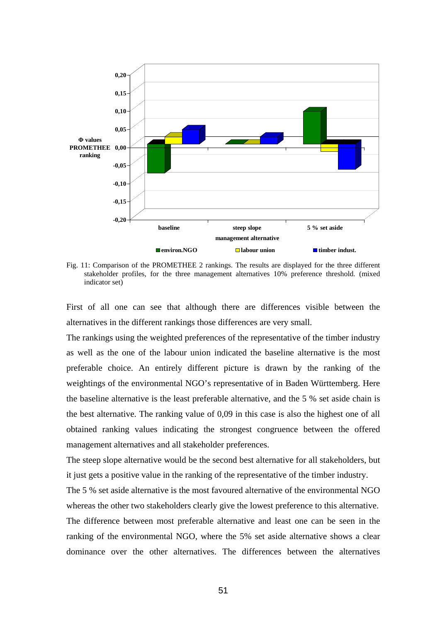

Fig. 11: Comparison of the PROMETHEE 2 rankings. The results are displayed for the three different stakeholder profiles, for the three management alternatives 10% preference threshold. (mixed indicator set)

First of all one can see that although there are differences visible between the alternatives in the different rankings those differences are very small.

The rankings using the weighted preferences of the representative of the timber industry as well as the one of the labour union indicated the baseline alternative is the most preferable choice. An entirely different picture is drawn by the ranking of the weightings of the environmental NGO's representative of in Baden Württemberg. Here the baseline alternative is the least preferable alternative, and the 5 % set aside chain is the best alternative. The ranking value of 0,09 in this case is also the highest one of all obtained ranking values indicating the strongest congruence between the offered management alternatives and all stakeholder preferences.

The steep slope alternative would be the second best alternative for all stakeholders, but it just gets a positive value in the ranking of the representative of the timber industry.

The 5 % set aside alternative is the most favoured alternative of the environmental NGO whereas the other two stakeholders clearly give the lowest preference to this alternative.

The difference between most preferable alternative and least one can be seen in the ranking of the environmental NGO, where the 5% set aside alternative shows a clear dominance over the other alternatives. The differences between the alternatives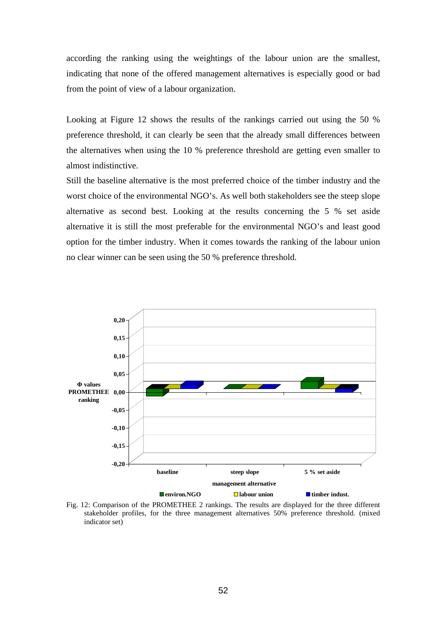according the ranking using the weightings of the labour union are the smallest, indicating that none of the offered management alternatives is especially good or bad from the point of view of a labour organization.

Looking at Figure 12 shows the results of the rankings carried out using the 50 % preference threshold, it can clearly be seen that the already small differences between the alternatives when using the 10 % preference threshold are getting even smaller to almost indistinctive.

Still the baseline alternative is the most preferred choice of the timber industry and the worst choice of the environmental NGO's. As well both stakeholders see the steep slope alternative as second best. Looking at the results concerning the 5 % set aside alternative it is still the most preferable for the environmental NGO's and least good option for the timber industry. When it comes towards the ranking of the labour union no clear winner can be seen using the 50 % preference threshold.



Fig. 12: Comparison of the PROMETHEE 2 rankings. The results are displayed for the three different stakeholder profiles, for the three management alternatives 50% preference threshold. (mixed indicator set)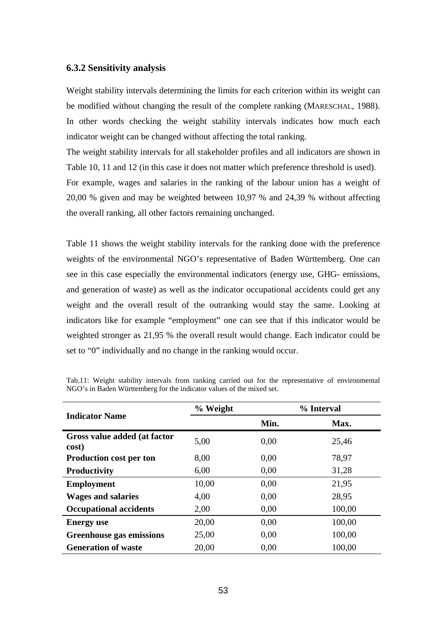#### **6.3.2 Sensitivity analysis**

Weight stability intervals determining the limits for each criterion within its weight can be modified without changing the result of the complete ranking (MARESCHAL, 1988). In other words checking the weight stability intervals indicates how much each indicator weight can be changed without affecting the total ranking.

The weight stability intervals for all stakeholder profiles and all indicators are shown in Table 10, 11 and 12 (in this case it does not matter which preference threshold is used).

For example, wages and salaries in the ranking of the labour union has a weight of 20,00 % given and may be weighted between 10,97 % and 24,39 % without affecting the overall ranking, all other factors remaining unchanged.

Table 11 shows the weight stability intervals for the ranking done with the preference weights of the environmental NGO's representative of Baden Württemberg. One can see in this case especially the environmental indicators (energy use, GHG- emissions, and generation of waste) as well as the indicator occupational accidents could get any weight and the overall result of the outranking would stay the same. Looking at indicators like for example "employment" one can see that if this indicator would be weighted stronger as 21,95 % the overall result would change. Each indicator could be set to "0" individually and no change in the ranking would occur.

| <b>Indicator Name</b>                 | % Weight | % Interval |        |
|---------------------------------------|----------|------------|--------|
|                                       |          | Min.       | Max.   |
| Gross value added (at factor<br>cost) | 5,00     | 0.00       | 25,46  |
| <b>Production cost per ton</b>        | 8,00     | 0,00       | 78,97  |
| <b>Productivity</b>                   | 6,00     | 0,00       | 31,28  |
| <b>Employment</b>                     | 10,00    | 0,00       | 21,95  |
| <b>Wages and salaries</b>             | 4,00     | 0,00       | 28,95  |
| <b>Occupational accidents</b>         | 2,00     | 0,00       | 100,00 |
| <b>Energy</b> use                     | 20,00    | 0.00       | 100,00 |
| <b>Greenhouse gas emissions</b>       | 25,00    | 0,00       | 100,00 |
| <b>Generation of waste</b>            | 20,00    | 0,00       | 100,00 |

Tab.11: Weight stability intervals from ranking carried out for the representative of environmental NGO's in Baden Württemberg for the indicator values of the mixed set.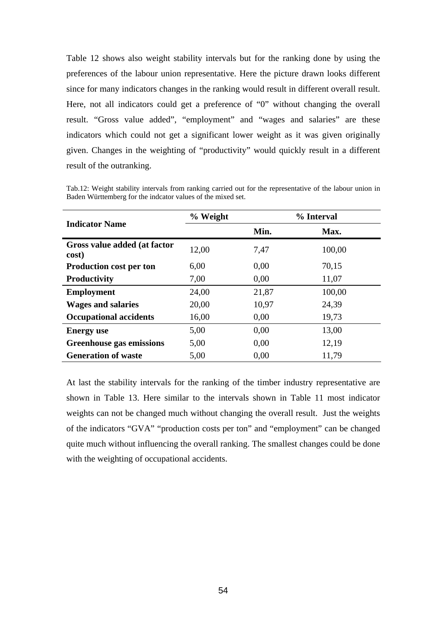Table 12 shows also weight stability intervals but for the ranking done by using the preferences of the labour union representative. Here the picture drawn looks different since for many indicators changes in the ranking would result in different overall result. Here, not all indicators could get a preference of "0" without changing the overall result. "Gross value added", "employment" and "wages and salaries" are these indicators which could not get a significant lower weight as it was given originally given. Changes in the weighting of "productivity" would quickly result in a different result of the outranking.

| <b>Indicator Name</b>                 | % Weight | % Interval |        |
|---------------------------------------|----------|------------|--------|
|                                       |          | Min.       | Max.   |
| Gross value added (at factor<br>cost) | 12,00    | 7,47       | 100,00 |
| <b>Production cost per ton</b>        | 6,00     | 0,00       | 70,15  |
| <b>Productivity</b>                   | 7,00     | 0,00       | 11,07  |
| <b>Employment</b>                     | 24,00    | 21,87      | 100,00 |
| <b>Wages and salaries</b>             | 20,00    | 10,97      | 24,39  |
| <b>Occupational accidents</b>         | 16,00    | 0,00       | 19,73  |
| <b>Energy</b> use                     | 5,00     | 0,00       | 13,00  |
| <b>Greenhouse gas emissions</b>       | 5,00     | 0,00       | 12,19  |
| <b>Generation of waste</b>            | 5,00     | 0,00       | 11,79  |

Tab.12: Weight stability intervals from ranking carried out for the representative of the labour union in Baden Württemberg for the indcator values of the mixed set.

At last the stability intervals for the ranking of the timber industry representative are shown in Table 13. Here similar to the intervals shown in Table 11 most indicator weights can not be changed much without changing the overall result. Just the weights of the indicators "GVA" "production costs per ton" and "employment" can be changed quite much without influencing the overall ranking. The smallest changes could be done with the weighting of occupational accidents.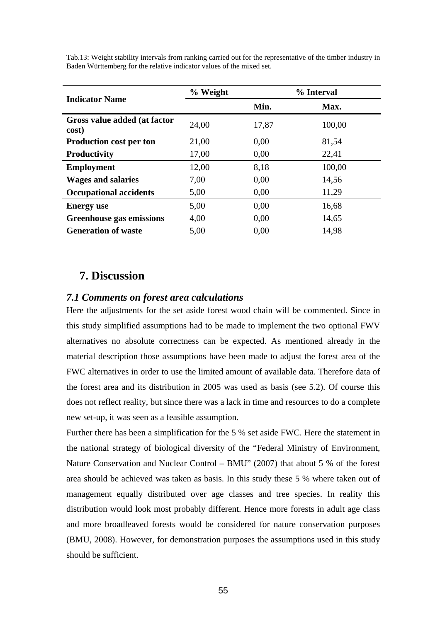|                                       | % Weight | % Interval |        |
|---------------------------------------|----------|------------|--------|
| <b>Indicator Name</b>                 |          | Min.       | Max.   |
| Gross value added (at factor<br>cost) | 24,00    | 17,87      | 100,00 |
| <b>Production cost per ton</b>        | 21,00    | 0,00       | 81,54  |
| <b>Productivity</b>                   | 17,00    | 0,00       | 22,41  |
| <b>Employment</b>                     | 12,00    | 8,18       | 100,00 |
| <b>Wages and salaries</b>             | 7,00     | 0,00       | 14,56  |
| <b>Occupational accidents</b>         | 5,00     | 0,00       | 11,29  |
| <b>Energy</b> use                     | 5,00     | 0,00       | 16,68  |
| <b>Greenhouse gas emissions</b>       | 4,00     | 0,00       | 14,65  |
| <b>Generation of waste</b>            | 5,00     | 0,00       | 14,98  |

Tab.13: Weight stability intervals from ranking carried out for the representative of the timber industry in Baden Württemberg for the relative indicator values of the mixed set.

# **7. Discussion**

## *7.1 Comments on forest area calculations*

Here the adjustments for the set aside forest wood chain will be commented. Since in this study simplified assumptions had to be made to implement the two optional FWV alternatives no absolute correctness can be expected. As mentioned already in the material description those assumptions have been made to adjust the forest area of the FWC alternatives in order to use the limited amount of available data. Therefore data of the forest area and its distribution in 2005 was used as basis (see 5.2). Of course this does not reflect reality, but since there was a lack in time and resources to do a complete new set-up, it was seen as a feasible assumption.

Further there has been a simplification for the 5 % set aside FWC. Here the statement in the national strategy of biological diversity of the "Federal Ministry of Environment, Nature Conservation and Nuclear Control – BMU" (2007) that about 5 % of the forest area should be achieved was taken as basis. In this study these 5 % where taken out of management equally distributed over age classes and tree species. In reality this distribution would look most probably different. Hence more forests in adult age class and more broadleaved forests would be considered for nature conservation purposes (BMU, 2008). However, for demonstration purposes the assumptions used in this study should be sufficient.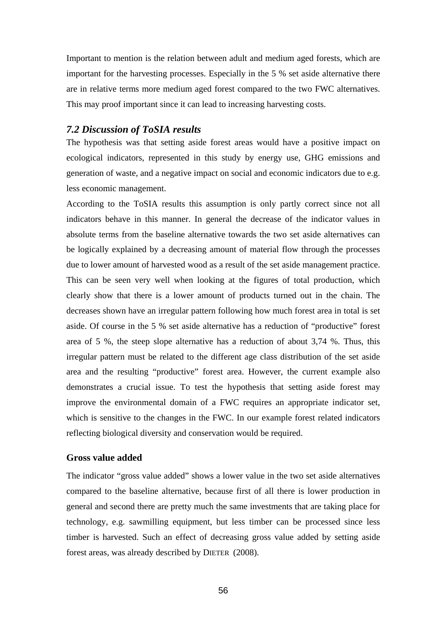Important to mention is the relation between adult and medium aged forests, which are important for the harvesting processes. Especially in the 5 % set aside alternative there are in relative terms more medium aged forest compared to the two FWC alternatives. This may proof important since it can lead to increasing harvesting costs.

### *7.2 Discussion of ToSIA results*

The hypothesis was that setting aside forest areas would have a positive impact on ecological indicators, represented in this study by energy use, GHG emissions and generation of waste, and a negative impact on social and economic indicators due to e.g. less economic management.

According to the ToSIA results this assumption is only partly correct since not all indicators behave in this manner. In general the decrease of the indicator values in absolute terms from the baseline alternative towards the two set aside alternatives can be logically explained by a decreasing amount of material flow through the processes due to lower amount of harvested wood as a result of the set aside management practice. This can be seen very well when looking at the figures of total production, which clearly show that there is a lower amount of products turned out in the chain. The decreases shown have an irregular pattern following how much forest area in total is set aside. Of course in the 5 % set aside alternative has a reduction of "productive" forest area of 5 %, the steep slope alternative has a reduction of about 3,74 %. Thus, this irregular pattern must be related to the different age class distribution of the set aside area and the resulting "productive" forest area. However, the current example also demonstrates a crucial issue. To test the hypothesis that setting aside forest may improve the environmental domain of a FWC requires an appropriate indicator set, which is sensitive to the changes in the FWC. In our example forest related indicators reflecting biological diversity and conservation would be required.

## **Gross value added**

The indicator "gross value added" shows a lower value in the two set aside alternatives compared to the baseline alternative, because first of all there is lower production in general and second there are pretty much the same investments that are taking place for technology, e.g. sawmilling equipment, but less timber can be processed since less timber is harvested. Such an effect of decreasing gross value added by setting aside forest areas, was already described by DIETER (2008).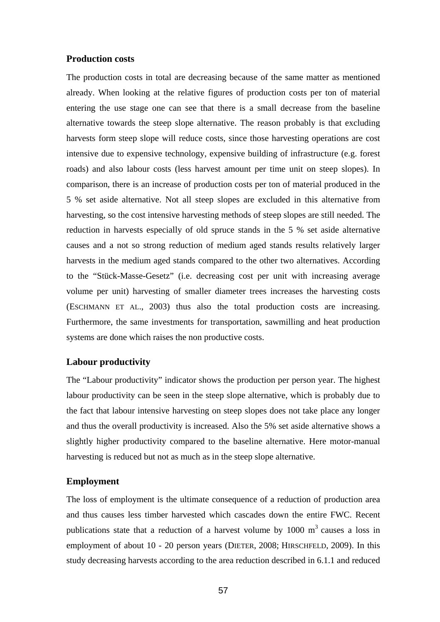## **Production costs**

The production costs in total are decreasing because of the same matter as mentioned already. When looking at the relative figures of production costs per ton of material entering the use stage one can see that there is a small decrease from the baseline alternative towards the steep slope alternative. The reason probably is that excluding harvests form steep slope will reduce costs, since those harvesting operations are cost intensive due to expensive technology, expensive building of infrastructure (e.g. forest roads) and also labour costs (less harvest amount per time unit on steep slopes). In comparison, there is an increase of production costs per ton of material produced in the 5 % set aside alternative. Not all steep slopes are excluded in this alternative from harvesting, so the cost intensive harvesting methods of steep slopes are still needed. The reduction in harvests especially of old spruce stands in the 5 % set aside alternative causes and a not so strong reduction of medium aged stands results relatively larger harvests in the medium aged stands compared to the other two alternatives. According to the "Stück-Masse-Gesetz" (i.e. decreasing cost per unit with increasing average volume per unit) harvesting of smaller diameter trees increases the harvesting costs (ESCHMANN ET AL., 2003) thus also the total production costs are increasing. Furthermore, the same investments for transportation, sawmilling and heat production systems are done which raises the non productive costs.

## **Labour productivity**

The "Labour productivity" indicator shows the production per person year. The highest labour productivity can be seen in the steep slope alternative, which is probably due to the fact that labour intensive harvesting on steep slopes does not take place any longer and thus the overall productivity is increased. Also the 5% set aside alternative shows a slightly higher productivity compared to the baseline alternative. Here motor-manual harvesting is reduced but not as much as in the steep slope alternative.

## **Employment**

The loss of employment is the ultimate consequence of a reduction of production area and thus causes less timber harvested which cascades down the entire FWC. Recent publications state that a reduction of a harvest volume by  $1000 \text{ m}^3$  causes a loss in employment of about 10 - 20 person years (DIETER, 2008; HIRSCHFELD, 2009). In this study decreasing harvests according to the area reduction described in 6.1.1 and reduced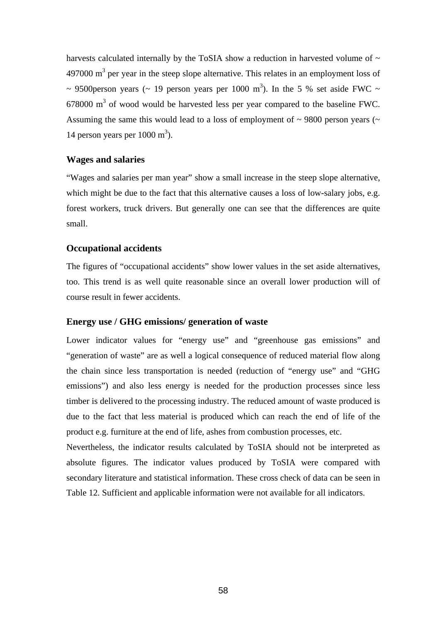harvests calculated internally by the ToSIA show a reduction in harvested volume of  $\sim$ 497000  $\text{m}^3$  per year in the steep slope alternative. This relates in an employment loss of  $\sim$  9500 person years ( $\sim$  19 person years per 1000 m<sup>3</sup>). In the 5 % set aside FWC  $\sim$  $678000 \text{ m}^3$  of wood would be harvested less per year compared to the baseline FWC. Assuming the same this would lead to a loss of employment of  $\sim$  9800 person years ( $\sim$ 14 person years per  $1000 \text{ m}^3$ ).

## **Wages and salaries**

"Wages and salaries per man year" show a small increase in the steep slope alternative, which might be due to the fact that this alternative causes a loss of low-salary jobs, e.g. forest workers, truck drivers. But generally one can see that the differences are quite small.

#### **Occupational accidents**

The figures of "occupational accidents" show lower values in the set aside alternatives, too. This trend is as well quite reasonable since an overall lower production will of course result in fewer accidents.

### **Energy use / GHG emissions/ generation of waste**

Lower indicator values for "energy use" and "greenhouse gas emissions" and "generation of waste" are as well a logical consequence of reduced material flow along the chain since less transportation is needed (reduction of "energy use" and "GHG emissions") and also less energy is needed for the production processes since less timber is delivered to the processing industry. The reduced amount of waste produced is due to the fact that less material is produced which can reach the end of life of the product e.g. furniture at the end of life, ashes from combustion processes, etc.

Nevertheless, the indicator results calculated by ToSIA should not be interpreted as absolute figures. The indicator values produced by ToSIA were compared with secondary literature and statistical information. These cross check of data can be seen in Table 12. Sufficient and applicable information were not available for all indicators.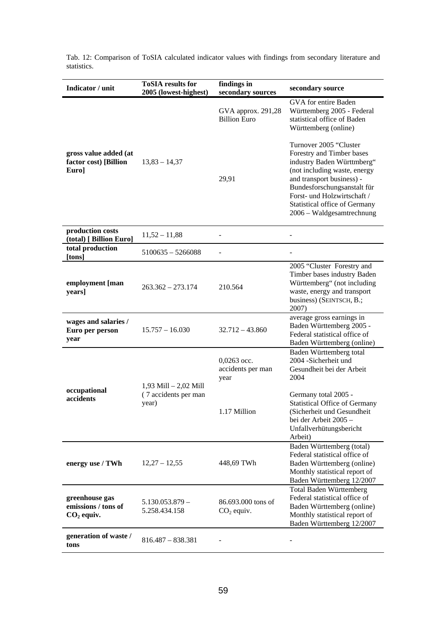| Indicator / unit                                        | <b>ToSIA</b> results for<br>2005 (lowest-highest)          | findings in<br>secondary sources          | secondary source                                                                                                                                                                                                                                                           |
|---------------------------------------------------------|------------------------------------------------------------|-------------------------------------------|----------------------------------------------------------------------------------------------------------------------------------------------------------------------------------------------------------------------------------------------------------------------------|
| gross value added (at<br>factor cost) [Billion<br>Euro] |                                                            | GVA approx. 291,28<br><b>Billion Euro</b> | GVA for entire Baden<br>Württemberg 2005 - Federal<br>statistical office of Baden<br>Württemberg (online)                                                                                                                                                                  |
|                                                         | $13,83 - 14,37$                                            | 29,91                                     | Turnover 2005 "Cluster<br>Forestry and Timber bases<br>industry Baden Württmberg"<br>(not including waste, energy<br>and transport business) -<br>Bundesforschungsanstalt für<br>Forst- und Holzwirtschaft /<br>Statistical office of Germany<br>2006 – Waldgesamtrechnung |
| production costs<br>(total) [ Billion Euro]             | $11,52 - 11,88$                                            |                                           |                                                                                                                                                                                                                                                                            |
| total production<br>[tons]                              | $5100635 - 5266088$                                        |                                           |                                                                                                                                                                                                                                                                            |
| employment [man<br>years]                               | $263.362 - 273.174$                                        | 210.564                                   | 2005 "Cluster Forestry and<br>Timber bases industry Baden<br>Württemberg" (not including<br>waste, energy and transport<br>business) (SEINTSCH, B.;<br>2007)                                                                                                               |
| wages and salaries /<br>Euro per person<br>year         | $15.757 - 16.030$                                          | $32.712 - 43.860$                         | average gross earnings in<br>Baden Württemberg 2005 -<br>Federal statistical office of<br>Baden Württemberg (online)                                                                                                                                                       |
| occupational<br>accidents                               | $1,93$ Mill $- 2,02$ Mill<br>(7 accidents per man<br>year) | 0,0263 occ.<br>accidents per man<br>year  | Baden Württemberg total<br>2004 -Sicherheit und<br>Gesundheit bei der Arbeit<br>2004                                                                                                                                                                                       |
|                                                         |                                                            | 1.17 Million                              | Germany total 2005 -<br><b>Statistical Office of Germany</b><br>(Sicherheit und Gesundheit)<br>bei der Arbeit 2005 -<br>Unfallverhütungsbericht<br>Arbeit)                                                                                                                 |
| energy use / TWh                                        | $12,27 - 12,55$                                            | 448,69 TWh                                | Baden Württemberg (total)<br>Federal statistical office of<br>Baden Württemberg (online)<br>Monthly statistical report of<br>Baden Württemberg 12/2007                                                                                                                     |
| greenhouse gas<br>emissions / tons of<br>$CO2$ equiv.   | $5.130.053.879 -$<br>5.258.434.158                         | 86.693.000 tons of<br>$CO2$ equiv.        | Total Baden Württemberg<br>Federal statistical office of<br>Baden Württemberg (online)<br>Monthly statistical report of<br>Baden Württemberg 12/2007                                                                                                                       |
| generation of waste /<br>tons                           | $816.487 - 838.381$                                        |                                           |                                                                                                                                                                                                                                                                            |

Tab. 12: Comparison of ToSIA calculated indicator values with findings from secondary literature and statistics.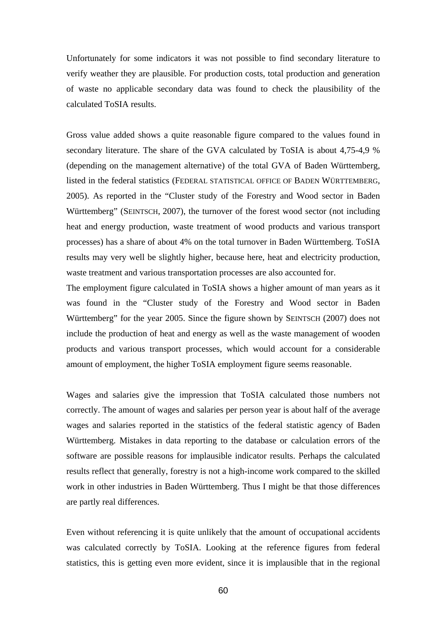Unfortunately for some indicators it was not possible to find secondary literature to verify weather they are plausible. For production costs, total production and generation of waste no applicable secondary data was found to check the plausibility of the calculated ToSIA results.

Gross value added shows a quite reasonable figure compared to the values found in secondary literature. The share of the GVA calculated by ToSIA is about 4,75-4,9 % (depending on the management alternative) of the total GVA of Baden Württemberg, listed in the federal statistics (FEDERAL STATISTICAL OFFICE OF BADEN WÜRTTEMBERG, 2005). As reported in the "Cluster study of the Forestry and Wood sector in Baden Württemberg" (SEINTSCH, 2007), the turnover of the forest wood sector (not including heat and energy production, waste treatment of wood products and various transport processes) has a share of about 4% on the total turnover in Baden Württemberg. ToSIA results may very well be slightly higher, because here, heat and electricity production, waste treatment and various transportation processes are also accounted for.

The employment figure calculated in ToSIA shows a higher amount of man years as it was found in the "Cluster study of the Forestry and Wood sector in Baden Württemberg" for the year 2005. Since the figure shown by SEINTSCH (2007) does not include the production of heat and energy as well as the waste management of wooden products and various transport processes, which would account for a considerable amount of employment, the higher ToSIA employment figure seems reasonable.

Wages and salaries give the impression that ToSIA calculated those numbers not correctly. The amount of wages and salaries per person year is about half of the average wages and salaries reported in the statistics of the federal statistic agency of Baden Württemberg. Mistakes in data reporting to the database or calculation errors of the software are possible reasons for implausible indicator results. Perhaps the calculated results reflect that generally, forestry is not a high-income work compared to the skilled work in other industries in Baden Württemberg. Thus I might be that those differences are partly real differences.

Even without referencing it is quite unlikely that the amount of occupational accidents was calculated correctly by ToSIA. Looking at the reference figures from federal statistics, this is getting even more evident, since it is implausible that in the regional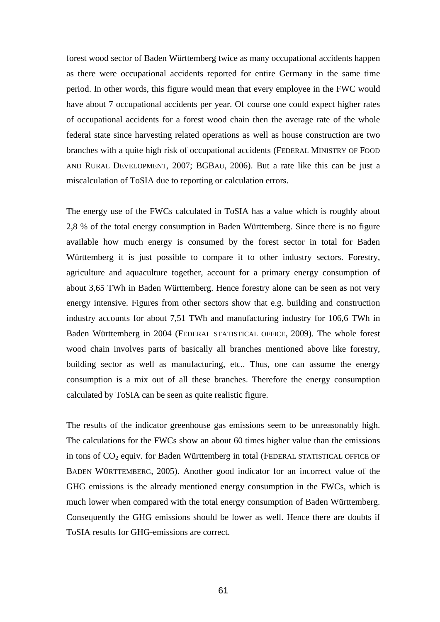forest wood sector of Baden Württemberg twice as many occupational accidents happen as there were occupational accidents reported for entire Germany in the same time period. In other words, this figure would mean that every employee in the FWC would have about 7 occupational accidents per year. Of course one could expect higher rates of occupational accidents for a forest wood chain then the average rate of the whole federal state since harvesting related operations as well as house construction are two branches with a quite high risk of occupational accidents (FEDERAL MINISTRY OF FOOD AND RURAL DEVELOPMENT, 2007; BGBAU, 2006). But a rate like this can be just a miscalculation of ToSIA due to reporting or calculation errors.

The energy use of the FWCs calculated in ToSIA has a value which is roughly about 2,8 % of the total energy consumption in Baden Württemberg. Since there is no figure available how much energy is consumed by the forest sector in total for Baden Württemberg it is just possible to compare it to other industry sectors. Forestry, agriculture and aquaculture together, account for a primary energy consumption of about 3,65 TWh in Baden Württemberg. Hence forestry alone can be seen as not very energy intensive. Figures from other sectors show that e.g. building and construction industry accounts for about 7,51 TWh and manufacturing industry for 106,6 TWh in Baden Württemberg in 2004 (FEDERAL STATISTICAL OFFICE, 2009). The whole forest wood chain involves parts of basically all branches mentioned above like forestry, building sector as well as manufacturing, etc.. Thus, one can assume the energy consumption is a mix out of all these branches. Therefore the energy consumption calculated by ToSIA can be seen as quite realistic figure.

The results of the indicator greenhouse gas emissions seem to be unreasonably high. The calculations for the FWCs show an about 60 times higher value than the emissions in tons of CO<sub>2</sub> equiv. for Baden Württemberg in total (FEDERAL STATISTICAL OFFICE OF BADEN WÜRTTEMBERG, 2005). Another good indicator for an incorrect value of the GHG emissions is the already mentioned energy consumption in the FWCs, which is much lower when compared with the total energy consumption of Baden Württemberg. Consequently the GHG emissions should be lower as well. Hence there are doubts if ToSIA results for GHG-emissions are correct.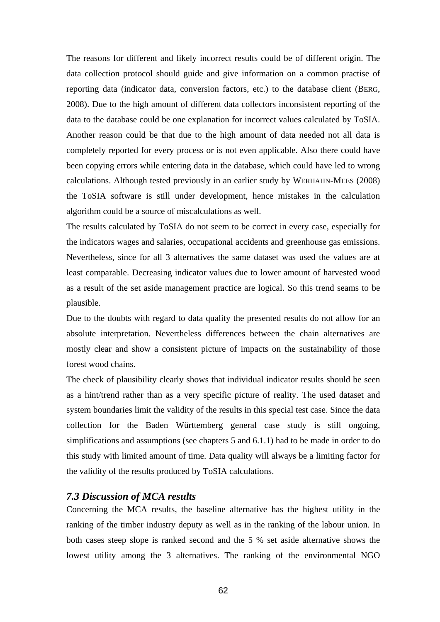The reasons for different and likely incorrect results could be of different origin. The data collection protocol should guide and give information on a common practise of reporting data (indicator data, conversion factors, etc.) to the database client (BERG, 2008). Due to the high amount of different data collectors inconsistent reporting of the data to the database could be one explanation for incorrect values calculated by ToSIA. Another reason could be that due to the high amount of data needed not all data is completely reported for every process or is not even applicable. Also there could have been copying errors while entering data in the database, which could have led to wrong calculations. Although tested previously in an earlier study by WERHAHN-MEES (2008) the ToSIA software is still under development, hence mistakes in the calculation algorithm could be a source of miscalculations as well.

The results calculated by ToSIA do not seem to be correct in every case, especially for the indicators wages and salaries, occupational accidents and greenhouse gas emissions. Nevertheless, since for all 3 alternatives the same dataset was used the values are at least comparable. Decreasing indicator values due to lower amount of harvested wood as a result of the set aside management practice are logical. So this trend seams to be plausible.

Due to the doubts with regard to data quality the presented results do not allow for an absolute interpretation. Nevertheless differences between the chain alternatives are mostly clear and show a consistent picture of impacts on the sustainability of those forest wood chains.

The check of plausibility clearly shows that individual indicator results should be seen as a hint/trend rather than as a very specific picture of reality. The used dataset and system boundaries limit the validity of the results in this special test case. Since the data collection for the Baden Württemberg general case study is still ongoing, simplifications and assumptions (see chapters 5 and 6.1.1) had to be made in order to do this study with limited amount of time. Data quality will always be a limiting factor for the validity of the results produced by ToSIA calculations.

## *7.3 Discussion of MCA results*

Concerning the MCA results, the baseline alternative has the highest utility in the ranking of the timber industry deputy as well as in the ranking of the labour union. In both cases steep slope is ranked second and the 5 % set aside alternative shows the lowest utility among the 3 alternatives. The ranking of the environmental NGO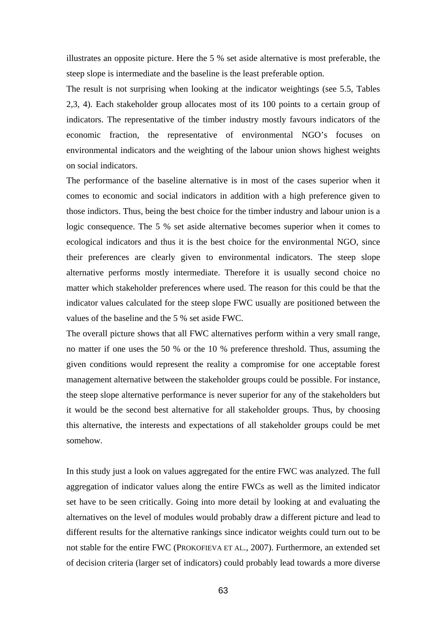illustrates an opposite picture. Here the 5 % set aside alternative is most preferable, the steep slope is intermediate and the baseline is the least preferable option.

The result is not surprising when looking at the indicator weightings (see 5.5, Tables 2,3, 4). Each stakeholder group allocates most of its 100 points to a certain group of indicators. The representative of the timber industry mostly favours indicators of the economic fraction, the representative of environmental NGO's focuses on environmental indicators and the weighting of the labour union shows highest weights on social indicators.

The performance of the baseline alternative is in most of the cases superior when it comes to economic and social indicators in addition with a high preference given to those indictors. Thus, being the best choice for the timber industry and labour union is a logic consequence. The 5 % set aside alternative becomes superior when it comes to ecological indicators and thus it is the best choice for the environmental NGO, since their preferences are clearly given to environmental indicators. The steep slope alternative performs mostly intermediate. Therefore it is usually second choice no matter which stakeholder preferences where used. The reason for this could be that the indicator values calculated for the steep slope FWC usually are positioned between the values of the baseline and the 5 % set aside FWC.

The overall picture shows that all FWC alternatives perform within a very small range, no matter if one uses the 50 % or the 10 % preference threshold. Thus, assuming the given conditions would represent the reality a compromise for one acceptable forest management alternative between the stakeholder groups could be possible. For instance, the steep slope alternative performance is never superior for any of the stakeholders but it would be the second best alternative for all stakeholder groups. Thus, by choosing this alternative, the interests and expectations of all stakeholder groups could be met somehow.

In this study just a look on values aggregated for the entire FWC was analyzed. The full aggregation of indicator values along the entire FWCs as well as the limited indicator set have to be seen critically. Going into more detail by looking at and evaluating the alternatives on the level of modules would probably draw a different picture and lead to different results for the alternative rankings since indicator weights could turn out to be not stable for the entire FWC (PROKOFIEVA ET AL., 2007). Furthermore, an extended set of decision criteria (larger set of indicators) could probably lead towards a more diverse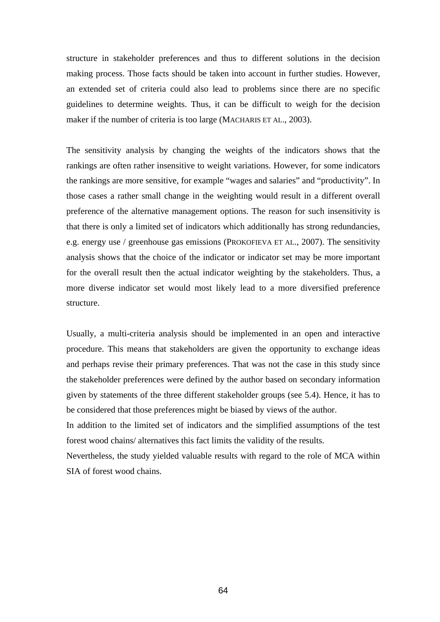structure in stakeholder preferences and thus to different solutions in the decision making process. Those facts should be taken into account in further studies. However, an extended set of criteria could also lead to problems since there are no specific guidelines to determine weights. Thus, it can be difficult to weigh for the decision maker if the number of criteria is too large (MACHARIS ET AL., 2003).

The sensitivity analysis by changing the weights of the indicators shows that the rankings are often rather insensitive to weight variations. However, for some indicators the rankings are more sensitive, for example "wages and salaries" and "productivity". In those cases a rather small change in the weighting would result in a different overall preference of the alternative management options. The reason for such insensitivity is that there is only a limited set of indicators which additionally has strong redundancies, e.g. energy use / greenhouse gas emissions (PROKOFIEVA ET AL., 2007). The sensitivity analysis shows that the choice of the indicator or indicator set may be more important for the overall result then the actual indicator weighting by the stakeholders. Thus, a more diverse indicator set would most likely lead to a more diversified preference structure.

Usually, a multi-criteria analysis should be implemented in an open and interactive procedure. This means that stakeholders are given the opportunity to exchange ideas and perhaps revise their primary preferences. That was not the case in this study since the stakeholder preferences were defined by the author based on secondary information given by statements of the three different stakeholder groups (see 5.4). Hence, it has to be considered that those preferences might be biased by views of the author.

In addition to the limited set of indicators and the simplified assumptions of the test forest wood chains/ alternatives this fact limits the validity of the results.

Nevertheless, the study yielded valuable results with regard to the role of MCA within SIA of forest wood chains.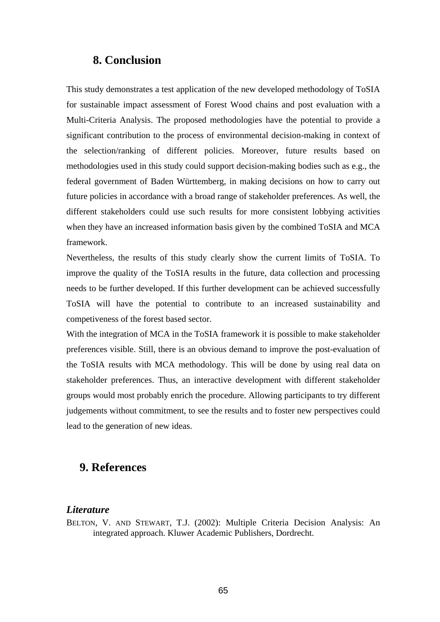# **8. Conclusion**

This study demonstrates a test application of the new developed methodology of ToSIA for sustainable impact assessment of Forest Wood chains and post evaluation with a Multi-Criteria Analysis. The proposed methodologies have the potential to provide a significant contribution to the process of environmental decision-making in context of the selection/ranking of different policies. Moreover, future results based on methodologies used in this study could support decision-making bodies such as e.g., the federal government of Baden Württemberg, in making decisions on how to carry out future policies in accordance with a broad range of stakeholder preferences. As well, the different stakeholders could use such results for more consistent lobbying activities when they have an increased information basis given by the combined ToSIA and MCA framework.

Nevertheless, the results of this study clearly show the current limits of ToSIA. To improve the quality of the ToSIA results in the future, data collection and processing needs to be further developed. If this further development can be achieved successfully ToSIA will have the potential to contribute to an increased sustainability and competiveness of the forest based sector.

With the integration of MCA in the ToSIA framework it is possible to make stakeholder preferences visible. Still, there is an obvious demand to improve the post-evaluation of the ToSIA results with MCA methodology. This will be done by using real data on stakeholder preferences. Thus, an interactive development with different stakeholder groups would most probably enrich the procedure. Allowing participants to try different judgements without commitment, to see the results and to foster new perspectives could lead to the generation of new ideas.

# **9. References**

## *Literature*

BELTON, V. AND STEWART, T.J. (2002): Multiple Criteria Decision Analysis: An integrated approach. Kluwer Academic Publishers, Dordrecht.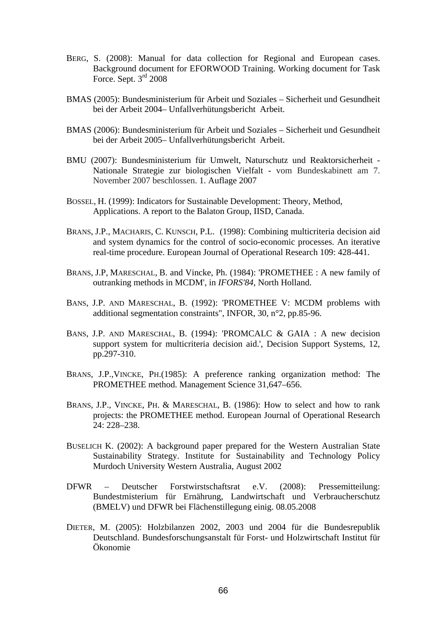- BERG, S. (2008): Manual for data collection for Regional and European cases. Background document for EFORWOOD Training. Working document for Task Force. Sept. 3<sup>rd</sup> 2008
- BMAS (2005): Bundesministerium für Arbeit und Soziales Sicherheit und Gesundheit bei der Arbeit 2004– Unfallverhütungsbericht Arbeit.
- BMAS (2006): Bundesministerium für Arbeit und Soziales Sicherheit und Gesundheit bei der Arbeit 2005– Unfallverhütungsbericht Arbeit.
- BMU (2007): Bundesministerium für Umwelt, Naturschutz und Reaktorsicherheit Nationale Strategie zur biologischen Vielfalt - vom Bundeskabinett am 7. November 2007 beschlossen. 1. Auflage 2007
- BOSSEL, H. (1999): Indicators for Sustainable Development: Theory, Method, Applications. A report to the Balaton Group, IISD, Canada.
- BRANS, J.P., MACHARIS, C. KUNSCH, P.L. (1998): Combining multicriteria decision aid and system dynamics for the control of socio-economic processes. An iterative real-time procedure. European Journal of Operational Research 109: 428-441.
- BRANS, J.P, MARESCHAL, B. and Vincke, Ph. (1984): 'PROMETHEE : A new family of outranking methods in MCDM', in *IFORS'84*, North Holland.
- BANS, J.P. AND MARESCHAL, B. (1992): 'PROMETHEE V: MCDM problems with additional segmentation constraints", INFOR, 30, n°2, pp.85-96.
- BANS, J.P. AND MARESCHAL, B. (1994): 'PROMCALC & GAIA : A new decision support system for multicriteria decision aid.', Decision Support Systems, 12, pp.297-310.
- BRANS, J.P.,VINCKE, PH.(1985): A preference ranking organization method: The PROMETHEE method. Management Science 31,647–656.
- BRANS, J.P., VINCKE, PH. & MARESCHAL, B. (1986): How to select and how to rank projects: the PROMETHEE method. European Journal of Operational Research 24: 228–238.
- BUSELICH K. (2002): A background paper prepared for the Western Australian State Sustainability Strategy. Institute for Sustainability and Technology Policy Murdoch University Western Australia, August 2002
- DFWR Deutscher Forstwirstschaftsrat e.V. (2008): Pressemitteilung: Bundestmisterium für Ernährung, Landwirtschaft und Verbraucherschutz (BMELV) und DFWR bei Flächenstillegung einig. 08.05.2008
- DIETER, M. (2005): Holzbilanzen 2002, 2003 und 2004 für die Bundesrepublik Deutschland. Bundesforschungsanstalt für Forst- und Holzwirtschaft Institut für Ökonomie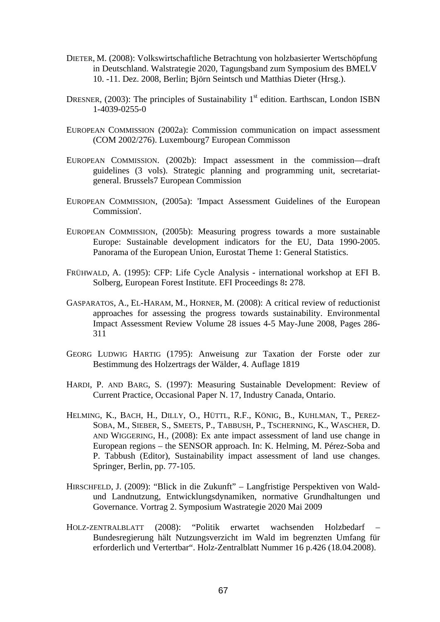- DIETER, M. (2008): Volkswirtschaftliche Betrachtung von holzbasierter Wertschöpfung in Deutschland. Walstrategie 2020, Tagungsband zum Symposium des BMELV 10. -11. Dez. 2008, Berlin; Björn Seintsch und Matthias Dieter (Hrsg.).
- DRESNER,  $(2003)$ : The principles of Sustainability 1<sup>st</sup> edition. Earthscan, London ISBN 1-4039-0255-0
- EUROPEAN COMMISSION (2002a): Commission communication on impact assessment (COM 2002/276). Luxembourg7 European Commisson
- EUROPEAN COMMISSION. (2002b): Impact assessment in the commission—draft guidelines (3 vols). Strategic planning and programming unit, secretariatgeneral. Brussels7 European Commission
- EUROPEAN COMMISSION, (2005a): 'Impact Assessment Guidelines of the European Commission'.
- EUROPEAN COMMISSION, (2005b): Measuring progress towards a more sustainable Europe: Sustainable development indicators for the EU, Data 1990-2005. Panorama of the European Union, Eurostat Theme 1: General Statistics.
- FRÜHWALD, A. (1995): CFP: Life Cycle Analysis international workshop at EFI B. Solberg, European Forest Institute. EFI Proceedings 8**:** 278.
- GASPARATOS, A., EL-HARAM, M., HORNER, M. (2008): A critical review of reductionist approaches for assessing the progress towards sustainability. Environmental Impact Assessment Review Volume 28 issues 4-5 May-June 2008, Pages 286- 311
- GEORG LUDWIG HARTIG (1795): Anweisung zur Taxation der Forste oder zur Bestimmung des Holzertrags der Wälder, 4. Auflage 1819
- HARDI, P. AND BARG, S. (1997): Measuring Sustainable Development: Review of Current Practice, Occasional Paper N. 17, Industry Canada, Ontario.
- HELMING, K., BACH, H., DILLY, O., HÜTTL, R.F., KÖNIG, B., KUHLMAN, T., PEREZ-SOBA, M., SIEBER, S., SMEETS, P., TABBUSH, P., TSCHERNING, K., WASCHER, D. AND WIGGERING, H., (2008): Ex ante impact assessment of land use change in European regions – the SENSOR approach. In: K. Helming, M. Pérez-Soba and P. Tabbush (Editor), Sustainability impact assessment of land use changes. Springer, Berlin, pp. 77-105.
- HIRSCHFELD, J. (2009): "Blick in die Zukunft" Langfristige Perspektiven von Waldund Landnutzung, Entwicklungsdynamiken, normative Grundhaltungen und Governance. Vortrag 2. Symposium Wastrategie 2020 Mai 2009
- HOLZ-ZENTRALBLATT (2008): "Politik erwartet wachsenden Holzbedarf Bundesregierung hält Nutzungsverzicht im Wald im begrenzten Umfang für erforderlich und Vertertbar". Holz-Zentralblatt Nummer 16 p.426 (18.04.2008).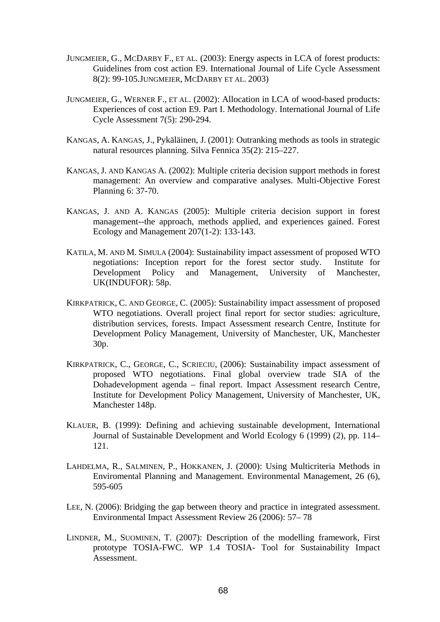- JUNGMEIER, G., MCDARBY F., ET AL. (2003): Energy aspects in LCA of forest products: Guidelines from cost action E9. International Journal of Life Cycle Assessment 8(2): 99-105.JUNGMEIER, MCDARBY ET AL. 2003)
- JUNGMEIER, G., WERNER F., ET AL. (2002): Allocation in LCA of wood-based products: Experiences of cost action E9. Part I. Methodology. International Journal of Life Cycle Assessment 7(5): 290-294.
- KANGAS, A. KANGAS, J., Pykäläinen, J. (2001): Outranking methods as tools in strategic natural resources planning. Silva Fennica 35(2): 215–227.
- KANGAS, J. AND KANGAS A. (2002): Multiple criteria decision support methods in forest management: An overview and comparative analyses. Multi-Objective Forest Planning 6: 37-70.
- KANGAS, J. AND A. KANGAS (2005): Multiple criteria decision support in forest management--the approach, methods applied, and experiences gained. Forest Ecology and Management 207(1-2): 133-143.
- KATILA, M. AND M. SIMULA (2004): Sustainability impact assessment of proposed WTO negotiations: Inception report for the forest sector study. Institute for Development Policy and Management, University of Manchester, UK(INDUFOR): 58p.
- KIRKPATRICK, C. AND GEORGE, C. (2005): Sustainability impact assessment of proposed WTO negotiations. Overall project final report for sector studies: agriculture, distribution services, forests. Impact Assessment research Centre, Institute for Development Policy Management, University of Manchester, UK, Manchester 30p.
- KIRKPATRICK, C., GEORGE, C., SCRIECIU, (2006): Sustainability impact assessment of proposed WTO negotiations. Final global overview trade SIA of the Dohadevelopment agenda – final report. Impact Assessment research Centre, Institute for Development Policy Management, University of Manchester, UK, Manchester 148p.
- KLAUER, B. (1999): Defining and achieving sustainable development, International Journal of Sustainable Development and World Ecology 6 (1999) (2), pp. 114– 121.
- LAHDELMA, R., SALMINEN, P., HOKKANEN, J. (2000): Using Multicriteria Methods in Enviromental Planning and Management. Environmental Management, 26 (6), 595-605
- LEE, N. (2006): Bridging the gap between theory and practice in integrated assessment. Environmental Impact Assessment Review 26 (2006): 57– 78
- LINDNER, M., SUOMINEN, T. (2007): Description of the modelling framework, First prototype TOSIA-FWC. WP 1.4 TOSIA- Tool for Sustainability Impact Assessment.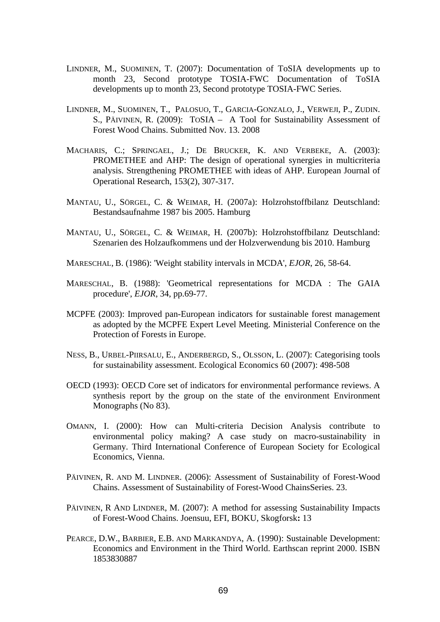- LINDNER, M., SUOMINEN, T. (2007): Documentation of ToSIA developments up to month 23, Second prototype TOSIA-FWC Documentation of ToSIA developments up to month 23, Second prototype TOSIA-FWC Series.
- LINDNER, M., SUOMINEN, T., PALOSUO, T., GARCIA-GONZALO, J., VERWEJI, P., ZUDIN. S., PÄIVINEN, R. (2009): TOSIA – A Tool for Sustainability Assessment of Forest Wood Chains. Submitted Nov. 13. 2008
- MACHARIS, C.; SPRINGAEL, J.; DE BRUCKER, K. AND VERBEKE, A. (2003): PROMETHEE and AHP: The design of operational synergies in multicriteria analysis. Strengthening PROMETHEE with ideas of AHP. European Journal of Operational Research, 153(2), 307-317.
- MANTAU, U., SÖRGEL, C. & WEIMAR, H. (2007a): Holzrohstoffbilanz Deutschland: Bestandsaufnahme 1987 bis 2005. Hamburg
- MANTAU, U., SÖRGEL, C. & WEIMAR, H. (2007b): Holzrohstoffbilanz Deutschland: Szenarien des Holzaufkommens und der Holzverwendung bis 2010. Hamburg
- MARESCHAL, B. (1986): 'Weight stability intervals in MCDA', *EJOR*, 26, 58-64.
- MARESCHAL, B. (1988): 'Geometrical representations for MCDA : The GAIA procedure', *EJOR*, 34, pp.69-77.
- MCPFE (2003): Improved pan-European indicators for sustainable forest management as adopted by the MCPFE Expert Level Meeting. Ministerial Conference on the Protection of Forests in Europe.
- NESS, B., URBEL-PIIRSALU, E., ANDERBERGD, S., OLSSON, L. (2007): Categorising tools for sustainability assessment. Ecological Economics 60 (2007): 498-508
- OECD (1993): OECD Core set of indicators for environmental performance reviews. A synthesis report by the group on the state of the environment Environment Monographs (No 83).
- OMANN, I. (2000): How can Multi-criteria Decision Analysis contribute to environmental policy making? A case study on macro-sustainability in Germany. Third International Conference of European Society for Ecological Economics, Vienna.
- PÄIVINEN, R. AND M. LINDNER. (2006): Assessment of Sustainability of Forest-Wood Chains. Assessment of Sustainability of Forest-Wood ChainsSeries. 23.
- PÄIVINEN, R AND LINDNER, M. (2007): A method for assessing Sustainability Impacts of Forest-Wood Chains. Joensuu, EFI, BOKU, Skogforsk**:** 13
- PEARCE, D.W., BARBIER, E.B. AND MARKANDYA, A. (1990): Sustainable Development: Economics and Environment in the Third World. Earthscan reprint 2000. ISBN 1853830887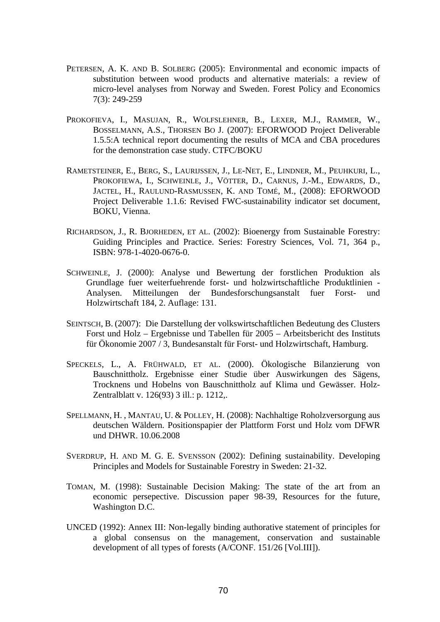- PETERSEN, A. K. AND B. SOLBERG (2005): Environmental and economic impacts of substitution between wood products and alternative materials: a review of micro-level analyses from Norway and Sweden. Forest Policy and Economics 7(3): 249-259
- PROKOFIEVA, I., MASUJAN, R., WOLFSLEHNER, B., LEXER, M.J., RAMMER, W., BOSSELMANN, A.S., THORSEN BO J. (2007): EFORWOOD Project Deliverable 1.5.5:A technical report documenting the results of MCA and CBA procedures for the demonstration case study. CTFC/BOKU
- RAMETSTEINER, E., BERG, S., LAURIJSSEN, J., LE-NET, E., LINDNER, M., PEUHKURI, L., PROKOFIEWA, I., SCHWEINLE, J., VÖTTER, D., CARNUS, J.-M., EDWARDS, D., JACTEL, H., RAULUND-RASMUSSEN, K. AND TOMÉ, M., (2008): EFORWOOD Project Deliverable 1.1.6: Revised FWC-sustainability indicator set document, BOKU, Vienna.
- RICHARDSON, J., R. BJORHEDEN, ET AL. (2002): Bioenergy from Sustainable Forestry: Guiding Principles and Practice. Series: Forestry Sciences, Vol. 71, 364 p., ISBN: 978-1-4020-0676-0.
- SCHWEINLE, J. (2000): Analyse und Bewertung der forstlichen Produktion als Grundlage fuer weiterfuehrende forst- und holzwirtschaftliche Produktlinien - Analysen. Mitteilungen der Bundesforschungsanstalt fuer Forst- und Holzwirtschaft 184, 2. Auflage: 131.
- SEINTSCH, B. (2007): Die Darstellung der volkswirtschaftlichen Bedeutung des Clusters Forst und Holz – Ergebnisse und Tabellen für 2005 – Arbeitsbericht des Instituts für Ökonomie 2007 / 3, Bundesanstalt für Forst- und Holzwirtschaft, Hamburg.
- SPECKELS, L., A. FRÜHWALD, ET AL. (2000). Ökologische Bilanzierung von Bauschnittholz. Ergebnisse einer Studie über Auswirkungen des Sägens, Trocknens und Hobelns von Bauschnittholz auf Klima und Gewässer. Holz-Zentralblatt v. 126(93) 3 ill.: p. 1212,.
- SPELLMANN, H. , MANTAU, U. & POLLEY, H. (2008): Nachhaltige Roholzversorgung aus deutschen Wäldern. Positionspapier der Plattform Forst und Holz vom DFWR und DHWR. 10.06.2008
- SVERDRUP, H. AND M. G. E. SVENSSON (2002): Defining sustainability. Developing Principles and Models for Sustainable Forestry in Sweden: 21-32.
- TOMAN, M. (1998): Sustainable Decision Making: The state of the art from an economic persepective. Discussion paper 98-39, Resources for the future, Washington D.C.
- UNCED (1992): Annex III: Non-legally binding authorative statement of principles for a global consensus on the management, conservation and sustainable development of all types of forests (A/CONF. 151/26 [Vol.III]).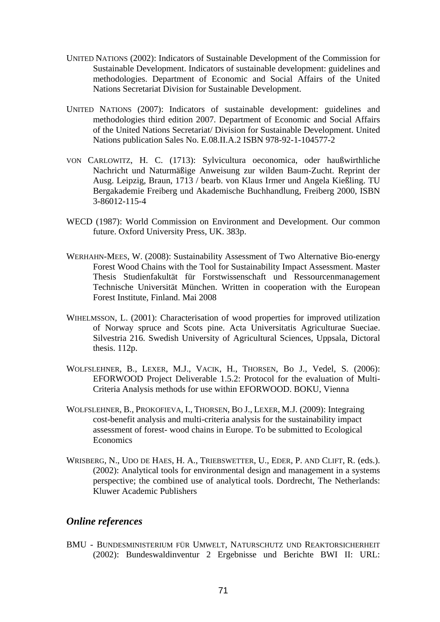- UNITED NATIONS (2002): Indicators of Sustainable Development of the Commission for Sustainable Development. Indicators of sustainable development: guidelines and methodologies. Department of Economic and Social Affairs of the United Nations Secretariat Division for Sustainable Development.
- UNITED NATIONS (2007): Indicators of sustainable development: guidelines and methodologies third edition 2007. Department of Economic and Social Affairs of the United Nations Secretariat/ Division for Sustainable Development. United Nations publication Sales No. E.08.II.A.2 ISBN 978-92-1-104577-2
- VON CARLOWITZ, H. C. (1713): Sylvicultura oeconomica, oder haußwirthliche Nachricht und Naturmäßige Anweisung zur wilden Baum-Zucht. Reprint der Ausg. Leipzig, Braun, 1713 / bearb. von Klaus Irmer und Angela Kießling. TU Bergakademie Freiberg und Akademische Buchhandlung, Freiberg 2000, ISBN 3-86012-115-4
- WECD (1987): World Commission on Environment and Development. Our common future. Oxford University Press, UK. 383p.
- WERHAHN-MEES, W. (2008): Sustainability Assessment of Two Alternative Bio-energy Forest Wood Chains with the Tool for Sustainability Impact Assessment. Master Thesis Studienfakultät für Forstwissenschaft und Ressourcenmanagement Technische Universität München. Written in cooperation with the European Forest Institute, Finland. Mai 2008
- WIHELMSSON, L. (2001): Characterisation of wood properties for improved utilization of Norway spruce and Scots pine. Acta Universitatis Agriculturae Sueciae. Silvestria 216. Swedish University of Agricultural Sciences, Uppsala, Dictoral thesis. 112p.
- WOLFSLEHNER, B., LEXER, M.J., VACIK, H., THORSEN, Bo J., Vedel, S. (2006): EFORWOOD Project Deliverable 1.5.2: Protocol for the evaluation of Multi-Criteria Analysis methods for use within EFORWOOD. BOKU, Vienna
- WOLFSLEHNER, B., PROKOFIEVA, I., THORSEN, BO J., LEXER, M.J. (2009): Integraing cost-benefit analysis and multi-criteria analysis for the sustainability impact assessment of forest- wood chains in Europe. To be submitted to Ecological Economics
- WRISBERG, N., UDO DE HAES, H. A., TRIEBSWETTER, U., EDER, P. AND CLIFT, R. (eds.). (2002): Analytical tools for environmental design and management in a systems perspective; the combined use of analytical tools. Dordrecht, The Netherlands: Kluwer Academic Publishers

# *Online references*

BMU - BUNDESMINISTERIUM FÜR UMWELT, NATURSCHUTZ UND REAKTORSICHERHEIT (2002): Bundeswaldinventur 2 Ergebnisse und Berichte BWI II: URL: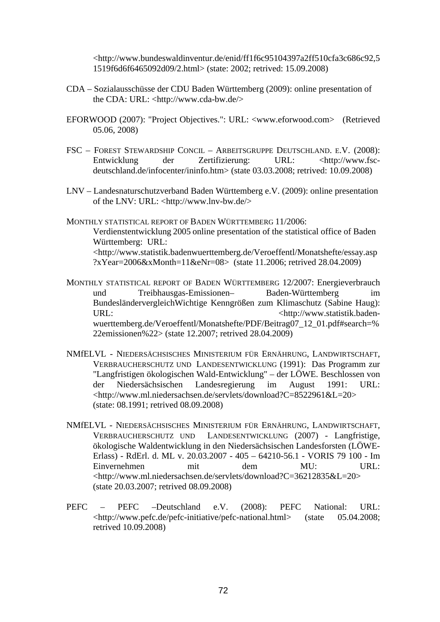<http://www.bundeswaldinventur.de/enid/ff1f6c95104397a2ff510cfa3c686c92,5 1519f6d6f6465092d09/2.html> (state: 2002; retrived: 15.09.2008)

- CDA Sozialausschüsse der CDU Baden Württemberg (2009): online presentation of the CDA: URL: <http://www.cda-bw.de/>
- EFORWOOD (2007): "Project Objectives.": URL: <www.eforwood.com> (Retrieved 05.06, 2008)
- FSC FOREST STEWARDSHIP CONCIL ARBEITSGRUPPE DEUTSCHLAND. E.V. (2008): Entwicklung der Zertifizierung: URL: <http://www.fscdeutschland.de/infocenter/ininfo.htm> (state 03.03.2008; retrived: 10.09.2008)
- LNV Landesnaturschutzverband Baden Württemberg e.V. (2009): online presentation of the LNV: URL: <http://www.lnv-bw.de/>

MONTHLY STATISTICAL REPORT OF BADEN WÜRTTEMBERG 11/2006: Verdienstentwicklung 2005 online presentation of the statistical office of Baden Württemberg: URL: <http://www.statistik.badenwuerttemberg.de/Veroeffentl/Monatshefte/essay.asp ?xYear=2006&xMonth=11&eNr=08> (state 11.2006; retrived 28.04.2009)

MONTHLY STATISTICAL REPORT OF BADEN WÜRTTEMBERG 12/2007: Energieverbrauch und Treibhausgas-Emissionen– Baden-Württemberg BundesländervergleichWichtige Kenngrößen zum Klimaschutz (Sabine Haug): URL:  $\langle \text{http://www.statistik.baden-} \rangle$ wuerttemberg.de/Veroeffentl/Monatshefte/PDF/Beitrag07\_12\_01.pdf#search=% 22emissionen%22> (state 12.2007; retrived 28.04.2009)

- NMfELVL NIEDERSÄCHSISCHES MINISTERIUM FÜR ERNÄHRUNG, LANDWIRTSCHAFT, VERBRAUCHERSCHUTZ UND LANDESENTWICKLUNG (1991): Das Programm zur "Langfristigen ökologischen Wald-Entwicklung" – der LÖWE. Beschlossen von der Niedersächsischen Landesregierung im August 1991: URL: <http://www.ml.niedersachsen.de/servlets/download?C=8522961&L=20> (state: 08.1991; retrived 08.09.2008)
- NMfELVL NIEDERSÄCHSISCHES MINISTERIUM FÜR ERNÄHRUNG, LANDWIRTSCHAFT, VERBRAUCHERSCHUTZ UND LANDESENTWICKLUNG (2007) - Langfristige, ökologische Waldentwicklung in den Niedersächsischen Landesforsten (LÖWE-Erlass) - RdErl. d. ML v. 20.03.2007 - 405 – 64210-56.1 - VORIS 79 100 - Im Einvernehmen mit dem MU: URL: <http://www.ml.niedersachsen.de/servlets/download?C=36212835&L=20> (state 20.03.2007; retrived 08.09.2008)
- PEFC PEFC –Deutschland e.V. (2008): PEFC National: URL: <http://www.pefc.de/pefc-initiative/pefc-national.html> (state 05.04.2008; retrived 10.09.2008)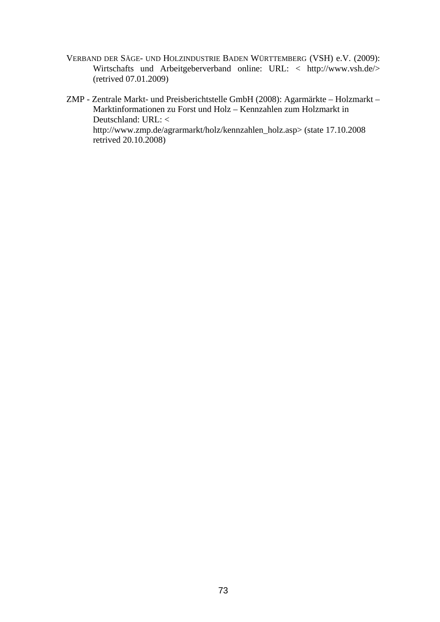- VERBAND DER SÄGE- UND HOLZINDUSTRIE BADEN WÜRTTEMBERG (VSH) e.V. (2009): Wirtschafts und Arbeitgeberverband online: URL: < http://www.vsh.de/> (retrived 07.01.2009)
- ZMP Zentrale Markt- und Preisberichtstelle GmbH (2008): Agarmärkte Holzmarkt Marktinformationen zu Forst und Holz – Kennzahlen zum Holzmarkt in Deutschland: URL: < http://www.zmp.de/agrarmarkt/holz/kennzahlen\_holz.asp> (state 17.10.2008 retrived 20.10.2008)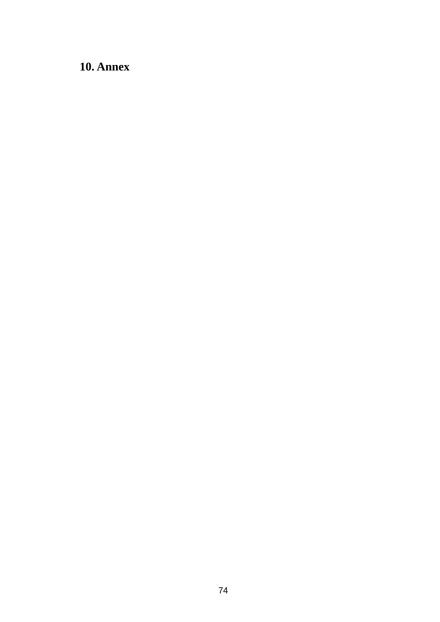**10. Annex**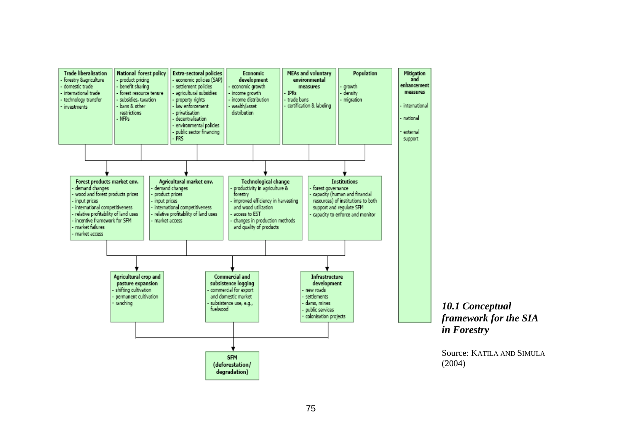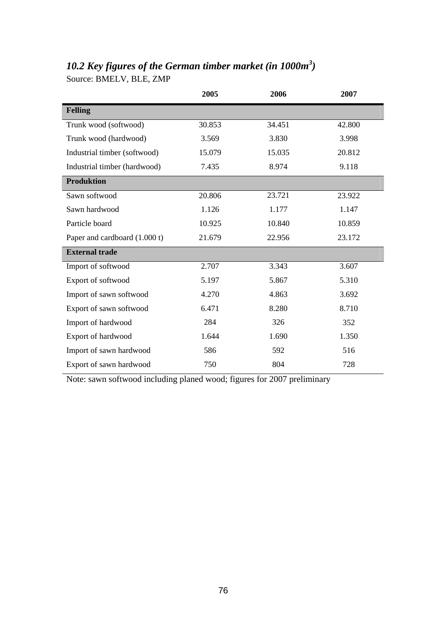# *10.2 Key figures of the German timber market (in 1000m<sup>3</sup> )*

Source: BMELV, BLE, ZMP

|                               | 2005   | 2006   | 2007   |
|-------------------------------|--------|--------|--------|
| <b>Felling</b>                |        |        |        |
| Trunk wood (softwood)         | 30.853 | 34.451 | 42.800 |
| Trunk wood (hardwood)         | 3.569  | 3.830  | 3.998  |
| Industrial timber (softwood)  | 15.079 | 15.035 | 20.812 |
| Industrial timber (hardwood)  | 7.435  | 8.974  | 9.118  |
| <b>Produktion</b>             |        |        |        |
| Sawn softwood                 | 20.806 | 23.721 | 23.922 |
| Sawn hardwood                 | 1.126  | 1.177  | 1.147  |
| Particle board                | 10.925 | 10.840 | 10.859 |
| Paper and cardboard (1.000 t) | 21.679 | 22.956 | 23.172 |
| <b>External trade</b>         |        |        |        |
| Import of softwood            | 2.707  | 3.343  | 3.607  |
| Export of softwood            | 5.197  | 5.867  | 5.310  |
| Import of sawn softwood       | 4.270  | 4.863  | 3.692  |
| Export of sawn softwood       | 6.471  | 8.280  | 8.710  |
| Import of hardwood            | 284    | 326    | 352    |
| Export of hardwood            | 1.644  | 1.690  | 1.350  |
| Import of sawn hardwood       | 586    | 592    | 516    |
| Export of sawn hardwood       | 750    | 804    | 728    |

Note: sawn softwood including planed wood; figures for 2007 preliminary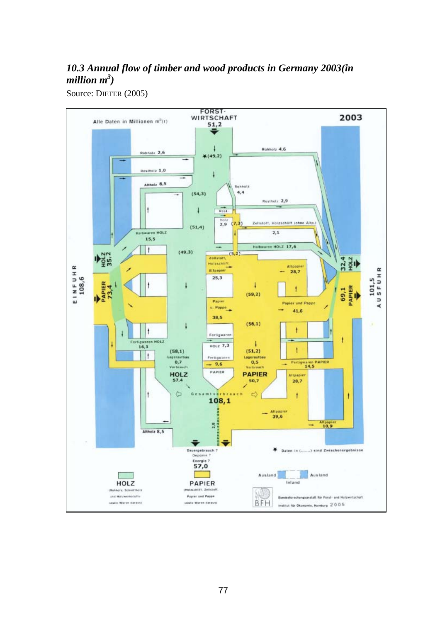# *10.3 Annual flow of timber and wood products in Germany 2003(in million m3 )*

Source: DIETER (2005)

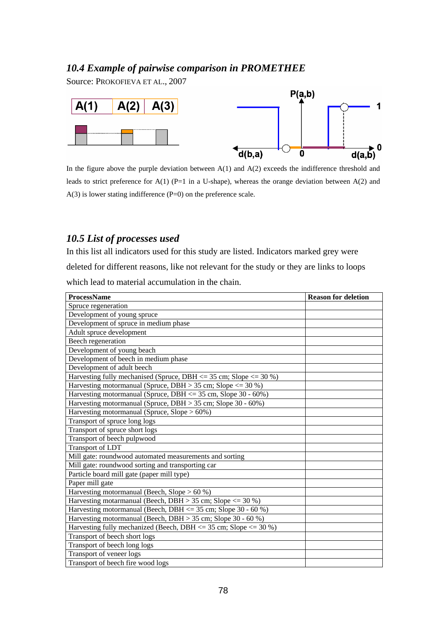#### *10.4 Example of pairwise comparison in PROMETHEE*

Source: PROKOFIEVA ET AL., 2007



In the figure above the purple deviation between A(1) and A(2) exceeds the indifference threshold and leads to strict preference for A(1) (P=1 in a U-shape), whereas the orange deviation between A(2) and  $A(3)$  is lower stating indifference (P=0) on the preference scale.

#### *10.5 List of processes used*

In this list all indicators used for this study are listed. Indicators marked grey were deleted for different reasons, like not relevant for the study or they are links to loops which lead to material accumulation in the chain.

| <b>ProcessName</b>                                                            | <b>Reason for deletion</b> |
|-------------------------------------------------------------------------------|----------------------------|
| Spruce regeneration                                                           |                            |
| Development of young spruce                                                   |                            |
| Development of spruce in medium phase                                         |                            |
| Adult spruce development                                                      |                            |
| Beech regeneration                                                            |                            |
| Development of young beach                                                    |                            |
| Development of beech in medium phase                                          |                            |
| Development of adult beech                                                    |                            |
| Harvesting fully mechanised (Spruce, DBH $\leq$ = 35 cm; Slope $\leq$ = 30 %) |                            |
| Harvesting motormanual (Spruce, DBH $>$ 35 cm; Slope $\leq$ 30 %)             |                            |
| Harvesting motormanual (Spruce, DBH $\leq$ 35 cm, Slope 30 - 60%)             |                            |
| Harvesting motormanual (Spruce, DBH > 35 cm; Slope 30 - 60%)                  |                            |
| Harvesting motormanual (Spruce, Slope $> 60\%$ )                              |                            |
| Transport of spruce long logs                                                 |                            |
| Transport of spruce short logs                                                |                            |
| Transport of beech pulpwood                                                   |                            |
| Transport of LDT                                                              |                            |
| Mill gate: roundwood automated measurements and sorting                       |                            |
| Mill gate: roundwood sorting and transporting car                             |                            |
| Particle board mill gate (paper mill type)                                    |                            |
| Paper mill gate                                                               |                            |
| Harvesting motormanual (Beech, Slope $> 60\%$ )                               |                            |
| Harvesting motarmanual (Beech, DBH $>$ 35 cm; Slope $\leq$ 30 %)              |                            |
| Harvesting motormanual (Beech, DBH <= 35 cm; Slope 30 - 60 %)                 |                            |
| Harvesting motormanual (Beech, DBH > 35 cm; Slope 30 - 60 %)                  |                            |
| Harvesting fully mechanized (Beech, DBH $\leq$ 35 cm; Slope $\leq$ 30 %)      |                            |
| Transport of beech short logs                                                 |                            |
| Transport of beech long logs                                                  |                            |
| Transport of veneer logs                                                      |                            |
| Transport of beech fire wood logs                                             |                            |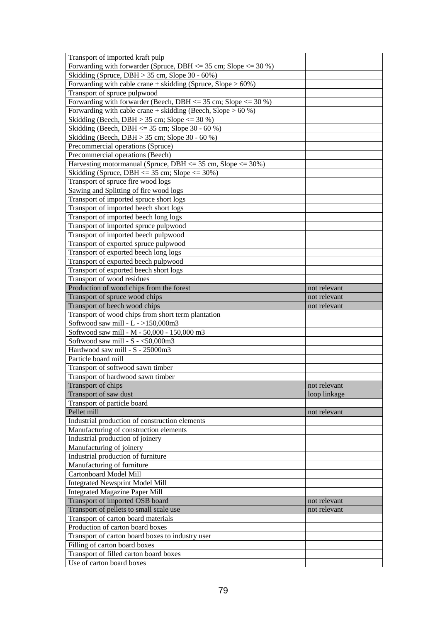| Transport of imported kraft pulp                                        |              |
|-------------------------------------------------------------------------|--------------|
| Forwarding with forwarder (Spruce, DBH $\leq$ 35 cm; Slope $\leq$ 30 %) |              |
| Skidding (Spruce, DBH > 35 cm, Slope 30 - 60%)                          |              |
| Forwarding with cable crane + skidding (Spruce, Slope $> 60\%$ )        |              |
| Transport of spruce pulpwood                                            |              |
| Forwarding with forwarder (Beech, DBH $\leq$ 35 cm; Slope $\leq$ 30 %)  |              |
| Forwarding with cable crane + skidding (Beech, Slope $> 60\%$ )         |              |
| Skidding (Beech, DBH $>$ 35 cm; Slope $\leq$ 30 %)                      |              |
| Skidding (Beech, DBH $\leq$ 35 cm; Slope 30 - 60 %)                     |              |
| Skidding (Beech, DBH $>$ 35 cm; Slope 30 - 60 %)                        |              |
| Precommercial operations (Spruce)                                       |              |
| Precommercial operations (Beech)                                        |              |
| Harvesting motormanual (Spruce, DBH $\leq$ 35 cm, Slope $\leq$ 30%)     |              |
| Skidding (Spruce, DBH $\leq$ 35 cm; Slope $\leq$ 30%)                   |              |
| Transport of spruce fire wood logs                                      |              |
|                                                                         |              |
| Sawing and Splitting of fire wood logs                                  |              |
| Transport of imported spruce short logs                                 |              |
| Transport of imported beech short logs                                  |              |
| Transport of imported beech long logs                                   |              |
| Transport of imported spruce pulpwood                                   |              |
| Transport of imported beech pulpwood                                    |              |
| Transport of exported spruce pulpwood                                   |              |
| Transport of exported beech long logs                                   |              |
| Transport of exported beech pulpwood                                    |              |
| Transport of exported beech short logs                                  |              |
| Transport of wood residues                                              |              |
| Production of wood chips from the forest                                | not relevant |
| Transport of spruce wood chips                                          | not relevant |
| Transport of beech wood chips                                           | not relevant |
| Transport of wood chips from short term plantation                      |              |
| Softwood saw mill - $L - >150,000$ m3                                   |              |
| Softwood saw mill - M - 50,000 - 150,000 m3                             |              |
| Softwood saw mill - S - <50,000m3                                       |              |
| Hardwood saw mill - S - 25000m3                                         |              |
| Particle board mill                                                     |              |
| Transport of softwood sawn timber                                       |              |
| Transport of hardwood sawn timber                                       |              |
| Transport of chips                                                      | not relevant |
| Transport of saw dust                                                   | loop linkage |
| Transport of particle board                                             |              |
| Pellet mill                                                             | not relevant |
| Industrial production of construction elements                          |              |
| Manufacturing of construction elements                                  |              |
| Industrial production of joinery                                        |              |
| Manufacturing of joinery                                                |              |
| Industrial production of furniture                                      |              |
|                                                                         |              |
| Manufacturing of furniture                                              |              |
| Cartonboard Model Mill                                                  |              |
| <b>Integrated Newsprint Model Mill</b>                                  |              |
| <b>Integrated Magazine Paper Mill</b>                                   |              |
| Transport of imported OSB board                                         | not relevant |
| Transport of pellets to small scale use                                 | not relevant |
| Transport of carton board materials                                     |              |
| Production of carton board boxes                                        |              |
|                                                                         |              |
| Transport of carton board boxes to industry user                        |              |
| Filling of carton board boxes                                           |              |
| Transport of filled carton board boxes<br>Use of carton board boxes     |              |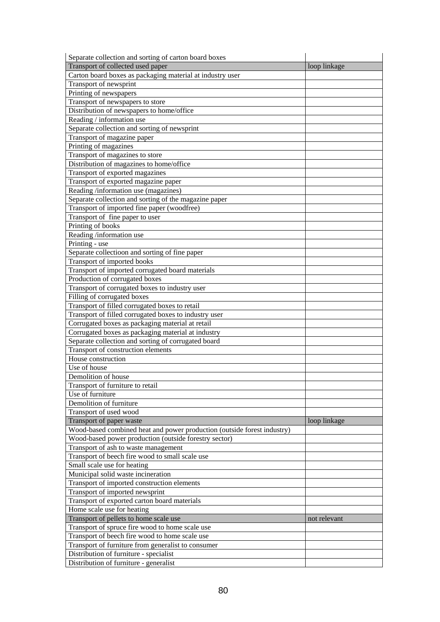| Separate collection and sorting of carton board boxes<br>Transport of collected used paper | loop linkage |
|--------------------------------------------------------------------------------------------|--------------|
| Carton board boxes as packaging material at industry user                                  |              |
| Transport of newsprint                                                                     |              |
| Printing of newspapers                                                                     |              |
| Transport of newspapers to store                                                           |              |
| Distribution of newspapers to home/office                                                  |              |
| Reading / information use                                                                  |              |
| Separate collection and sorting of newsprint                                               |              |
| Transport of magazine paper                                                                |              |
| Printing of magazines                                                                      |              |
| Transport of magazines to store                                                            |              |
| Distribution of magazines to home/office                                                   |              |
| Transport of exported magazines                                                            |              |
| Transport of exported magazine paper                                                       |              |
| Reading/information use (magazines)                                                        |              |
| Separate collection and sorting of the magazine paper                                      |              |
| Transport of imported fine paper (woodfree)                                                |              |
| Transport of fine paper to user                                                            |              |
| Printing of books                                                                          |              |
| Reading /information use                                                                   |              |
| Printing - use                                                                             |              |
| Separate collectioon and sorting of fine paper                                             |              |
| Transport of imported books                                                                |              |
| Transport of imported corrugated board materials                                           |              |
| Production of corrugated boxes                                                             |              |
| Transport of corrugated boxes to industry user                                             |              |
| Filling of corrugated boxes                                                                |              |
| Transport of filled corrugated boxes to retail                                             |              |
| Transport of filled corrugated boxes to industry user                                      |              |
| Corrugated boxes as packaging material at retail                                           |              |
| Corrugated boxes as packaging material at industry                                         |              |
| Separate collection and sorting of corrugated board                                        |              |
| Transport of construction elements                                                         |              |
| House construction                                                                         |              |
| Use of house                                                                               |              |
| Demolition of house                                                                        |              |
| Transport of furniture to retail                                                           |              |
| Use of furniture                                                                           |              |
| Demolition of furniture                                                                    |              |
| Transport of used wood                                                                     |              |
| Transport of paper waste                                                                   | loop linkage |
| Wood-based combined heat and power production (outside forest industry)                    |              |
| Wood-based power production (outside forestry sector)                                      |              |
| Transport of ash to waste management                                                       |              |
| Transport of beech fire wood to small scale use                                            |              |
| Small scale use for heating                                                                |              |
| Municipal solid waste incineration                                                         |              |
| Transport of imported construction elements                                                |              |
| Transport of imported newsprint                                                            |              |
| Transport of exported carton board materials                                               |              |
| Home scale use for heating                                                                 |              |
| Transport of pellets to home scale use                                                     | not relevant |
| Transport of spruce fire wood to home scale use                                            |              |
| Transport of beech fire wood to home scale use                                             |              |
| Transport of furniture from generalist to consumer                                         |              |
| Distribution of furniture - specialist                                                     |              |
| Distribution of furniture - generalist                                                     |              |
|                                                                                            |              |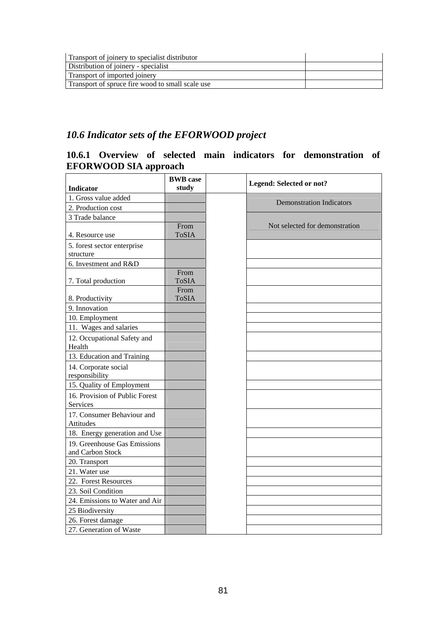| Transport of joinery to specialist distributor   |  |
|--------------------------------------------------|--|
| Distribution of joinery - specialist             |  |
| Transport of imported joinery                    |  |
| Transport of spruce fire wood to small scale use |  |

# *10.6 Indicator sets of the EFORWOOD project*

## **10.6.1 Overview of selected main indicators for demonstration of EFORWOOD SIA approach**

| <b>Indicator</b>                                 | <b>BWB</b> case<br>study | Legend: Selected or not?        |
|--------------------------------------------------|--------------------------|---------------------------------|
| 1. Gross value added                             |                          | <b>Demonstration Indicators</b> |
| 2. Production cost                               |                          |                                 |
| 3 Trade balance                                  |                          |                                 |
| 4. Resource use                                  | From<br><b>ToSIA</b>     | Not selected for demonstration  |
| 5. forest sector enterprise<br>structure         |                          |                                 |
| 6. Investment and R&D                            |                          |                                 |
| 7. Total production                              | From<br><b>ToSIA</b>     |                                 |
| 8. Productivity                                  | From<br><b>ToSIA</b>     |                                 |
| 9. Innovation                                    |                          |                                 |
| 10. Employment                                   |                          |                                 |
| 11. Wages and salaries                           |                          |                                 |
| 12. Occupational Safety and<br>Health            |                          |                                 |
| 13. Education and Training                       |                          |                                 |
| 14. Corporate social<br>responsibility           |                          |                                 |
| 15. Quality of Employment                        |                          |                                 |
| 16. Provision of Public Forest<br>Services       |                          |                                 |
| 17. Consumer Behaviour and<br>Attitudes          |                          |                                 |
| 18. Energy generation and Use                    |                          |                                 |
| 19. Greenhouse Gas Emissions<br>and Carbon Stock |                          |                                 |
| 20. Transport                                    |                          |                                 |
| 21. Water use                                    |                          |                                 |
| 22. Forest Resources                             |                          |                                 |
| 23. Soil Condition                               |                          |                                 |
| 24. Emissions to Water and Air                   |                          |                                 |
| 25 Biodiversity                                  |                          |                                 |
| 26. Forest damage                                |                          |                                 |
| 27. Generation of Waste                          |                          |                                 |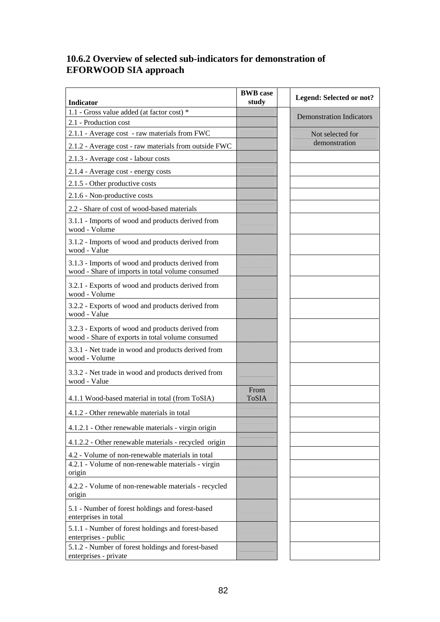### **10.6.2 Overview of selected sub-indicators for demonstration of EFORWOOD SIA approach**

|                                                                                                                  | <b>BWB</b> case      | Legend: Selected or not?          |
|------------------------------------------------------------------------------------------------------------------|----------------------|-----------------------------------|
| <b>Indicator</b>                                                                                                 | study                |                                   |
| 1.1 - Gross value added (at factor cost) *                                                                       |                      | <b>Demonstration Indicators</b>   |
| 2.1 - Production cost                                                                                            |                      |                                   |
| 2.1.1 - Average cost - raw materials from FWC                                                                    |                      | Not selected for<br>demonstration |
| 2.1.2 - Average cost - raw materials from outside FWC                                                            |                      |                                   |
| 2.1.3 - Average cost - labour costs                                                                              |                      |                                   |
| 2.1.4 - Average cost - energy costs                                                                              |                      |                                   |
| 2.1.5 - Other productive costs                                                                                   |                      |                                   |
| 2.1.6 - Non-productive costs                                                                                     |                      |                                   |
| 2.2 - Share of cost of wood-based materials                                                                      |                      |                                   |
| 3.1.1 - Imports of wood and products derived from<br>wood - Volume                                               |                      |                                   |
| 3.1.2 - Imports of wood and products derived from<br>wood - Value                                                |                      |                                   |
| 3.1.3 - Imports of wood and products derived from<br>wood - Share of imports in total volume consumed            |                      |                                   |
| 3.2.1 - Exports of wood and products derived from<br>wood - Volume                                               |                      |                                   |
| 3.2.2 - Exports of wood and products derived from<br>wood - Value                                                |                      |                                   |
| 3.2.3 - Exports of wood and products derived from<br>wood - Share of exports in total volume consumed            |                      |                                   |
| 3.3.1 - Net trade in wood and products derived from<br>wood - Volume                                             |                      |                                   |
| 3.3.2 - Net trade in wood and products derived from<br>wood - Value                                              |                      |                                   |
| 4.1.1 Wood-based material in total (from ToSIA)                                                                  | From<br><b>ToSIA</b> |                                   |
| 4.1.2 - Other renewable materials in total                                                                       |                      |                                   |
| 4.1.2.1 - Other renewable materials - virgin origin                                                              |                      |                                   |
| 4.1.2.2 - Other renewable materials - recycled origin                                                            |                      |                                   |
| 4.2 - Volume of non-renewable materials in total<br>4.2.1 - Volume of non-renewable materials - virgin<br>origin |                      |                                   |
| 4.2.2 - Volume of non-renewable materials - recycled<br>origin                                                   |                      |                                   |
| 5.1 - Number of forest holdings and forest-based<br>enterprises in total                                         |                      |                                   |
| 5.1.1 - Number of forest holdings and forest-based<br>enterprises - public                                       |                      |                                   |
| 5.1.2 - Number of forest holdings and forest-based<br>enterprises - private                                      |                      |                                   |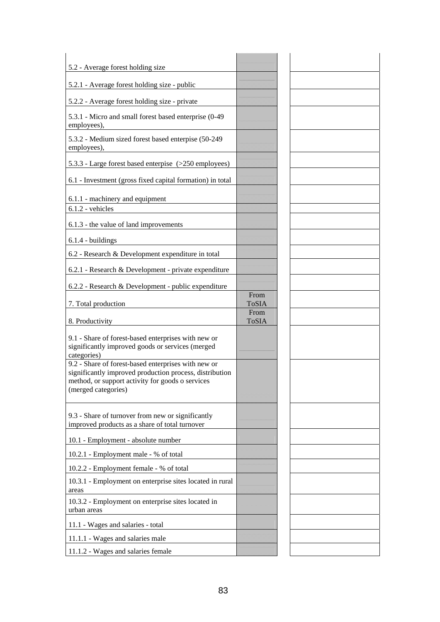| 5.2 - Average forest holding size                                                                                                                                                         |                      |  |  |  |
|-------------------------------------------------------------------------------------------------------------------------------------------------------------------------------------------|----------------------|--|--|--|
| 5.2.1 - Average forest holding size - public                                                                                                                                              |                      |  |  |  |
| 5.2.2 - Average forest holding size - private                                                                                                                                             |                      |  |  |  |
| 5.3.1 - Micro and small forest based enterprise (0-49<br>employees),                                                                                                                      |                      |  |  |  |
| 5.3.2 - Medium sized forest based enterpise (50-249)<br>employees),                                                                                                                       |                      |  |  |  |
| 5.3.3 - Large forest based enterpise (>250 employees)                                                                                                                                     |                      |  |  |  |
| 6.1 - Investment (gross fixed capital formation) in total                                                                                                                                 |                      |  |  |  |
| 6.1.1 - machinery and equipment                                                                                                                                                           |                      |  |  |  |
| $6.1.2$ - vehicles                                                                                                                                                                        |                      |  |  |  |
| 6.1.3 - the value of land improvements                                                                                                                                                    |                      |  |  |  |
| $6.1.4$ - buildings                                                                                                                                                                       |                      |  |  |  |
| 6.2 - Research & Development expenditure in total                                                                                                                                         |                      |  |  |  |
| 6.2.1 - Research & Development - private expenditure                                                                                                                                      |                      |  |  |  |
| 6.2.2 - Research & Development - public expenditure                                                                                                                                       |                      |  |  |  |
|                                                                                                                                                                                           | From                 |  |  |  |
| 7. Total production                                                                                                                                                                       | <b>ToSIA</b>         |  |  |  |
| 8. Productivity                                                                                                                                                                           | From<br><b>ToSIA</b> |  |  |  |
| 9.1 - Share of forest-based enterprises with new or<br>significantly improved goods or services (merged<br>categories)                                                                    |                      |  |  |  |
| 9.2 - Share of forest-based enterprises with new or<br>significantly improved production process, distribution<br>method, or support activity for goods o services<br>(merged categories) |                      |  |  |  |
| 9.3 - Share of turnover from new or significantly<br>improved products as a share of total turnover                                                                                       |                      |  |  |  |
| 10.1 - Employment - absolute number                                                                                                                                                       |                      |  |  |  |
| 10.2.1 - Employment male - % of total                                                                                                                                                     |                      |  |  |  |
| 10.2.2 - Employment female - % of total                                                                                                                                                   |                      |  |  |  |
| 10.3.1 - Employment on enterprise sites located in rural<br>areas                                                                                                                         |                      |  |  |  |
| 10.3.2 - Employment on enterprise sites located in<br>urban areas                                                                                                                         |                      |  |  |  |
| 11.1 - Wages and salaries - total                                                                                                                                                         |                      |  |  |  |
| 11.1.1 - Wages and salaries male                                                                                                                                                          |                      |  |  |  |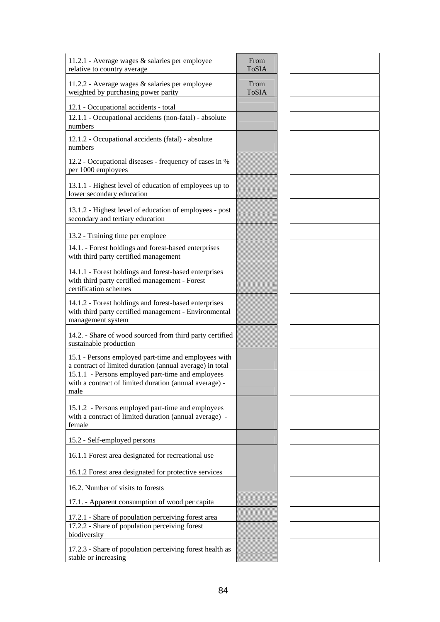| 11.2.1 - Average wages & salaries per employee<br>relative to country average                                                       | From<br><b>ToSIA</b> |  |
|-------------------------------------------------------------------------------------------------------------------------------------|----------------------|--|
| 11.2.2 - Average wages & salaries per employee<br>weighted by purchasing power parity                                               | From<br><b>ToSIA</b> |  |
| 12.1 - Occupational accidents - total                                                                                               |                      |  |
| 12.1.1 - Occupational accidents (non-fatal) - absolute<br>numbers                                                                   |                      |  |
| 12.1.2 - Occupational accidents (fatal) - absolute<br>numbers                                                                       |                      |  |
| 12.2 - Occupational diseases - frequency of cases in %<br>per 1000 employees                                                        |                      |  |
| 13.1.1 - Highest level of education of employees up to<br>lower secondary education                                                 |                      |  |
| 13.1.2 - Highest level of education of employees - post<br>secondary and tertiary education                                         |                      |  |
| 13.2 - Training time per emploee                                                                                                    |                      |  |
| 14.1. - Forest holdings and forest-based enterprises<br>with third party certified management                                       |                      |  |
| 14.1.1 - Forest holdings and forest-based enterprises<br>with third party certified management - Forest<br>certification schemes    |                      |  |
| 14.1.2 - Forest holdings and forest-based enterprises<br>with third party certified management - Environmental<br>management system |                      |  |
| 14.2. - Share of wood sourced from third party certified<br>sustainable production                                                  |                      |  |
| 15.1 - Persons employed part-time and employees with<br>a contract of limited duration (annual average) in total                    |                      |  |
| 15.1.1 - Persons employed part-time and employees<br>with a contract of limited duration (annual average) -<br>male                 |                      |  |
| 15.1.2 - Persons employed part-time and employees<br>with a contract of limited duration (annual average) -<br>female               |                      |  |
| 15.2 - Self-employed persons                                                                                                        |                      |  |
| 16.1.1 Forest area designated for recreational use                                                                                  |                      |  |
| 16.1.2 Forest area designated for protective services                                                                               |                      |  |
| 16.2. Number of visits to forests                                                                                                   |                      |  |
| 17.1. - Apparent consumption of wood per capita                                                                                     |                      |  |
| 17.2.1 - Share of population perceiving forest area<br>17.2.2 - Share of population perceiving forest<br>biodiversity               |                      |  |
| 17.2.3 - Share of population perceiving forest health as<br>stable or increasing                                                    |                      |  |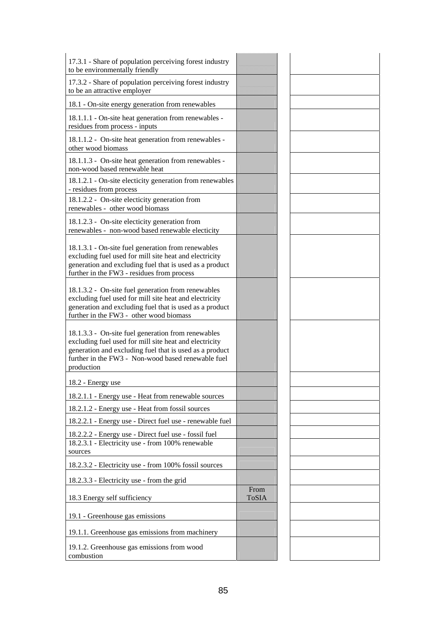| 17.3.1 - Share of population perceiving forest industry<br>to be environmentally friendly                                                                                                                                                   |                      |  |  |  |
|---------------------------------------------------------------------------------------------------------------------------------------------------------------------------------------------------------------------------------------------|----------------------|--|--|--|
| 17.3.2 - Share of population perceiving forest industry<br>to be an attractive employer                                                                                                                                                     |                      |  |  |  |
| 18.1 - On-site energy generation from renewables                                                                                                                                                                                            |                      |  |  |  |
| 18.1.1.1 - On-site heat generation from renewables -<br>residues from process - inputs                                                                                                                                                      |                      |  |  |  |
| 18.1.1.2 - On-site heat generation from renewables -<br>other wood biomass                                                                                                                                                                  |                      |  |  |  |
| 18.1.1.3 - On-site heat generation from renewables -<br>non-wood based renewable heat                                                                                                                                                       |                      |  |  |  |
| 18.1.2.1 - On-site electicity generation from renewables<br>- residues from process                                                                                                                                                         |                      |  |  |  |
| 18.1.2.2 - On-site electicity generation from<br>renewables - other wood biomass                                                                                                                                                            |                      |  |  |  |
| 18.1.2.3 - On-site electicity generation from<br>renewables - non-wood based renewable electicity                                                                                                                                           |                      |  |  |  |
| 18.1.3.1 - On-site fuel generation from renewables<br>excluding fuel used for mill site heat and electricity<br>generation and excluding fuel that is used as a product<br>further in the FW3 - residues from process                       |                      |  |  |  |
| 18.1.3.2 - On-site fuel generation from renewables<br>excluding fuel used for mill site heat and electricity<br>generation and excluding fuel that is used as a product<br>further in the FW3 - other wood biomass                          |                      |  |  |  |
| 18.1.3.3 - On-site fuel generation from renewables<br>excluding fuel used for mill site heat and electricity<br>generation and excluding fuel that is used as a product<br>further in the FW3 - Non-wood based renewable fuel<br>production |                      |  |  |  |
| 18.2 - Energy use                                                                                                                                                                                                                           |                      |  |  |  |
| 18.2.1.1 - Energy use - Heat from renewable sources                                                                                                                                                                                         |                      |  |  |  |
| 18.2.1.2 - Energy use - Heat from fossil sources                                                                                                                                                                                            |                      |  |  |  |
| 18.2.2.1 - Energy use - Direct fuel use - renewable fuel                                                                                                                                                                                    |                      |  |  |  |
| 18.2.2.2 - Energy use - Direct fuel use - fossil fuel<br>18.2.3.1 - Electricity use - from 100% renewable<br>sources                                                                                                                        |                      |  |  |  |
| 18.2.3.2 - Electricity use - from 100% fossil sources                                                                                                                                                                                       |                      |  |  |  |
| 18.2.3.3 - Electricity use - from the grid                                                                                                                                                                                                  |                      |  |  |  |
| 18.3 Energy self sufficiency                                                                                                                                                                                                                | From<br><b>ToSIA</b> |  |  |  |
| 19.1 - Greenhouse gas emissions                                                                                                                                                                                                             |                      |  |  |  |
| 19.1.1. Greenhouse gas emissions from machinery                                                                                                                                                                                             |                      |  |  |  |
| 19.1.2. Greenhouse gas emissions from wood<br>combustion                                                                                                                                                                                    |                      |  |  |  |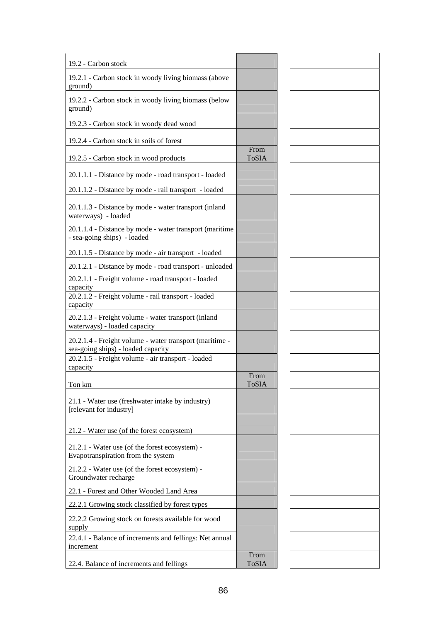| 19.2 - Carbon stock                                                                           |                      |  |
|-----------------------------------------------------------------------------------------------|----------------------|--|
| 19.2.1 - Carbon stock in woody living biomass (above<br>ground)                               |                      |  |
| 19.2.2 - Carbon stock in woody living biomass (below<br>ground)                               |                      |  |
| 19.2.3 - Carbon stock in woody dead wood                                                      |                      |  |
| 19.2.4 - Carbon stock in soils of forest                                                      |                      |  |
| 19.2.5 - Carbon stock in wood products                                                        | From<br><b>ToSIA</b> |  |
| 20.1.1.1 - Distance by mode - road transport - loaded                                         |                      |  |
| 20.1.1.2 - Distance by mode - rail transport - loaded                                         |                      |  |
| 20.1.1.3 - Distance by mode - water transport (inland<br>waterways) - loaded                  |                      |  |
| 20.1.1.4 - Distance by mode - water transport (maritime<br>- sea-going ships) - loaded        |                      |  |
| 20.1.1.5 - Distance by mode - air transport - loaded                                          |                      |  |
| 20.1.2.1 - Distance by mode - road transport - unloaded                                       |                      |  |
| 20.2.1.1 - Freight volume - road transport - loaded<br>capacity                               |                      |  |
| 20.2.1.2 - Freight volume - rail transport - loaded<br>capacity                               |                      |  |
| 20.2.1.3 - Freight volume - water transport (inland<br>waterways) - loaded capacity           |                      |  |
| 20.2.1.4 - Freight volume - water transport (maritime -<br>sea-going ships) - loaded capacity |                      |  |
| 20.2.1.5 - Freight volume - air transport - loaded<br>capacity                                |                      |  |
| Ton km                                                                                        | From<br><b>ToSIA</b> |  |
| 21.1 - Water use (freshwater intake by industry)<br>[relevant for industry]                   |                      |  |
| 21.2 - Water use (of the forest ecosystem)                                                    |                      |  |
| 21.2.1 - Water use (of the forest ecosystem) -<br>Evapotranspiration from the system          |                      |  |
| 21.2.2 - Water use (of the forest ecosystem) -<br>Groundwater recharge                        |                      |  |
| 22.1 - Forest and Other Wooded Land Area                                                      |                      |  |
| 22.2.1 Growing stock classified by forest types                                               |                      |  |
| 22.2.2 Growing stock on forests available for wood<br>supply                                  |                      |  |
| 22.4.1 - Balance of increments and fellings: Net annual<br>increment                          |                      |  |
| 22.4. Balance of increments and fellings                                                      | From<br>ToSIA        |  |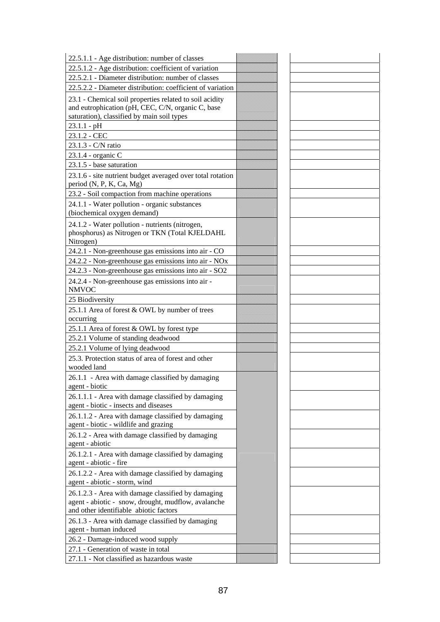| 22.5.1.2 - Age distribution: coefficient of variation<br>22.5.2.1 - Diameter distribution: number of classes<br>22.5.2.2 - Diameter distribution: coefficient of variation<br>23.1 - Chemical soil properties related to soil acidity<br>and eutrophication (pH, CEC, C/N, organic C, base<br>saturation), classified by main soil types<br>$23.1.1 - pH$<br>23.1.2 - CEC<br>23.1.3 - C/N ratio<br>23.1.4 - organic C<br>23.1.5 - base saturation<br>23.1.6 - site nutrient budget averaged over total rotation<br>period (N, P, K, Ca, Mg)<br>23.2 - Soil compaction from machine operations<br>24.1.1 - Water pollution - organic substances<br>(biochemical oxygen demand)<br>24.1.2 - Water pollution - nutrients (nitrogen,<br>phosphorus) as Nitrogen or TKN (Total KJELDAHL<br>Nitrogen)<br>24.2.1 - Non-greenhouse gas emissions into air - CO<br>24.2.2 - Non-greenhouse gas emissions into air - NOx<br>24.2.3 - Non-greenhouse gas emissions into air - SO2<br>24.2.4 - Non-greenhouse gas emissions into air -<br><b>NMVOC</b><br>25 Biodiversity<br>25.1.1 Area of forest & OWL by number of trees<br>occurring<br>25.1.1 Area of forest & OWL by forest type<br>25.2.1 Volume of standing deadwood<br>25.2.1 Volume of lying deadwood<br>25.3. Protection status of area of forest and other<br>wooded land<br>26.1.1 - Area with damage classified by damaging<br>agent - biotic<br>26.1.1.1 - Area with damage classified by damaging<br>agent - biotic - insects and diseases<br>26.1.1.2 - Area with damage classified by damaging<br>agent - biotic - wildlife and grazing<br>26.1.2 - Area with damage classified by damaging<br>agent - abiotic<br>26.1.2.1 - Area with damage classified by damaging<br>agent - abiotic - fire<br>26.1.2.2 - Area with damage classified by damaging<br>agent - abiotic - storm, wind<br>26.1.2.3 - Area with damage classified by damaging<br>agent - abiotic - snow, drought, mudflow, avalanche<br>and other identifiable abiotic factors<br>26.1.3 - Area with damage classified by damaging<br>agent - human induced<br>26.2 - Damage-induced wood supply<br>27.1 - Generation of waste in total<br>27.1.1 - Not classified as hazardous waste | 22.5.1.1 - Age distribution: number of classes |  |
|-----------------------------------------------------------------------------------------------------------------------------------------------------------------------------------------------------------------------------------------------------------------------------------------------------------------------------------------------------------------------------------------------------------------------------------------------------------------------------------------------------------------------------------------------------------------------------------------------------------------------------------------------------------------------------------------------------------------------------------------------------------------------------------------------------------------------------------------------------------------------------------------------------------------------------------------------------------------------------------------------------------------------------------------------------------------------------------------------------------------------------------------------------------------------------------------------------------------------------------------------------------------------------------------------------------------------------------------------------------------------------------------------------------------------------------------------------------------------------------------------------------------------------------------------------------------------------------------------------------------------------------------------------------------------------------------------------------------------------------------------------------------------------------------------------------------------------------------------------------------------------------------------------------------------------------------------------------------------------------------------------------------------------------------------------------------------------------------------------------------------------------------------------------------------------------------------------------|------------------------------------------------|--|
|                                                                                                                                                                                                                                                                                                                                                                                                                                                                                                                                                                                                                                                                                                                                                                                                                                                                                                                                                                                                                                                                                                                                                                                                                                                                                                                                                                                                                                                                                                                                                                                                                                                                                                                                                                                                                                                                                                                                                                                                                                                                                                                                                                                                           |                                                |  |
|                                                                                                                                                                                                                                                                                                                                                                                                                                                                                                                                                                                                                                                                                                                                                                                                                                                                                                                                                                                                                                                                                                                                                                                                                                                                                                                                                                                                                                                                                                                                                                                                                                                                                                                                                                                                                                                                                                                                                                                                                                                                                                                                                                                                           |                                                |  |
|                                                                                                                                                                                                                                                                                                                                                                                                                                                                                                                                                                                                                                                                                                                                                                                                                                                                                                                                                                                                                                                                                                                                                                                                                                                                                                                                                                                                                                                                                                                                                                                                                                                                                                                                                                                                                                                                                                                                                                                                                                                                                                                                                                                                           |                                                |  |
|                                                                                                                                                                                                                                                                                                                                                                                                                                                                                                                                                                                                                                                                                                                                                                                                                                                                                                                                                                                                                                                                                                                                                                                                                                                                                                                                                                                                                                                                                                                                                                                                                                                                                                                                                                                                                                                                                                                                                                                                                                                                                                                                                                                                           |                                                |  |
|                                                                                                                                                                                                                                                                                                                                                                                                                                                                                                                                                                                                                                                                                                                                                                                                                                                                                                                                                                                                                                                                                                                                                                                                                                                                                                                                                                                                                                                                                                                                                                                                                                                                                                                                                                                                                                                                                                                                                                                                                                                                                                                                                                                                           |                                                |  |
|                                                                                                                                                                                                                                                                                                                                                                                                                                                                                                                                                                                                                                                                                                                                                                                                                                                                                                                                                                                                                                                                                                                                                                                                                                                                                                                                                                                                                                                                                                                                                                                                                                                                                                                                                                                                                                                                                                                                                                                                                                                                                                                                                                                                           |                                                |  |
|                                                                                                                                                                                                                                                                                                                                                                                                                                                                                                                                                                                                                                                                                                                                                                                                                                                                                                                                                                                                                                                                                                                                                                                                                                                                                                                                                                                                                                                                                                                                                                                                                                                                                                                                                                                                                                                                                                                                                                                                                                                                                                                                                                                                           |                                                |  |
|                                                                                                                                                                                                                                                                                                                                                                                                                                                                                                                                                                                                                                                                                                                                                                                                                                                                                                                                                                                                                                                                                                                                                                                                                                                                                                                                                                                                                                                                                                                                                                                                                                                                                                                                                                                                                                                                                                                                                                                                                                                                                                                                                                                                           |                                                |  |
|                                                                                                                                                                                                                                                                                                                                                                                                                                                                                                                                                                                                                                                                                                                                                                                                                                                                                                                                                                                                                                                                                                                                                                                                                                                                                                                                                                                                                                                                                                                                                                                                                                                                                                                                                                                                                                                                                                                                                                                                                                                                                                                                                                                                           |                                                |  |
|                                                                                                                                                                                                                                                                                                                                                                                                                                                                                                                                                                                                                                                                                                                                                                                                                                                                                                                                                                                                                                                                                                                                                                                                                                                                                                                                                                                                                                                                                                                                                                                                                                                                                                                                                                                                                                                                                                                                                                                                                                                                                                                                                                                                           |                                                |  |
|                                                                                                                                                                                                                                                                                                                                                                                                                                                                                                                                                                                                                                                                                                                                                                                                                                                                                                                                                                                                                                                                                                                                                                                                                                                                                                                                                                                                                                                                                                                                                                                                                                                                                                                                                                                                                                                                                                                                                                                                                                                                                                                                                                                                           |                                                |  |
|                                                                                                                                                                                                                                                                                                                                                                                                                                                                                                                                                                                                                                                                                                                                                                                                                                                                                                                                                                                                                                                                                                                                                                                                                                                                                                                                                                                                                                                                                                                                                                                                                                                                                                                                                                                                                                                                                                                                                                                                                                                                                                                                                                                                           |                                                |  |
|                                                                                                                                                                                                                                                                                                                                                                                                                                                                                                                                                                                                                                                                                                                                                                                                                                                                                                                                                                                                                                                                                                                                                                                                                                                                                                                                                                                                                                                                                                                                                                                                                                                                                                                                                                                                                                                                                                                                                                                                                                                                                                                                                                                                           |                                                |  |
|                                                                                                                                                                                                                                                                                                                                                                                                                                                                                                                                                                                                                                                                                                                                                                                                                                                                                                                                                                                                                                                                                                                                                                                                                                                                                                                                                                                                                                                                                                                                                                                                                                                                                                                                                                                                                                                                                                                                                                                                                                                                                                                                                                                                           |                                                |  |
|                                                                                                                                                                                                                                                                                                                                                                                                                                                                                                                                                                                                                                                                                                                                                                                                                                                                                                                                                                                                                                                                                                                                                                                                                                                                                                                                                                                                                                                                                                                                                                                                                                                                                                                                                                                                                                                                                                                                                                                                                                                                                                                                                                                                           |                                                |  |
|                                                                                                                                                                                                                                                                                                                                                                                                                                                                                                                                                                                                                                                                                                                                                                                                                                                                                                                                                                                                                                                                                                                                                                                                                                                                                                                                                                                                                                                                                                                                                                                                                                                                                                                                                                                                                                                                                                                                                                                                                                                                                                                                                                                                           |                                                |  |
|                                                                                                                                                                                                                                                                                                                                                                                                                                                                                                                                                                                                                                                                                                                                                                                                                                                                                                                                                                                                                                                                                                                                                                                                                                                                                                                                                                                                                                                                                                                                                                                                                                                                                                                                                                                                                                                                                                                                                                                                                                                                                                                                                                                                           |                                                |  |
|                                                                                                                                                                                                                                                                                                                                                                                                                                                                                                                                                                                                                                                                                                                                                                                                                                                                                                                                                                                                                                                                                                                                                                                                                                                                                                                                                                                                                                                                                                                                                                                                                                                                                                                                                                                                                                                                                                                                                                                                                                                                                                                                                                                                           |                                                |  |
|                                                                                                                                                                                                                                                                                                                                                                                                                                                                                                                                                                                                                                                                                                                                                                                                                                                                                                                                                                                                                                                                                                                                                                                                                                                                                                                                                                                                                                                                                                                                                                                                                                                                                                                                                                                                                                                                                                                                                                                                                                                                                                                                                                                                           |                                                |  |
|                                                                                                                                                                                                                                                                                                                                                                                                                                                                                                                                                                                                                                                                                                                                                                                                                                                                                                                                                                                                                                                                                                                                                                                                                                                                                                                                                                                                                                                                                                                                                                                                                                                                                                                                                                                                                                                                                                                                                                                                                                                                                                                                                                                                           |                                                |  |
|                                                                                                                                                                                                                                                                                                                                                                                                                                                                                                                                                                                                                                                                                                                                                                                                                                                                                                                                                                                                                                                                                                                                                                                                                                                                                                                                                                                                                                                                                                                                                                                                                                                                                                                                                                                                                                                                                                                                                                                                                                                                                                                                                                                                           |                                                |  |
|                                                                                                                                                                                                                                                                                                                                                                                                                                                                                                                                                                                                                                                                                                                                                                                                                                                                                                                                                                                                                                                                                                                                                                                                                                                                                                                                                                                                                                                                                                                                                                                                                                                                                                                                                                                                                                                                                                                                                                                                                                                                                                                                                                                                           |                                                |  |
|                                                                                                                                                                                                                                                                                                                                                                                                                                                                                                                                                                                                                                                                                                                                                                                                                                                                                                                                                                                                                                                                                                                                                                                                                                                                                                                                                                                                                                                                                                                                                                                                                                                                                                                                                                                                                                                                                                                                                                                                                                                                                                                                                                                                           |                                                |  |
|                                                                                                                                                                                                                                                                                                                                                                                                                                                                                                                                                                                                                                                                                                                                                                                                                                                                                                                                                                                                                                                                                                                                                                                                                                                                                                                                                                                                                                                                                                                                                                                                                                                                                                                                                                                                                                                                                                                                                                                                                                                                                                                                                                                                           |                                                |  |
|                                                                                                                                                                                                                                                                                                                                                                                                                                                                                                                                                                                                                                                                                                                                                                                                                                                                                                                                                                                                                                                                                                                                                                                                                                                                                                                                                                                                                                                                                                                                                                                                                                                                                                                                                                                                                                                                                                                                                                                                                                                                                                                                                                                                           |                                                |  |
|                                                                                                                                                                                                                                                                                                                                                                                                                                                                                                                                                                                                                                                                                                                                                                                                                                                                                                                                                                                                                                                                                                                                                                                                                                                                                                                                                                                                                                                                                                                                                                                                                                                                                                                                                                                                                                                                                                                                                                                                                                                                                                                                                                                                           |                                                |  |
|                                                                                                                                                                                                                                                                                                                                                                                                                                                                                                                                                                                                                                                                                                                                                                                                                                                                                                                                                                                                                                                                                                                                                                                                                                                                                                                                                                                                                                                                                                                                                                                                                                                                                                                                                                                                                                                                                                                                                                                                                                                                                                                                                                                                           |                                                |  |
|                                                                                                                                                                                                                                                                                                                                                                                                                                                                                                                                                                                                                                                                                                                                                                                                                                                                                                                                                                                                                                                                                                                                                                                                                                                                                                                                                                                                                                                                                                                                                                                                                                                                                                                                                                                                                                                                                                                                                                                                                                                                                                                                                                                                           |                                                |  |
|                                                                                                                                                                                                                                                                                                                                                                                                                                                                                                                                                                                                                                                                                                                                                                                                                                                                                                                                                                                                                                                                                                                                                                                                                                                                                                                                                                                                                                                                                                                                                                                                                                                                                                                                                                                                                                                                                                                                                                                                                                                                                                                                                                                                           |                                                |  |
|                                                                                                                                                                                                                                                                                                                                                                                                                                                                                                                                                                                                                                                                                                                                                                                                                                                                                                                                                                                                                                                                                                                                                                                                                                                                                                                                                                                                                                                                                                                                                                                                                                                                                                                                                                                                                                                                                                                                                                                                                                                                                                                                                                                                           |                                                |  |
|                                                                                                                                                                                                                                                                                                                                                                                                                                                                                                                                                                                                                                                                                                                                                                                                                                                                                                                                                                                                                                                                                                                                                                                                                                                                                                                                                                                                                                                                                                                                                                                                                                                                                                                                                                                                                                                                                                                                                                                                                                                                                                                                                                                                           |                                                |  |
|                                                                                                                                                                                                                                                                                                                                                                                                                                                                                                                                                                                                                                                                                                                                                                                                                                                                                                                                                                                                                                                                                                                                                                                                                                                                                                                                                                                                                                                                                                                                                                                                                                                                                                                                                                                                                                                                                                                                                                                                                                                                                                                                                                                                           |                                                |  |
|                                                                                                                                                                                                                                                                                                                                                                                                                                                                                                                                                                                                                                                                                                                                                                                                                                                                                                                                                                                                                                                                                                                                                                                                                                                                                                                                                                                                                                                                                                                                                                                                                                                                                                                                                                                                                                                                                                                                                                                                                                                                                                                                                                                                           |                                                |  |
|                                                                                                                                                                                                                                                                                                                                                                                                                                                                                                                                                                                                                                                                                                                                                                                                                                                                                                                                                                                                                                                                                                                                                                                                                                                                                                                                                                                                                                                                                                                                                                                                                                                                                                                                                                                                                                                                                                                                                                                                                                                                                                                                                                                                           |                                                |  |
|                                                                                                                                                                                                                                                                                                                                                                                                                                                                                                                                                                                                                                                                                                                                                                                                                                                                                                                                                                                                                                                                                                                                                                                                                                                                                                                                                                                                                                                                                                                                                                                                                                                                                                                                                                                                                                                                                                                                                                                                                                                                                                                                                                                                           |                                                |  |
|                                                                                                                                                                                                                                                                                                                                                                                                                                                                                                                                                                                                                                                                                                                                                                                                                                                                                                                                                                                                                                                                                                                                                                                                                                                                                                                                                                                                                                                                                                                                                                                                                                                                                                                                                                                                                                                                                                                                                                                                                                                                                                                                                                                                           |                                                |  |
|                                                                                                                                                                                                                                                                                                                                                                                                                                                                                                                                                                                                                                                                                                                                                                                                                                                                                                                                                                                                                                                                                                                                                                                                                                                                                                                                                                                                                                                                                                                                                                                                                                                                                                                                                                                                                                                                                                                                                                                                                                                                                                                                                                                                           |                                                |  |
|                                                                                                                                                                                                                                                                                                                                                                                                                                                                                                                                                                                                                                                                                                                                                                                                                                                                                                                                                                                                                                                                                                                                                                                                                                                                                                                                                                                                                                                                                                                                                                                                                                                                                                                                                                                                                                                                                                                                                                                                                                                                                                                                                                                                           |                                                |  |
|                                                                                                                                                                                                                                                                                                                                                                                                                                                                                                                                                                                                                                                                                                                                                                                                                                                                                                                                                                                                                                                                                                                                                                                                                                                                                                                                                                                                                                                                                                                                                                                                                                                                                                                                                                                                                                                                                                                                                                                                                                                                                                                                                                                                           |                                                |  |
|                                                                                                                                                                                                                                                                                                                                                                                                                                                                                                                                                                                                                                                                                                                                                                                                                                                                                                                                                                                                                                                                                                                                                                                                                                                                                                                                                                                                                                                                                                                                                                                                                                                                                                                                                                                                                                                                                                                                                                                                                                                                                                                                                                                                           |                                                |  |
|                                                                                                                                                                                                                                                                                                                                                                                                                                                                                                                                                                                                                                                                                                                                                                                                                                                                                                                                                                                                                                                                                                                                                                                                                                                                                                                                                                                                                                                                                                                                                                                                                                                                                                                                                                                                                                                                                                                                                                                                                                                                                                                                                                                                           |                                                |  |
|                                                                                                                                                                                                                                                                                                                                                                                                                                                                                                                                                                                                                                                                                                                                                                                                                                                                                                                                                                                                                                                                                                                                                                                                                                                                                                                                                                                                                                                                                                                                                                                                                                                                                                                                                                                                                                                                                                                                                                                                                                                                                                                                                                                                           |                                                |  |
|                                                                                                                                                                                                                                                                                                                                                                                                                                                                                                                                                                                                                                                                                                                                                                                                                                                                                                                                                                                                                                                                                                                                                                                                                                                                                                                                                                                                                                                                                                                                                                                                                                                                                                                                                                                                                                                                                                                                                                                                                                                                                                                                                                                                           |                                                |  |
|                                                                                                                                                                                                                                                                                                                                                                                                                                                                                                                                                                                                                                                                                                                                                                                                                                                                                                                                                                                                                                                                                                                                                                                                                                                                                                                                                                                                                                                                                                                                                                                                                                                                                                                                                                                                                                                                                                                                                                                                                                                                                                                                                                                                           |                                                |  |
|                                                                                                                                                                                                                                                                                                                                                                                                                                                                                                                                                                                                                                                                                                                                                                                                                                                                                                                                                                                                                                                                                                                                                                                                                                                                                                                                                                                                                                                                                                                                                                                                                                                                                                                                                                                                                                                                                                                                                                                                                                                                                                                                                                                                           |                                                |  |
|                                                                                                                                                                                                                                                                                                                                                                                                                                                                                                                                                                                                                                                                                                                                                                                                                                                                                                                                                                                                                                                                                                                                                                                                                                                                                                                                                                                                                                                                                                                                                                                                                                                                                                                                                                                                                                                                                                                                                                                                                                                                                                                                                                                                           |                                                |  |
|                                                                                                                                                                                                                                                                                                                                                                                                                                                                                                                                                                                                                                                                                                                                                                                                                                                                                                                                                                                                                                                                                                                                                                                                                                                                                                                                                                                                                                                                                                                                                                                                                                                                                                                                                                                                                                                                                                                                                                                                                                                                                                                                                                                                           |                                                |  |
|                                                                                                                                                                                                                                                                                                                                                                                                                                                                                                                                                                                                                                                                                                                                                                                                                                                                                                                                                                                                                                                                                                                                                                                                                                                                                                                                                                                                                                                                                                                                                                                                                                                                                                                                                                                                                                                                                                                                                                                                                                                                                                                                                                                                           |                                                |  |
|                                                                                                                                                                                                                                                                                                                                                                                                                                                                                                                                                                                                                                                                                                                                                                                                                                                                                                                                                                                                                                                                                                                                                                                                                                                                                                                                                                                                                                                                                                                                                                                                                                                                                                                                                                                                                                                                                                                                                                                                                                                                                                                                                                                                           |                                                |  |